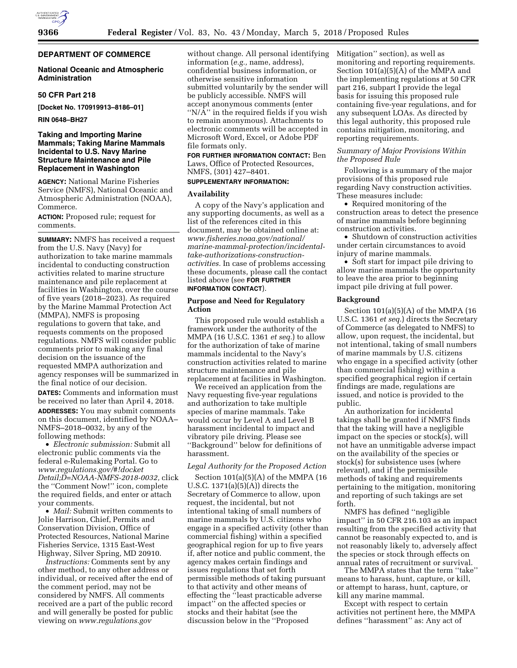# **DEPARTMENT OF COMMERCE**

## **National Oceanic and Atmospheric Administration**

### **50 CFR Part 218**

**[Docket No. 170919913–8186–01]** 

**RIN 0648–BH27** 

# **Taking and Importing Marine Mammals; Taking Marine Mammals Incidental to U.S. Navy Marine Structure Maintenance and Pile Replacement in Washington**

**AGENCY:** National Marine Fisheries Service (NMFS), National Oceanic and Atmospheric Administration (NOAA), Commerce.

**ACTION:** Proposed rule; request for comments.

**SUMMARY:** NMFS has received a request from the U.S. Navy (Navy) for authorization to take marine mammals incidental to conducting construction activities related to marine structure maintenance and pile replacement at facilities in Washington, over the course of five years (2018–2023). As required by the Marine Mammal Protection Act (MMPA), NMFS is proposing regulations to govern that take, and requests comments on the proposed regulations. NMFS will consider public comments prior to making any final decision on the issuance of the requested MMPA authorization and agency responses will be summarized in the final notice of our decision.

**DATES:** Comments and information must be received no later than April 4, 2018. **ADDRESSES:** You may submit comments on this document, identified by NOAA– NMFS–2018–0032, by any of the following methods:

• *Electronic submission:* Submit all electronic public comments via the federal e-Rulemaking Portal. Go to *[www.regulations.gov/#!docket](http://www.regulations.gov/#!docketDetail;D=NOAA-NMFS-2018-0032) [Detail;D=NOAA-NMFS-2018-0032,](http://www.regulations.gov/#!docketDetail;D=NOAA-NMFS-2018-0032)* click the ''Comment Now!'' icon, complete the required fields, and enter or attach your comments.

• *Mail:* Submit written comments to Jolie Harrison, Chief, Permits and Conservation Division, Office of Protected Resources, National Marine Fisheries Service, 1315 East-West Highway, Silver Spring, MD 20910.

*Instructions:* Comments sent by any other method, to any other address or individual, or received after the end of the comment period, may not be considered by NMFS. All comments received are a part of the public record and will generally be posted for public viewing on *[www.regulations.gov](http://www.regulations.gov)* 

without change. All personal identifying information (*e.g.,* name, address), confidential business information, or otherwise sensitive information submitted voluntarily by the sender will be publicly accessible. NMFS will accept anonymous comments (enter ''N/A'' in the required fields if you wish to remain anonymous). Attachments to electronic comments will be accepted in Microsoft Word, Excel, or Adobe PDF file formats only.

**FOR FURTHER INFORMATION CONTACT:** Ben Laws, Office of Protected Resources, NMFS, (301) 427–8401.

## **SUPPLEMENTARY INFORMATION:**

# **Availability**

A copy of the Navy's application and any supporting documents, as well as a list of the references cited in this document, may be obtained online at: *[www.fisheries.noaa.gov/national/](www.fisheries.noaa.gov/national/marine-mammal-protection/incidental-take-authorizations-construction-activities)  [marine-mammal-protection/incidental](www.fisheries.noaa.gov/national/marine-mammal-protection/incidental-take-authorizations-construction-activities)[take-authorizations-construction](www.fisheries.noaa.gov/national/marine-mammal-protection/incidental-take-authorizations-construction-activities)[activities.](www.fisheries.noaa.gov/national/marine-mammal-protection/incidental-take-authorizations-construction-activities)* In case of problems accessing these documents, please call the contact listed above (see **FOR FURTHER INFORMATION CONTACT**).

#### **Purpose and Need for Regulatory Action**

This proposed rule would establish a framework under the authority of the MMPA (16 U.S.C. 1361 *et seq.*) to allow for the authorization of take of marine mammals incidental to the Navy's construction activities related to marine structure maintenance and pile replacement at facilities in Washington.

We received an application from the Navy requesting five-year regulations and authorization to take multiple species of marine mammals. Take would occur by Level A and Level B harassment incidental to impact and vibratory pile driving. Please see ''Background'' below for definitions of harassment.

#### *Legal Authority for the Proposed Action*

Section 101(a)(5)(A) of the MMPA (16 U.S.C. 1371(a)(5)(A)) directs the Secretary of Commerce to allow, upon request, the incidental, but not intentional taking of small numbers of marine mammals by U.S. citizens who engage in a specified activity (other than commercial fishing) within a specified geographical region for up to five years if, after notice and public comment, the agency makes certain findings and issues regulations that set forth permissible methods of taking pursuant to that activity and other means of effecting the ''least practicable adverse impact'' on the affected species or stocks and their habitat (see the discussion below in the ''Proposed

Mitigation'' section), as well as monitoring and reporting requirements. Section 101(a)(5)(A) of the MMPA and the implementing regulations at 50 CFR part 216, subpart I provide the legal basis for issuing this proposed rule containing five-year regulations, and for any subsequent LOAs. As directed by this legal authority, this proposed rule contains mitigation, monitoring, and reporting requirements.

## *Summary of Major Provisions Within the Proposed Rule*

Following is a summary of the major provisions of this proposed rule regarding Navy construction activities. These measures include:

• Required monitoring of the construction areas to detect the presence of marine mammals before beginning construction activities.

• Shutdown of construction activities under certain circumstances to avoid injury of marine mammals.

• Soft start for impact pile driving to allow marine mammals the opportunity to leave the area prior to beginning impact pile driving at full power.

## **Background**

Section 101(a)(5)(A) of the MMPA (16 U.S.C. 1361 *et seq.*) directs the Secretary of Commerce (as delegated to NMFS) to allow, upon request, the incidental, but not intentional, taking of small numbers of marine mammals by U.S. citizens who engage in a specified activity (other than commercial fishing) within a specified geographical region if certain findings are made, regulations are issued, and notice is provided to the public.

An authorization for incidental takings shall be granted if NMFS finds that the taking will have a negligible impact on the species or stock(s), will not have an unmitigable adverse impact on the availability of the species or stock(s) for subsistence uses (where relevant), and if the permissible methods of taking and requirements pertaining to the mitigation, monitoring and reporting of such takings are set forth.

NMFS has defined ''negligible impact'' in 50 CFR 216.103 as an impact resulting from the specified activity that cannot be reasonably expected to, and is not reasonably likely to, adversely affect the species or stock through effects on annual rates of recruitment or survival.

The MMPA states that the term ''take'' means to harass, hunt, capture, or kill, or attempt to harass, hunt, capture, or kill any marine mammal.

Except with respect to certain activities not pertinent here, the MMPA defines ''harassment'' as: Any act of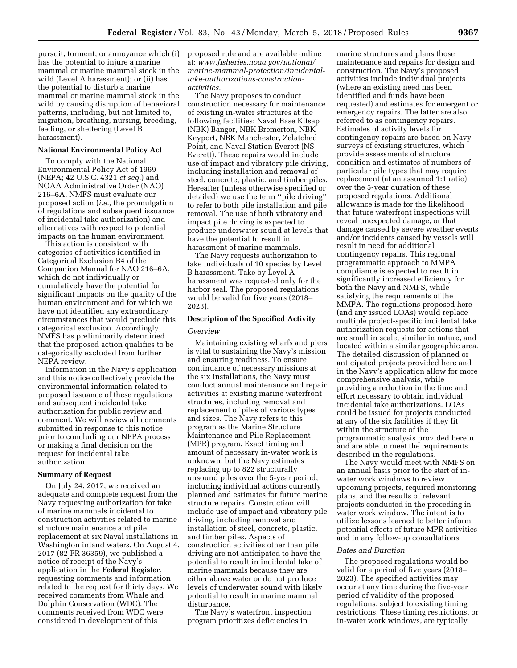pursuit, torment, or annoyance which (i) has the potential to injure a marine mammal or marine mammal stock in the wild (Level A harassment); or (ii) has the potential to disturb a marine mammal or marine mammal stock in the wild by causing disruption of behavioral patterns, including, but not limited to, migration, breathing, nursing, breeding, feeding, or sheltering (Level B harassment).

#### **National Environmental Policy Act**

To comply with the National Environmental Policy Act of 1969 (NEPA; 42 U.S.C. 4321 *et seq.*) and NOAA Administrative Order (NAO) 216–6A, NMFS must evaluate our proposed action (*i.e.,* the promulgation of regulations and subsequent issuance of incidental take authorization) and alternatives with respect to potential impacts on the human environment.

This action is consistent with categories of activities identified in Categorical Exclusion B4 of the Companion Manual for NAO 216–6A, which do not individually or cumulatively have the potential for significant impacts on the quality of the human environment and for which we have not identified any extraordinary circumstances that would preclude this categorical exclusion. Accordingly, NMFS has preliminarily determined that the proposed action qualifies to be categorically excluded from further NEPA review.

Information in the Navy's application and this notice collectively provide the environmental information related to proposed issuance of these regulations and subsequent incidental take authorization for public review and comment. We will review all comments submitted in response to this notice prior to concluding our NEPA process or making a final decision on the request for incidental take authorization.

## **Summary of Request**

On July 24, 2017, we received an adequate and complete request from the Navy requesting authorization for take of marine mammals incidental to construction activities related to marine structure maintenance and pile replacement at six Naval installations in Washington inland waters. On August 4, 2017 (82 FR 36359), we published a notice of receipt of the Navy's application in the **Federal Register**, requesting comments and information related to the request for thirty days. We received comments from Whale and Dolphin Conservation (WDC). The comments received from WDC were considered in development of this

proposed rule and are available online at: *[www.fisheries.noaa.gov/national/](www.fisheries.noaa.gov/national/marine-mammal-protection/incidental-take-authorizations-construction-activities)  [marine-mammal-protection/incidental](www.fisheries.noaa.gov/national/marine-mammal-protection/incidental-take-authorizations-construction-activities)[take-authorizations-construction](www.fisheries.noaa.gov/national/marine-mammal-protection/incidental-take-authorizations-construction-activities)[activities.](www.fisheries.noaa.gov/national/marine-mammal-protection/incidental-take-authorizations-construction-activities)* 

The Navy proposes to conduct construction necessary for maintenance of existing in-water structures at the following facilities: Naval Base Kitsap (NBK) Bangor, NBK Bremerton, NBK Keyport, NBK Manchester, Zelatched Point, and Naval Station Everett (NS Everett). These repairs would include use of impact and vibratory pile driving, including installation and removal of steel, concrete, plastic, and timber piles. Hereafter (unless otherwise specified or detailed) we use the term ''pile driving'' to refer to both pile installation and pile removal. The use of both vibratory and impact pile driving is expected to produce underwater sound at levels that have the potential to result in harassment of marine mammals.

The Navy requests authorization to take individuals of 10 species by Level B harassment. Take by Level A harassment was requested only for the harbor seal. The proposed regulations would be valid for five years (2018– 2023).

# **Description of the Specified Activity**

#### *Overview*

Maintaining existing wharfs and piers is vital to sustaining the Navy's mission and ensuring readiness. To ensure continuance of necessary missions at the six installations, the Navy must conduct annual maintenance and repair activities at existing marine waterfront structures, including removal and replacement of piles of various types and sizes. The Navy refers to this program as the Marine Structure Maintenance and Pile Replacement (MPR) program. Exact timing and amount of necessary in-water work is unknown, but the Navy estimates replacing up to 822 structurally unsound piles over the 5-year period, including individual actions currently planned and estimates for future marine structure repairs. Construction will include use of impact and vibratory pile driving, including removal and installation of steel, concrete, plastic, and timber piles. Aspects of construction activities other than pile driving are not anticipated to have the potential to result in incidental take of marine mammals because they are either above water or do not produce levels of underwater sound with likely potential to result in marine mammal disturbance.

The Navy's waterfront inspection program prioritizes deficiencies in

marine structures and plans those maintenance and repairs for design and construction. The Navy's proposed activities include individual projects (where an existing need has been identified and funds have been requested) and estimates for emergent or emergency repairs. The latter are also referred to as contingency repairs. Estimates of activity levels for contingency repairs are based on Navy surveys of existing structures, which provide assessments of structure condition and estimates of numbers of particular pile types that may require replacement (at an assumed 1:1 ratio) over the 5-year duration of these proposed regulations. Additional allowance is made for the likelihood that future waterfront inspections will reveal unexpected damage, or that damage caused by severe weather events and/or incidents caused by vessels will result in need for additional contingency repairs. This regional programmatic approach to MMPA compliance is expected to result in significantly increased efficiency for both the Navy and NMFS, while satisfying the requirements of the MMPA. The regulations proposed here (and any issued LOAs) would replace multiple project-specific incidental take authorization requests for actions that are small in scale, similar in nature, and located within a similar geographic area. The detailed discussion of planned or anticipated projects provided here and in the Navy's application allow for more comprehensive analysis, while providing a reduction in the time and effort necessary to obtain individual incidental take authorizations. LOAs could be issued for projects conducted at any of the six facilities if they fit within the structure of the programmatic analysis provided herein and are able to meet the requirements described in the regulations.

The Navy would meet with NMFS on an annual basis prior to the start of inwater work windows to review upcoming projects, required monitoring plans, and the results of relevant projects conducted in the preceding inwater work window. The intent is to utilize lessons learned to better inform potential effects of future MPR activities and in any follow-up consultations.

#### *Dates and Duration*

The proposed regulations would be valid for a period of five years (2018– 2023). The specified activities may occur at any time during the five-year period of validity of the proposed regulations, subject to existing timing restrictions. These timing restrictions, or in-water work windows, are typically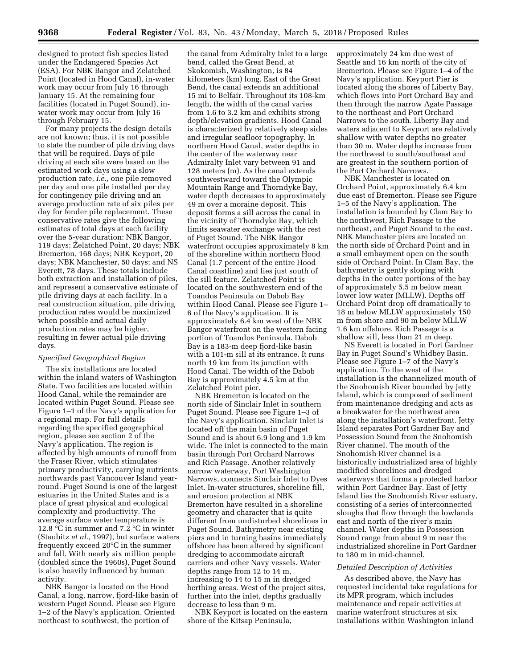designed to protect fish species listed under the Endangered Species Act (ESA). For NBK Bangor and Zelatched Point (located in Hood Canal), in-water work may occur from July 16 through January 15. At the remaining four facilities (located in Puget Sound), inwater work may occur from July 16 through February 15.

For many projects the design details are not known; thus, it is not possible to state the number of pile driving days that will be required. Days of pile driving at each site were based on the estimated work days using a slow production rate, *i.e.,* one pile removed per day and one pile installed per day for contingency pile driving and an average production rate of six piles per day for fender pile replacement. These conservative rates give the following estimates of total days at each facility over the 5-year duration: NBK Bangor, 119 days; Zelatched Point, 20 days; NBK Bremerton, 168 days; NBK Keyport, 20 days; NBK Manchester, 50 days; and NS Everett, 78 days. These totals include both extraction and installation of piles, and represent a conservative estimate of pile driving days at each facility. In a real construction situation, pile driving production rates would be maximized when possible and actual daily production rates may be higher, resulting in fewer actual pile driving days.

# *Specified Geographical Region*

The six installations are located within the inland waters of Washington State. Two facilities are located within Hood Canal, while the remainder are located within Puget Sound. Please see Figure 1–1 of the Navy's application for a regional map. For full details regarding the specified geographical region, please see section 2 of the Navy's application. The region is affected by high amounts of runoff from the Fraser River, which stimulates primary productivity, carrying nutrients northwards past Vancouver Island yearround. Puget Sound is one of the largest estuaries in the United States and is a place of great physical and ecological complexity and productivity. The average surface water temperature is 12.8 °C in summer and 7.2 °C in winter (Staubitz *et al.,* 1997), but surface waters frequently exceed 20°C in the summer and fall. With nearly six million people (doubled since the 1960s), Puget Sound is also heavily influenced by human activity.

NBK Bangor is located on the Hood Canal, a long, narrow, fjord-like basin of western Puget Sound. Please see Figure 1–2 of the Navy's application. Oriented northeast to southwest, the portion of

the canal from Admiralty Inlet to a large bend, called the Great Bend, at Skokomish, Washington, is 84 kilometers (km) long. East of the Great Bend, the canal extends an additional 15 mi to Belfair. Throughout its 108-km length, the width of the canal varies from 1.6 to 3.2 km and exhibits strong depth/elevation gradients. Hood Canal is characterized by relatively steep sides and irregular seafloor topography. In northern Hood Canal, water depths in the center of the waterway near Admiralty Inlet vary between 91 and 128 meters (m). As the canal extends southwestward toward the Olympic Mountain Range and Thorndyke Bay, water depth decreases to approximately 49 m over a moraine deposit. This deposit forms a sill across the canal in the vicinity of Thorndyke Bay, which limits seawater exchange with the rest of Puget Sound. The NBK Bangor waterfront occupies approximately 8 km of the shoreline within northern Hood Canal (1.7 percent of the entire Hood Canal coastline) and lies just south of the sill feature. Zelatched Point is located on the southwestern end of the Toandos Peninsula on Dabob Bay within Hood Canal. Please see Figure 1– 6 of the Navy's application. It is approximately 6.4 km west of the NBK Bangor waterfront on the western facing portion of Toandos Peninsula. Dabob Bay is a 183-m deep fjord-like basin with a 101-m sill at its entrance. It runs north 19 km from its junction with Hood Canal. The width of the Dabob Bay is approximately 4.5 km at the Zelatched Point pier.

NBK Bremerton is located on the north side of Sinclair Inlet in southern Puget Sound. Please see Figure 1–3 of the Navy's application. Sinclair Inlet is located off the main basin of Puget Sound and is about 6.9 long and 1.9 km wide. The inlet is connected to the main basin through Port Orchard Narrows and Rich Passage. Another relatively narrow waterway, Port Washington Narrows, connects Sinclair Inlet to Dyes Inlet. In-water structures, shoreline fill, and erosion protection at NBK Bremerton have resulted in a shoreline geometry and character that is quite different from undisturbed shorelines in Puget Sound. Bathymetry near existing piers and in turning basins immediately offshore has been altered by significant dredging to accommodate aircraft carriers and other Navy vessels. Water depths range from 12 to 14 m, increasing to 14 to 15 m in dredged berthing areas. West of the project sites, further into the inlet, depths gradually decrease to less than 9 m.

NBK Keyport is located on the eastern shore of the Kitsap Peninsula,

approximately 24 km due west of Seattle and 16 km north of the city of Bremerton. Please see Figure 1–4 of the Navy's application. Keyport Pier is located along the shores of Liberty Bay, which flows into Port Orchard Bay and then through the narrow Agate Passage to the northeast and Port Orchard Narrows to the south. Liberty Bay and waters adjacent to Keyport are relatively shallow with water depths no greater than 30 m. Water depths increase from the northwest to south/southeast and are greatest in the southern portion of the Port Orchard Narrows.

NBK Manchester is located on Orchard Point, approximately 6.4 km due east of Bremerton. Please see Figure 1–5 of the Navy's application. The installation is bounded by Clam Bay to the northwest, Rich Passage to the northeast, and Puget Sound to the east. NBK Manchester piers are located on the north side of Orchard Point and in a small embayment open on the south side of Orchard Point. In Clam Bay, the bathymetry is gently sloping with depths in the outer portions of the bay of approximately 5.5 m below mean lower low water (MLLW). Depths off Orchard Point drop off dramatically to 18 m below MLLW approximately 150 m from shore and 90 m below MLLW 1.6 km offshore. Rich Passage is a shallow sill, less than 21 m deep.

NS Everett is located in Port Gardner Bay in Puget Sound's Whidbey Basin. Please see Figure 1–7 of the Navy's application. To the west of the installation is the channelized mouth of the Snohomish River bounded by Jetty Island, which is composed of sediment from maintenance dredging and acts as a breakwater for the northwest area along the installation's waterfront. Jetty Island separates Port Gardner Bay and Possession Sound from the Snohomish River channel. The mouth of the Snohomish River channel is a historically industrialized area of highly modified shorelines and dredged waterways that forms a protected harbor within Port Gardner Bay. East of Jetty Island lies the Snohomish River estuary, consisting of a series of interconnected sloughs that flow through the lowlands east and north of the river's main channel. Water depths in Possession Sound range from about 9 m near the industrialized shoreline in Port Gardner to 180 m in mid-channel.

## *Detailed Description of Activities*

As described above, the Navy has requested incidental take regulations for its MPR program, which includes maintenance and repair activities at marine waterfront structures at six installations within Washington inland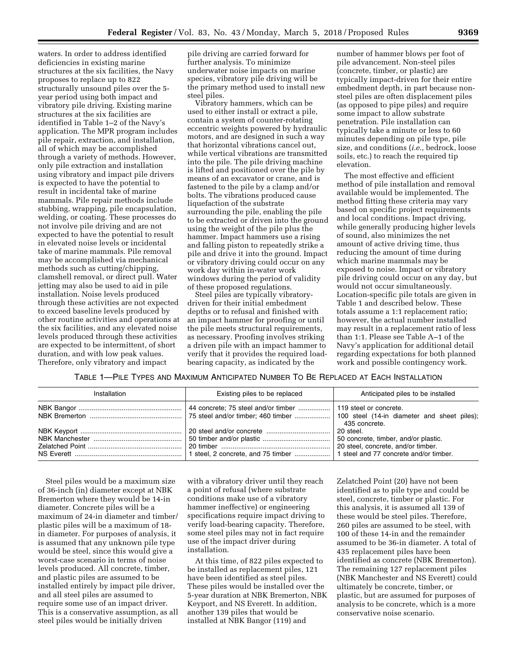waters. In order to address identified deficiencies in existing marine structures at the six facilities, the Navy proposes to replace up to 822 structurally unsound piles over the 5 year period using both impact and vibratory pile driving. Existing marine structures at the six facilities are identified in Table 1–2 of the Navy's application. The MPR program includes pile repair, extraction, and installation, all of which may be accomplished through a variety of methods. However, only pile extraction and installation using vibratory and impact pile drivers is expected to have the potential to result in incidental take of marine mammals. Pile repair methods include stubbing, wrapping, pile encapsulation, welding, or coating. These processes do not involve pile driving and are not expected to have the potential to result in elevated noise levels or incidental take of marine mammals. Pile removal may be accomplished via mechanical methods such as cutting/chipping, clamshell removal, or direct pull. Water jetting may also be used to aid in pile installation. Noise levels produced through these activities are not expected to exceed baseline levels produced by other routine activities and operations at the six facilities, and any elevated noise levels produced through these activities are expected to be intermittent, of short duration, and with low peak values. Therefore, only vibratory and impact

pile driving are carried forward for further analysis. To minimize underwater noise impacts on marine species, vibratory pile driving will be the primary method used to install new steel piles.

Vibratory hammers, which can be used to either install or extract a pile, contain a system of counter-rotating eccentric weights powered by hydraulic motors, and are designed in such a way that horizontal vibrations cancel out, while vertical vibrations are transmitted into the pile. The pile driving machine is lifted and positioned over the pile by means of an excavator or crane, and is fastened to the pile by a clamp and/or bolts. The vibrations produced cause liquefaction of the substrate surrounding the pile, enabling the pile to be extracted or driven into the ground using the weight of the pile plus the hammer. Impact hammers use a rising and falling piston to repeatedly strike a pile and drive it into the ground. Impact or vibratory driving could occur on any work day within in-water work windows during the period of validity of these proposed regulations.

Steel piles are typically vibratorydriven for their initial embedment depths or to refusal and finished with an impact hammer for proofing or until the pile meets structural requirements, as necessary. Proofing involves striking a driven pile with an impact hammer to verify that it provides the required loadbearing capacity, as indicated by the

number of hammer blows per foot of pile advancement. Non-steel piles (concrete, timber, or plastic) are typically impact-driven for their entire embedment depth, in part because nonsteel piles are often displacement piles (as opposed to pipe piles) and require some impact to allow substrate penetration. Pile installation can typically take a minute or less to 60 minutes depending on pile type, pile size, and conditions (*i.e.,* bedrock, loose soils, etc.) to reach the required tip elevation.

The most effective and efficient method of pile installation and removal available would be implemented. The method fitting these criteria may vary based on specific project requirements and local conditions. Impact driving, while generally producing higher levels of sound, also minimizes the net amount of active driving time, thus reducing the amount of time during which marine mammals may be exposed to noise. Impact or vibratory pile driving could occur on any day, but would not occur simultaneously. Location-specific pile totals are given in Table 1 and described below. These totals assume a 1:1 replacement ratio; however, the actual number installed may result in a replacement ratio of less than 1:1. Please see Table A–1 of the Navy's application for additional detail regarding expectations for both planned work and possible contingency work.

TABLE 1—PILE TYPES AND MAXIMUM ANTICIPATED NUMBER TO BE REPLACED AT EACH INSTALLATION

| Installation | Existing piles to be replaced | Anticipated piles to be installed                                                       |
|--------------|-------------------------------|-----------------------------------------------------------------------------------------|
|              |                               | 119 steel or concrete.<br>435 concrete.                                                 |
|              |                               | 20 steel.<br>50 concrete, timber, and/or plastic.<br>20 steel, concrete, and/or timber. |

Steel piles would be a maximum size of 36-inch (in) diameter except at NBK Bremerton where they would be 14-in diameter. Concrete piles will be a maximum of 24-in diameter and timber/ plastic piles will be a maximum of 18 in diameter. For purposes of analysis, it is assumed that any unknown pile type would be steel, since this would give a worst-case scenario in terms of noise levels produced. All concrete, timber, and plastic piles are assumed to be installed entirely by impact pile driver, and all steel piles are assumed to require some use of an impact driver. This is a conservative assumption, as all steel piles would be initially driven

with a vibratory driver until they reach a point of refusal (where substrate conditions make use of a vibratory hammer ineffective) or engineering specifications require impact driving to verify load-bearing capacity. Therefore, some steel piles may not in fact require use of the impact driver during installation.

At this time, of 822 piles expected to be installed as replacement piles, 121 have been identified as steel piles. These piles would be installed over the 5-year duration at NBK Bremerton, NBK Keyport, and NS Everett. In addition, another 139 piles that would be installed at NBK Bangor (119) and

Zelatched Point (20) have not been identified as to pile type and could be steel, concrete, timber or plastic. For this analysis, it is assumed all 139 of these would be steel piles. Therefore, 260 piles are assumed to be steel, with 100 of these 14-in and the remainder assumed to be 36-in diameter. A total of 435 replacement piles have been identified as concrete (NBK Bremerton). The remaining 127 replacement piles (NBK Manchester and NS Everett) could ultimately be concrete, timber, or plastic, but are assumed for purposes of analysis to be concrete, which is a more conservative noise scenario.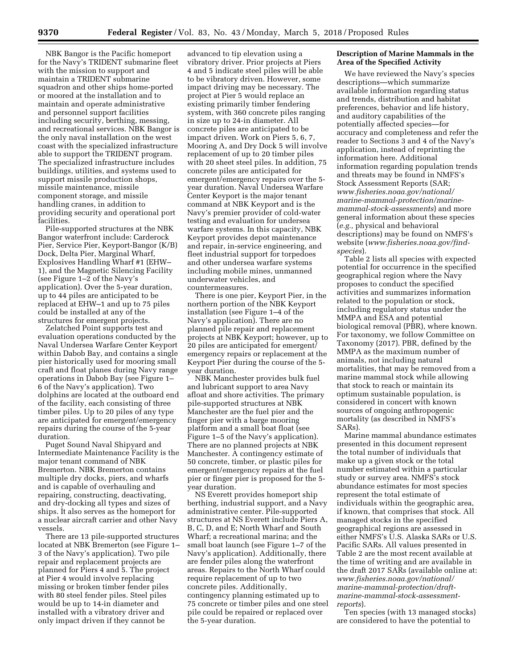NBK Bangor is the Pacific homeport for the Navy's TRIDENT submarine fleet with the mission to support and maintain a TRIDENT submarine squadron and other ships home-ported or moored at the installation and to maintain and operate administrative and personnel support facilities including security, berthing, messing, and recreational services. NBK Bangor is the only naval installation on the west coast with the specialized infrastructure able to support the TRIDENT program. The specialized infrastructure includes buildings, utilities, and systems used to support missile production shops, missile maintenance, missile component storage, and missile handling cranes, in addition to providing security and operational port facilities.

Pile-supported structures at the NBK Bangor waterfront include: Carderock Pier, Service Pier, Keyport-Bangor (K/B) Dock, Delta Pier, Marginal Wharf, Explosives Handling Wharf #1 (EHW– 1), and the Magnetic Silencing Facility (see Figure 1–2 of the Navy's application). Over the 5-year duration, up to 44 piles are anticipated to be replaced at EHW–1 and up to 75 piles could be installed at any of the structures for emergent projects.

Zelatched Point supports test and evaluation operations conducted by the Naval Undersea Warfare Center Keyport within Dabob Bay, and contains a single pier historically used for mooring small craft and float planes during Navy range operations in Dabob Bay (see Figure 1– 6 of the Navy's application). Two dolphins are located at the outboard end of the facility, each consisting of three timber piles. Up to 20 piles of any type are anticipated for emergent/emergency repairs during the course of the 5-year duration.

Puget Sound Naval Shipyard and Intermediate Maintenance Facility is the major tenant command of NBK Bremerton. NBK Bremerton contains multiple dry docks, piers, and wharfs and is capable of overhauling and repairing, constructing, deactivating, and dry-docking all types and sizes of ships. It also serves as the homeport for a nuclear aircraft carrier and other Navy vessels.

There are 13 pile-supported structures located at NBK Bremerton (see Figure 1– 3 of the Navy's application). Two pile repair and replacement projects are planned for Piers 4 and 5. The project at Pier 4 would involve replacing missing or broken timber fender piles with 80 steel fender piles. Steel piles would be up to 14-in diameter and installed with a vibratory driver and only impact driven if they cannot be

advanced to tip elevation using a vibratory driver. Prior projects at Piers 4 and 5 indicate steel piles will be able to be vibratory driven. However, some impact driving may be necessary. The project at Pier 5 would replace an existing primarily timber fendering system, with 360 concrete piles ranging in size up to 24-in diameter. All concrete piles are anticipated to be impact driven. Work on Piers 5, 6, 7, Mooring A, and Dry Dock 5 will involve replacement of up to 20 timber piles with 20 sheet steel piles. In addition, 75 concrete piles are anticipated for emergent/emergency repairs over the 5 year duration. Naval Undersea Warfare Center Keyport is the major tenant command at NBK Keyport and is the Navy's premier provider of cold-water testing and evaluation for undersea warfare systems. In this capacity, NBK Keyport provides depot maintenance and repair, in-service engineering, and fleet industrial support for torpedoes and other undersea warfare systems including mobile mines, unmanned underwater vehicles, and countermeasures.

There is one pier, Keyport Pier, in the northern portion of the NBK Keyport installation (see Figure 1–4 of the Navy's application). There are no planned pile repair and replacement projects at NBK Keyport; however, up to 20 piles are anticipated for emergent/ emergency repairs or replacement at the Keyport Pier during the course of the 5 year duration.

NBK Manchester provides bulk fuel and lubricant support to area Navy afloat and shore activities. The primary pile-supported structures at NBK Manchester are the fuel pier and the finger pier with a barge mooring platform and a small boat float (see Figure 1–5 of the Navy's application). There are no planned projects at NBK Manchester. A contingency estimate of 50 concrete, timber, or plastic piles for emergent/emergency repairs at the fuel pier or finger pier is proposed for the 5 year duration.

NS Everett provides homeport ship berthing, industrial support, and a Navy administrative center. Pile-supported structures at NS Everett include Piers A, B, C, D, and E; North Wharf and South Wharf; a recreational marina; and the small boat launch (see Figure 1–7 of the Navy's application). Additionally, there are fender piles along the waterfront areas. Repairs to the North Wharf could require replacement of up to two concrete piles. Additionally, contingency planning estimated up to 75 concrete or timber piles and one steel pile could be repaired or replaced over the 5-year duration.

# **Description of Marine Mammals in the Area of the Specified Activity**

We have reviewed the Navy's species descriptions—which summarize available information regarding status and trends, distribution and habitat preferences, behavior and life history, and auditory capabilities of the potentially affected species—for accuracy and completeness and refer the reader to Sections 3 and 4 of the Navy's application, instead of reprinting the information here. Additional information regarding population trends and threats may be found in NMFS's Stock Assessment Reports (SAR; *[www.fisheries.noaa.gov/national/](http://www.fisheries.noaa.gov/national/marine-mammal-protection/marine-mammal-stock-assessments) [marine-mammal-protection/marine](http://www.fisheries.noaa.gov/national/marine-mammal-protection/marine-mammal-stock-assessments)[mammal-stock-assessments](http://www.fisheries.noaa.gov/national/marine-mammal-protection/marine-mammal-stock-assessments)*) and more general information about these species (*e.g.,* physical and behavioral descriptions) may be found on NMFS's website (*[www.fisheries.noaa.gov/find](www.fisheries.noaa.gov/find-species)[species](www.fisheries.noaa.gov/find-species)*).

Table 2 lists all species with expected potential for occurrence in the specified geographical region where the Navy proposes to conduct the specified activities and summarizes information related to the population or stock, including regulatory status under the MMPA and ESA and potential biological removal (PBR), where known. For taxonomy, we follow Committee on Taxonomy (2017). PBR, defined by the MMPA as the maximum number of animals, not including natural mortalities, that may be removed from a marine mammal stock while allowing that stock to reach or maintain its optimum sustainable population, is considered in concert with known sources of ongoing anthropogenic mortality (as described in NMFS's SARs).

Marine mammal abundance estimates presented in this document represent the total number of individuals that make up a given stock or the total number estimated within a particular study or survey area. NMFS's stock abundance estimates for most species represent the total estimate of individuals within the geographic area, if known, that comprises that stock. All managed stocks in the specified geographical regions are assessed in either NMFS's U.S. Alaska SARs or U.S. Pacific SARs. All values presented in Table 2 are the most recent available at the time of writing and are available in the draft 2017 SARs (available online at: *[www.fisheries.noaa.gov/national/](www.fisheries.noaa.gov/national/marine-mammal-protection/draft-marine-mammal-stock-assessment-reports)  [marine-mammal-protection/draft](www.fisheries.noaa.gov/national/marine-mammal-protection/draft-marine-mammal-stock-assessment-reports)[marine-mammal-stock-assessment](www.fisheries.noaa.gov/national/marine-mammal-protection/draft-marine-mammal-stock-assessment-reports)[reports](www.fisheries.noaa.gov/national/marine-mammal-protection/draft-marine-mammal-stock-assessment-reports)*).

Ten species (with 13 managed stocks) are considered to have the potential to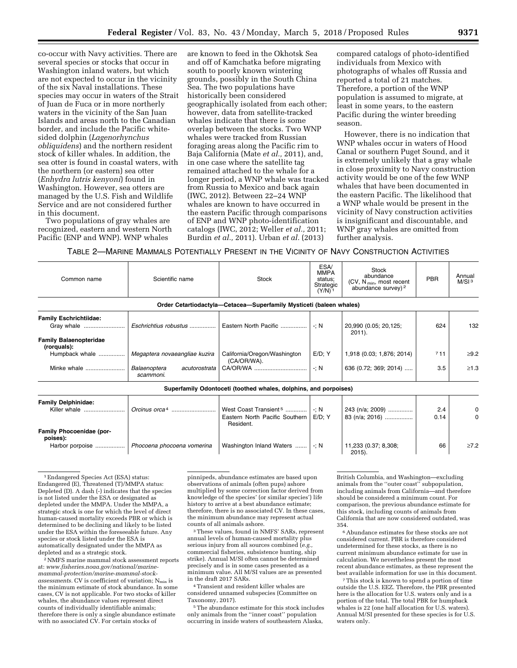co-occur with Navy activities. There are several species or stocks that occur in Washington inland waters, but which are not expected to occur in the vicinity of the six Naval installations. These species may occur in waters of the Strait of Juan de Fuca or in more northerly waters in the vicinity of the San Juan Islands and areas north to the Canadian border, and include the Pacific whitesided dolphin (*Lagenorhynchus obliquidens*) and the northern resident stock of killer whales. In addition, the sea otter is found in coastal waters, with the northern (or eastern) sea otter (*Enhydra lutris kenyoni*) found in Washington. However, sea otters are managed by the U.S. Fish and Wildlife Service and are not considered further in this document.

Two populations of gray whales are recognized, eastern and western North Pacific (ENP and WNP). WNP whales

are known to feed in the Okhotsk Sea and off of Kamchatka before migrating south to poorly known wintering grounds, possibly in the South China Sea. The two populations have historically been considered geographically isolated from each other; however, data from satellite-tracked whales indicate that there is some overlap between the stocks. Two WNP whales were tracked from Russian foraging areas along the Pacific rim to Baja California (Mate *et al.,* 2011), and, in one case where the satellite tag remained attached to the whale for a longer period, a WNP whale was tracked from Russia to Mexico and back again (IWC, 2012). Between 22–24 WNP whales are known to have occurred in the eastern Pacific through comparisons of ENP and WNP photo-identification catalogs (IWC, 2012; Weller *et al.,* 2011; Burdin *et al.,* 2011). Urban *et al.* (2013)

compared catalogs of photo-identified individuals from Mexico with photographs of whales off Russia and reported a total of 21 matches. Therefore, a portion of the WNP population is assumed to migrate, at least in some years, to the eastern Pacific during the winter breeding season.

However, there is no indication that WNP whales occur in waters of Hood Canal or southern Puget Sound, and it is extremely unlikely that a gray whale in close proximity to Navy construction activity would be one of the few WNP whales that have been documented in the eastern Pacific. The likelihood that a WNP whale would be present in the vicinity of Navy construction activities is insignificant and discountable, and WNP gray whales are omitted from further analysis.

TABLE 2—MARINE MAMMALS POTENTIALLY PRESENT IN THE VICINITY OF NAVY CONSTRUCTION ACTIVITIES

| Common name                                                    | Scientific name                            | Stock                                                                            | ESA/<br><b>MMPA</b><br>status:<br>Strategic<br>$(Y/N)^1$ | <b>Stock</b><br>abundance<br>(CV, N <sub>min</sub> , most recent<br>abundance survey) <sup>2</sup> | <b>PBR</b>  | Annual<br>M/SI <sup>3</sup> |
|----------------------------------------------------------------|--------------------------------------------|----------------------------------------------------------------------------------|----------------------------------------------------------|----------------------------------------------------------------------------------------------------|-------------|-----------------------------|
|                                                                |                                            | Order Cetartiodactyla-Cetacea-Superfamily Mysticeti (baleen whales)              |                                                          |                                                                                                    |             |                             |
| <b>Family Eschrichtiidae:</b><br>Gray whale                    | Eschrichtius robustus                      | Eastern North Pacific                                                            | $\cdot : N$                                              | 20,990 (0.05; 20,125;<br>$2011$ ).                                                                 | 624         | 132                         |
| <b>Family Balaenopteridae</b><br>(rorquals):<br>Humpback whale | Megaptera novaeangliae kuzira              | California/Oregon/Washington<br>(CA/OR/WA).                                      | $E/D$ ; Y                                                | 1,918 (0.03; 1,876; 2014)                                                                          | 711         | $\geq$ 9.2                  |
| Minke whale                                                    | Balaenoptera<br>acutorostrata<br>scammoni. |                                                                                  | $-1$ : N                                                 | 636 (0.72; 369; 2014)                                                                              | 3.5         | $\geq 1.3$                  |
|                                                                |                                            | Superfamily Odontoceti (toothed whales, dolphins, and porpoises)                 |                                                          |                                                                                                    |             |                             |
| <b>Family Delphinidae:</b><br>Killer whale                     |                                            | West Coast Transient <sup>5</sup><br>Eastern North Pacific Southern<br>Resident. | $\mathcal{N}$<br>$E/D$ ; Y                               | 243 (n/a; 2009)<br>83 (n/a; 2016)                                                                  | 2.4<br>0.14 | 0<br>0                      |
| Family Phocoenidae (por-<br>poises):                           |                                            |                                                                                  |                                                          |                                                                                                    |             |                             |

1Endangered Species Act (ESA) status: Endangered (E), Threatened (T)/MMPA status: Depleted (D). A dash (-) indicates that the species is not listed under the ESA or designated as depleted under the MMPA. Under the MMPA, a strategic stock is one for which the level of direct human-caused mortality exceeds PBR or which is determined to be declining and likely to be listed under the ESA within the foreseeable future. Any species or stock listed under the ESA is automatically designated under the MMPA as depleted and as a strategic stock.

2NMFS marine mammal stock assessment reports at: *[www.fisheries.noaa.gov/national/marine](www.fisheries.noaa.gov/national/marine-mammal-protection/marine-mammal-stock-assessments)[mammal-protection/marine-mammal-stock](www.fisheries.noaa.gov/national/marine-mammal-protection/marine-mammal-stock-assessments)assessments.* CV is coefficient of variation; N<sub>min</sub> is the minimum estimate of stock abundance. In some cases, CV is not applicable. For two stocks of killer whales, the abundance values represent direct counts of individually identifiable animals; therefore there is only a single abundance estimate with no associated CV. For certain stocks of

pinnipeds, abundance estimates are based upon observations of animals (often pups) ashore multiplied by some correction factor derived from knowledge of the species' (or similar species') life history to arrive at a best abundance estimate; therefore, there is no associated CV. In these cases, the minimum abundance may represent actual counts of all animals ashore.

Harbor porpoise .................. *Phocoena phocoena vomerina* | Washington Inland Waters ....... | -; N | 11,233 (0.37; 8,308;

3These values, found in NMFS' SARs, represent annual levels of human-caused mortality plus serious injury from all sources combined (*e.g.,*  commercial fisheries, subsistence hunting, ship strike). Annual M/SI often cannot be determined precisely and is in some cases presented as a minimum value. All M/SI values are as presented in the draft 2017 SARs.

4Transient and resident killer whales are considered unnamed subspecies (Committee on Taxonomy, 2017).

5The abundance estimate for this stock includes only animals from the ''inner coast'' population occurring in inside waters of southeastern Alaska,

British Columbia, and Washington—excluding animals from the ''outer coast'' subpopulation, including animals from California—and therefore should be considered a minimum count. For comparison, the previous abundance estimate for this stock, including counts of animals from California that are now considered outdated, was 354.

66 ≥7.2

2015).

6Abundance estimates for these stocks are not considered current. PBR is therefore considered undetermined for these stocks, as there is no current minimum abundance estimate for use in calculation. We nevertheless present the most recent abundance estimates, as these represent the best available information for use in this document.

7This stock is known to spend a portion of time outside the U.S. EEZ. Therefore, the PBR presented here is the allocation for U.S. waters only and is a portion of the total. The total PBR for humpback whales is 22 (one half allocation for U.S. waters). Annual M/SI presented for these species is for U.S. waters only.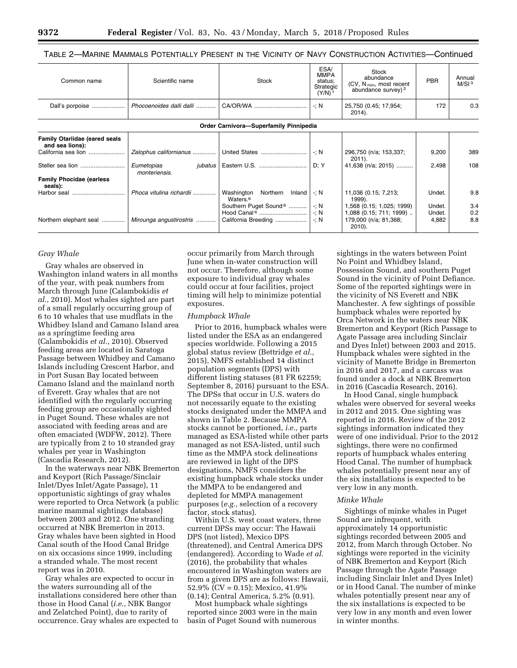# TABLE 2—MARINE MAMMALS POTENTIALLY PRESENT IN THE VICINITY OF NAVY CONSTRUCTION ACTIVITIES—Continued

| Common name                                             | Scientific name                               | Stock                                                                               | ESA/<br><b>MMPA</b><br>status;<br>Strategic<br>$(Y/N)^1$ | Stock<br>abundance<br>(CV, $N_{min}$ , most recent<br>abundance survey) <sup>2</sup>       | <b>PBR</b>                | Annual<br>M/SI <sup>3</sup> |
|---------------------------------------------------------|-----------------------------------------------|-------------------------------------------------------------------------------------|----------------------------------------------------------|--------------------------------------------------------------------------------------------|---------------------------|-----------------------------|
| Dall's porpoise                                         | Phocoenoides dalli dalli                      | CA/OR/WA                                                                            | $-1$ : N<br>25,750 (0.45; 17,954;<br>$2014$ ).           |                                                                                            | 172                       | 0.3                         |
|                                                         |                                               | Order Carnivora-Superfamily Pinnipedia                                              |                                                          |                                                                                            |                           |                             |
| <b>Family Otariidae (eared seals</b><br>and sea lions): |                                               |                                                                                     |                                                          |                                                                                            |                           |                             |
| California sea lion                                     | Zalophus californianus                        | United States                                                                       | $-1$ : N                                                 | 296,750 (n/a; 153,337;<br>$2011$ ).                                                        | 9,200                     | 389                         |
| Steller sea lion                                        | Eumetopias<br><i>jubatus</i><br>monteriensis. | Eastern U.S.                                                                        | D: Y                                                     | 41,638 (n/a; 2015)                                                                         | 2,498                     | 108                         |
| <b>Family Phocidae (earless</b><br>seals):              |                                               |                                                                                     |                                                          |                                                                                            |                           |                             |
| Harbor seal                                             | Phoca vitulina richardii                      | Washington<br>Northern<br>Inland<br>Waters. <sup>6</sup>                            | $-1$ : N                                                 | 11,036 (0.15; 7,213;<br>1999).                                                             | Undet.                    | 9.8                         |
| Northern elephant seal                                  | Mirounga angustirostris                       | Southern Puget Sound <sup>6</sup><br>Hood Canal <sup>6</sup><br>California Breeding | $\mathcal{L}$ : N<br>$\cdot : N$<br>$\cdot : N$          | 1,568 (0.15; 1,025; 1999)<br>1,088 (0.15; 711; 1999)<br>179,000 (n/a; 81,368;<br>$2010$ ). | Undet.<br>Undet.<br>4,882 | 3.4<br>0.2<br>8.8           |

## *Gray Whale*

Gray whales are observed in Washington inland waters in all months of the year, with peak numbers from March through June (Calambokidis *et al.,* 2010). Most whales sighted are part of a small regularly occurring group of 6 to 10 whales that use mudflats in the Whidbey Island and Camano Island area as a springtime feeding area (Calambokidis *et al.,* 2010). Observed feeding areas are located in Saratoga Passage between Whidbey and Camano Islands including Crescent Harbor, and in Port Susan Bay located between Camano Island and the mainland north of Everett. Gray whales that are not identified with the regularly occurring feeding group are occasionally sighted in Puget Sound. These whales are not associated with feeding areas and are often emaciated (WDFW, 2012). There are typically from 2 to 10 stranded gray whales per year in Washington (Cascadia Research, 2012).

In the waterways near NBK Bremerton and Keyport (Rich Passage/Sinclair Inlet/Dyes Inlet/Agate Passage), 11 opportunistic sightings of gray whales were reported to Orca Network (a public marine mammal sightings database) between 2003 and 2012. One stranding occurred at NBK Bremerton in 2013. Gray whales have been sighted in Hood Canal south of the Hood Canal Bridge on six occasions since 1999, including a stranded whale. The most recent report was in 2010.

Gray whales are expected to occur in the waters surrounding all of the installations considered here other than those in Hood Canal (*i.e.,* NBK Bangor and Zelatched Point), due to rarity of occurrence. Gray whales are expected to

occur primarily from March through June when in-water construction will not occur. Therefore, although some exposure to individual gray whales could occur at four facilities, project timing will help to minimize potential exposures.

#### *Humpback Whale*

Prior to 2016, humpback whales were listed under the ESA as an endangered species worldwide. Following a 2015 global status review (Bettridge *et al.,*  2015), NMFS established 14 distinct population segments (DPS) with different listing statuses (81 FR 62259; September 8, 2016) pursuant to the ESA. The DPSs that occur in U.S. waters do not necessarily equate to the existing stocks designated under the MMPA and shown in Table 2. Because MMPA stocks cannot be portioned, *i.e.,* parts managed as ESA-listed while other parts managed as not ESA-listed, until such time as the MMPA stock delineations are reviewed in light of the DPS designations, NMFS considers the existing humpback whale stocks under the MMPA to be endangered and depleted for MMPA management purposes (*e.g.,* selection of a recovery factor, stock status).

Within U.S. west coast waters, three current DPSs may occur: The Hawaii DPS (not listed), Mexico DPS (threatened), and Central America DPS (endangered). According to Wade *et al.*  (2016), the probability that whales encountered in Washington waters are from a given DPS are as follows: Hawaii, 52.9% (CV = 0.15); Mexico,  $41.9\%$ (0.14); Central America, 5.2% (0.91).

Most humpback whale sightings reported since 2003 were in the main basin of Puget Sound with numerous

sightings in the waters between Point No Point and Whidbey Island, Possession Sound, and southern Puget Sound in the vicinity of Point Defiance. Some of the reported sightings were in the vicinity of NS Everett and NBK Manchester. A few sightings of possible humpback whales were reported by Orca Network in the waters near NBK Bremerton and Keyport (Rich Passage to Agate Passage area including Sinclair and Dyes Inlet) between 2003 and 2015. Humpback whales were sighted in the vicinity of Manette Bridge in Bremerton in 2016 and 2017, and a carcass was found under a dock at NBK Bremerton in 2016 (Cascadia Research, 2016).

In Hood Canal, single humpback whales were observed for several weeks in 2012 and 2015. One sighting was reported in 2016. Review of the 2012 sightings information indicated they were of one individual. Prior to the 2012 sightings, there were no confirmed reports of humpback whales entering Hood Canal. The number of humpback whales potentially present near any of the six installations is expected to be very low in any month.

#### *Minke Whale*

Sightings of minke whales in Puget Sound are infrequent, with approximately 14 opportunistic sightings recorded between 2005 and 2012, from March through October. No sightings were reported in the vicinity of NBK Bremerton and Keyport (Rich Passage through the Agate Passage including Sinclair Inlet and Dyes Inlet) or in Hood Canal. The number of minke whales potentially present near any of the six installations is expected to be very low in any month and even lower in winter months.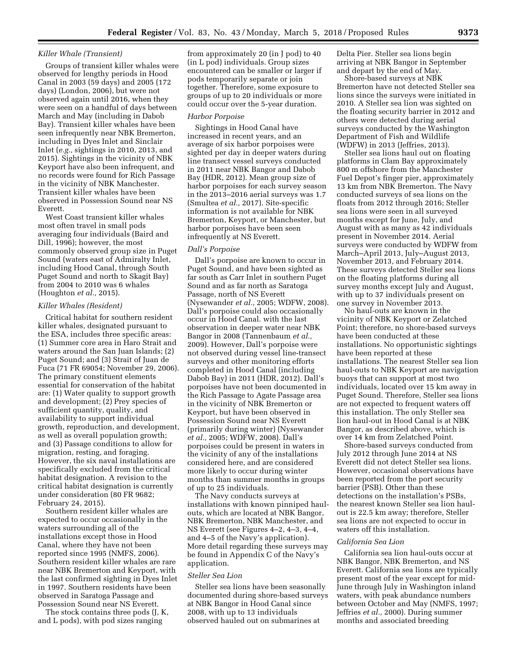## *Killer Whale (Transient)*

Groups of transient killer whales were observed for lengthy periods in Hood Canal in 2003 (59 days) and 2005 (172 days) (London, 2006), but were not observed again until 2016, when they were seen on a handful of days between March and May (including in Dabob Bay). Transient killer whales have been seen infrequently near NBK Bremerton, including in Dyes Inlet and Sinclair Inlet (*e.g.,* sightings in 2010, 2013, and 2015). Sightings in the vicinity of NBK Keyport have also been infrequent, and no records were found for Rich Passage in the vicinity of NBK Manchester. Transient killer whales have been observed in Possession Sound near NS Everett.

West Coast transient killer whales most often travel in small pods averaging four individuals (Baird and Dill, 1996); however, the most commonly observed group size in Puget Sound (waters east of Admiralty Inlet, including Hood Canal, through South Puget Sound and north to Skagit Bay) from 2004 to 2010 was 6 whales (Houghton *et al.,* 2015).

#### *Killer Whales (Resident)*

Critical habitat for southern resident killer whales, designated pursuant to the ESA, includes three specific areas: (1) Summer core area in Haro Strait and waters around the San Juan Islands; (2) Puget Sound; and (3) Strait of Juan de Fuca (71 FR 69054; November 29, 2006). The primary constituent elements essential for conservation of the habitat are: (1) Water quality to support growth and development; (2) Prey species of sufficient quantity, quality, and availability to support individual growth, reproduction, and development, as well as overall population growth; and (3) Passage conditions to allow for migration, resting, and foraging. However, the six naval installations are specifically excluded from the critical habitat designation. A revision to the critical habitat designation is currently under consideration (80 FR 9682; February 24, 2015).

Southern resident killer whales are expected to occur occasionally in the waters surrounding all of the installations except those in Hood Canal, where they have not been reported since 1995 (NMFS, 2006). Southern resident killer whales are rare near NBK Bremerton and Keyport, with the last confirmed sighting in Dyes Inlet in 1997. Southern residents have been observed in Saratoga Passage and Possession Sound near NS Everett.

The stock contains three pods (J, K, and L pods), with pod sizes ranging

from approximately 20 (in J pod) to 40 (in L pod) individuals. Group sizes encountered can be smaller or larger if pods temporarily separate or join together. Therefore, some exposure to groups of up to 20 individuals or more could occur over the 5-year duration.

#### *Harbor Porpoise*

Sightings in Hood Canal have increased in recent years, and an average of six harbor porpoises were sighted per day in deeper waters during line transect vessel surveys conducted in 2011 near NBK Bangor and Dabob Bay (HDR, 2012). Mean group size of harbor porpoises for each survey season in the 2013–2016 aerial surveys was 1.7 (Smultea *et al.,* 2017). Site-specific information is not available for NBK Bremerton, Keyport, or Manchester, but harbor porpoises have been seen infrequently at NS Everett.

## *Dall's Porpoise*

Dall's porpoise are known to occur in Puget Sound, and have been sighted as far south as Carr Inlet in southern Puget Sound and as far north as Saratoga Passage, north of NS Everett (Nysewander *et al.,* 2005; WDFW, 2008). Dall's porpoise could also occasionally occur in Hood Canal. with the last observation in deeper water near NBK Bangor in 2008 (Tannenbaum *et al.,*  2009). However, Dall's porpoise were not observed during vessel line-transect surveys and other monitoring efforts completed in Hood Canal (including Dabob Bay) in 2011 (HDR, 2012). Dall's porpoises have not been documented in the Rich Passage to Agate Passage area in the vicinity of NBK Bremerton or Keyport, but have been observed in Possession Sound near NS Everett (primarily during winter) (Nysewander *et al.,* 2005; WDFW, 2008). Dall's porpoises could be present in waters in the vicinity of any of the installations considered here, and are considered more likely to occur during winter months than summer months in groups of up to 25 individuals.

The Navy conducts surveys at installations with known pinniped haulouts, which are located at NBK Bangor, NBK Bremerton, NBK Manchester, and NS Everett (see Figures 4–2, 4–3, 4–4, and 4–5 of the Navy's application). More detail regarding these surveys may be found in Appendix C of the Navy's application.

#### *Steller Sea Lion*

Steller sea lions have been seasonally documented during shore-based surveys at NBK Bangor in Hood Canal since 2008, with up to 13 individuals observed hauled out on submarines at

Delta Pier. Steller sea lions begin arriving at NBK Bangor in September and depart by the end of May.

Shore-based surveys at NBK Bremerton have not detected Steller sea lions since the surveys were initiated in 2010. A Steller sea lion was sighted on the floating security barrier in 2012 and others were detected during aerial surveys conducted by the Washington Department of Fish and Wildlife (WDFW) in 2013 (Jeffries, 2013).

Steller sea lions haul out on floating platforms in Clam Bay approximately 800 m offshore from the Manchester Fuel Depot's finger pier, approximately 13 km from NBK Bremerton. The Navy conducted surveys of sea lions on the floats from 2012 through 2016; Steller sea lions were seen in all surveyed months except for June, July, and August with as many as 42 individuals present in November 2014. Aerial surveys were conducted by WDFW from March–April 2013, July–August 2013, November 2013, and February 2014. These surveys detected Steller sea lions on the floating platforms during all survey months except July and August, with up to 37 individuals present on one survey in November 2013.

No haul-outs are known in the vicinity of NBK Keyport or Zelatched Point; therefore, no shore-based surveys have been conducted at these installations. No opportunistic sightings have been reported at these installations. The nearest Steller sea lion haul-outs to NBK Keyport are navigation buoys that can support at most two individuals, located over 15 km away in Puget Sound. Therefore, Steller sea lions are not expected to frequent waters off this installation. The only Steller sea lion haul-out in Hood Canal is at NBK Bangor, as described above, which is over 14 km from Zelatched Point.

Shore-based surveys conducted from July 2012 through June 2014 at NS Everett did not detect Steller sea lions. However, occasional observations have been reported from the port security barrier (PSB). Other than these detections on the installation's PSBs, the nearest known Steller sea lion haulout is 22.5 km away; therefore, Steller sea lions are not expected to occur in waters off this installation.

# *California Sea Lion*

California sea lion haul-outs occur at NBK Bangor, NBK Bremerton, and NS Everett. California sea lions are typically present most of the year except for mid-June through July in Washington inland waters, with peak abundance numbers between October and May (NMFS, 1997; Jeffries *et al.,* 2000). During summer months and associated breeding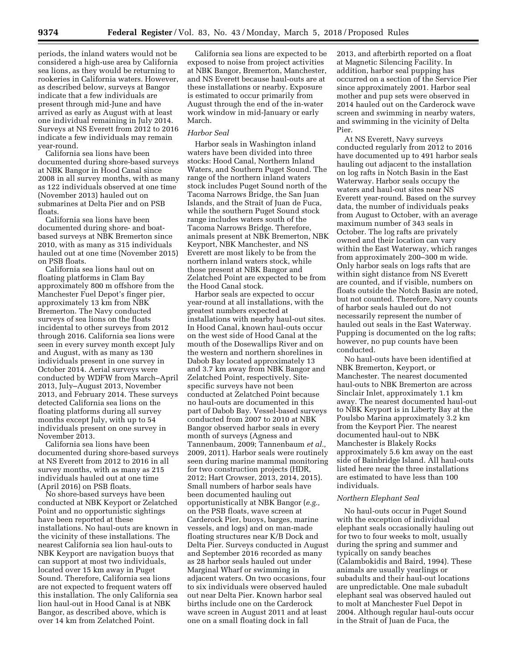periods, the inland waters would not be considered a high-use area by California sea lions, as they would be returning to rookeries in California waters. However, as described below, surveys at Bangor indicate that a few individuals are present through mid-June and have arrived as early as August with at least one individual remaining in July 2014. Surveys at NS Everett from 2012 to 2016 indicate a few individuals may remain year-round.

California sea lions have been documented during shore-based surveys at NBK Bangor in Hood Canal since 2008 in all survey months, with as many as 122 individuals observed at one time (November 2013) hauled out on submarines at Delta Pier and on PSB floats.

California sea lions have been documented during shore- and boatbased surveys at NBK Bremerton since 2010, with as many as 315 individuals hauled out at one time (November 2015) on PSB floats.

California sea lions haul out on floating platforms in Clam Bay approximately 800 m offshore from the Manchester Fuel Depot's finger pier, approximately 13 km from NBK Bremerton. The Navy conducted surveys of sea lions on the floats incidental to other surveys from 2012 through 2016. California sea lions were seen in every survey month except July and August, with as many as 130 individuals present in one survey in October 2014. Aerial surveys were conducted by WDFW from March–April 2013, July–August 2013, November 2013, and February 2014. These surveys detected California sea lions on the floating platforms during all survey months except July, with up to 54 individuals present on one survey in November 2013.

California sea lions have been documented during shore-based surveys at NS Everett from 2012 to 2016 in all survey months, with as many as 215 individuals hauled out at one time (April 2016) on PSB floats.

No shore-based surveys have been conducted at NBK Keyport or Zelatched Point and no opportunistic sightings have been reported at these installations. No haul-outs are known in the vicinity of these installations. The nearest California sea lion haul-outs to NBK Keyport are navigation buoys that can support at most two individuals, located over 15 km away in Puget Sound. Therefore, California sea lions are not expected to frequent waters off this installation. The only California sea lion haul-out in Hood Canal is at NBK Bangor, as described above, which is over 14 km from Zelatched Point.

California sea lions are expected to be exposed to noise from project activities at NBK Bangor, Bremerton, Manchester, and NS Everett because haul-outs are at these installations or nearby. Exposure is estimated to occur primarily from August through the end of the in-water work window in mid-January or early March.

# *Harbor Seal*

Harbor seals in Washington inland waters have been divided into three stocks: Hood Canal, Northern Inland Waters, and Southern Puget Sound. The range of the northern inland waters stock includes Puget Sound north of the Tacoma Narrows Bridge, the San Juan Islands, and the Strait of Juan de Fuca, while the southern Puget Sound stock range includes waters south of the Tacoma Narrows Bridge. Therefore, animals present at NBK Bremerton, NBK Keyport, NBK Manchester, and NS Everett are most likely to be from the northern inland waters stock, while those present at NBK Bangor and Zelatched Point are expected to be from the Hood Canal stock.

Harbor seals are expected to occur year-round at all installations, with the greatest numbers expected at installations with nearby haul-out sites. In Hood Canal, known haul-outs occur on the west side of Hood Canal at the mouth of the Dosewallips River and on the western and northern shorelines in Dabob Bay located approximately 13 and 3.7 km away from NBK Bangor and Zelatched Point, respectively. Sitespecific surveys have not been conducted at Zelatched Point because no haul-outs are documented in this part of Dabob Bay. Vessel-based surveys conducted from 2007 to 2010 at NBK Bangor observed harbor seals in every month of surveys (Agness and Tannenbaum, 2009; Tannenbaum *et al.,*  2009, 2011). Harbor seals were routinely seen during marine mammal monitoring for two construction projects (HDR, 2012; Hart Crowser, 2013, 2014, 2015). Small numbers of harbor seals have been documented hauling out opportunistically at NBK Bangor (*e.g.,*  on the PSB floats, wave screen at Carderock Pier, buoys, barges, marine vessels, and logs) and on man-made floating structures near K/B Dock and Delta Pier. Surveys conducted in August and September 2016 recorded as many as 28 harbor seals hauled out under Marginal Wharf or swimming in adjacent waters. On two occasions, four to six individuals were observed hauled out near Delta Pier. Known harbor seal births include one on the Carderock wave screen in August 2011 and at least one on a small floating dock in fall

2013, and afterbirth reported on a float at Magnetic Silencing Facility. In addition, harbor seal pupping has occurred on a section of the Service Pier since approximately 2001. Harbor seal mother and pup sets were observed in 2014 hauled out on the Carderock wave screen and swimming in nearby waters, and swimming in the vicinity of Delta Pier.

At NS Everett, Navy surveys conducted regularly from 2012 to 2016 have documented up to 491 harbor seals hauling out adjacent to the installation on log rafts in Notch Basin in the East Waterway. Harbor seals occupy the waters and haul-out sites near NS Everett year-round. Based on the survey data, the number of individuals peaks from August to October, with an average maximum number of 343 seals in October. The log rafts are privately owned and their location can vary within the East Waterway, which ranges from approximately 200–300 m wide. Only harbor seals on logs rafts that are within sight distance from NS Everett are counted, and if visible, numbers on floats outside the Notch Basin are noted, but not counted. Therefore, Navy counts of harbor seals hauled out do not necessarily represent the number of hauled out seals in the East Waterway. Pupping is documented on the log rafts; however, no pup counts have been conducted.

No haul-outs have been identified at NBK Bremerton, Keyport, or Manchester. The nearest documented haul-outs to NBK Bremerton are across Sinclair Inlet, approximately 1.1 km away. The nearest documented haul-out to NBK Keyport is in Liberty Bay at the Poulsbo Marina approximately 3.2 km from the Keyport Pier. The nearest documented haul-out to NBK Manchester is Blakely Rocks approximately 5.6 km away on the east side of Bainbridge Island. All haul-outs listed here near the three installations are estimated to have less than 100 individuals.

## *Northern Elephant Seal*

No haul-outs occur in Puget Sound with the exception of individual elephant seals occasionally hauling out for two to four weeks to molt, usually during the spring and summer and typically on sandy beaches (Calambokidis and Baird, 1994). These animals are usually yearlings or subadults and their haul-out locations are unpredictable. One male subadult elephant seal was observed hauled out to molt at Manchester Fuel Depot in 2004. Although regular haul-outs occur in the Strait of Juan de Fuca, the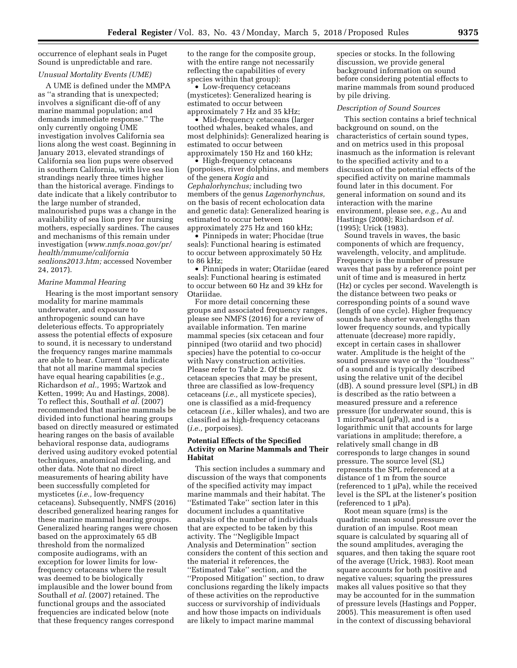occurrence of elephant seals in Puget Sound is unpredictable and rare.

## *Unusual Mortality Events (UME)*

A UME is defined under the MMPA as ''a stranding that is unexpected; involves a significant die-off of any marine mammal population; and demands immediate response.'' The only currently ongoing UME investigation involves California sea lions along the west coast. Beginning in January 2013, elevated strandings of California sea lion pups were observed in southern California, with live sea lion strandings nearly three times higher than the historical average. Findings to date indicate that a likely contributor to the large number of stranded, malnourished pups was a change in the availability of sea lion prey for nursing mothers, especially sardines. The causes and mechanisms of this remain under investigation (*[www.nmfs.noaa.gov/pr/](http://www.nmfs.noaa.gov/pr/health/mmume/californiasealions2013.htm) [health/mmume/california](http://www.nmfs.noaa.gov/pr/health/mmume/californiasealions2013.htm) [sealions2013.htm;](http://www.nmfs.noaa.gov/pr/health/mmume/californiasealions2013.htm)* accessed November 24, 2017).

#### *Marine Mammal Hearing*

Hearing is the most important sensory modality for marine mammals underwater, and exposure to anthropogenic sound can have deleterious effects. To appropriately assess the potential effects of exposure to sound, it is necessary to understand the frequency ranges marine mammals are able to hear. Current data indicate that not all marine mammal species have equal hearing capabilities (*e.g.,*  Richardson *et al.,* 1995; Wartzok and Ketten, 1999; Au and Hastings, 2008). To reflect this, Southall *et al.* (2007) recommended that marine mammals be divided into functional hearing groups based on directly measured or estimated hearing ranges on the basis of available behavioral response data, audiograms derived using auditory evoked potential techniques, anatomical modeling, and other data. Note that no direct measurements of hearing ability have been successfully completed for mysticetes (*i.e.,* low-frequency cetaceans). Subsequently, NMFS (2016) described generalized hearing ranges for these marine mammal hearing groups. Generalized hearing ranges were chosen based on the approximately 65 dB threshold from the normalized composite audiograms, with an exception for lower limits for lowfrequency cetaceans where the result was deemed to be biologically implausible and the lower bound from Southall *et al.* (2007) retained. The functional groups and the associated frequencies are indicated below (note that these frequency ranges correspond

to the range for the composite group, with the entire range not necessarily reflecting the capabilities of every species within that group):

• Low-frequency cetaceans (mysticetes): Generalized hearing is estimated to occur between approximately 7 Hz and 35 kHz;

• Mid-frequency cetaceans (larger toothed whales, beaked whales, and most delphinids): Generalized hearing is estimated to occur between approximately 150 Hz and 160 kHz;

• High-frequency cetaceans (porpoises, river dolphins, and members of the genera *Kogia* and *Cephalorhynchus;* including two members of the genus *Lagenorhynchus,*  on the basis of recent echolocation data and genetic data): Generalized hearing is estimated to occur between approximately 275 Hz and 160 kHz;

• Pinnipeds in water; Phocidae (true seals): Functional hearing is estimated to occur between approximately 50 Hz to 86 kHz;

• Pinnipeds in water; Otariidae (eared seals): Functional hearing is estimated to occur between 60 Hz and 39 kHz for Otariidae.

For more detail concerning these groups and associated frequency ranges, please see NMFS (2016) for a review of available information. Ten marine mammal species (six cetacean and four pinniped (two otariid and two phocid) species) have the potential to co-occur with Navy construction activities. Please refer to Table 2. Of the six cetacean species that may be present, three are classified as low-frequency cetaceans (*i.e.,* all mysticete species), one is classified as a mid-frequency cetacean (*i.e.,* killer whales), and two are classified as high-frequency cetaceans (*i.e.,* porpoises).

# **Potential Effects of the Specified Activity on Marine Mammals and Their Habitat**

This section includes a summary and discussion of the ways that components of the specified activity may impact marine mammals and their habitat. The ''Estimated Take'' section later in this document includes a quantitative analysis of the number of individuals that are expected to be taken by this activity. The ''Negligible Impact Analysis and Determination'' section considers the content of this section and the material it references, the ''Estimated Take'' section, and the ''Proposed Mitigation'' section, to draw conclusions regarding the likely impacts of these activities on the reproductive success or survivorship of individuals and how those impacts on individuals are likely to impact marine mammal

species or stocks. In the following discussion, we provide general background information on sound before considering potential effects to marine mammals from sound produced by pile driving.

#### *Description of Sound Sources*

This section contains a brief technical background on sound, on the characteristics of certain sound types, and on metrics used in this proposal inasmuch as the information is relevant to the specified activity and to a discussion of the potential effects of the specified activity on marine mammals found later in this document. For general information on sound and its interaction with the marine environment, please see, *e.g.,* Au and Hastings (2008); Richardson *et al.*  (1995); Urick (1983).

Sound travels in waves, the basic components of which are frequency, wavelength, velocity, and amplitude. Frequency is the number of pressure waves that pass by a reference point per unit of time and is measured in hertz (Hz) or cycles per second. Wavelength is the distance between two peaks or corresponding points of a sound wave (length of one cycle). Higher frequency sounds have shorter wavelengths than lower frequency sounds, and typically attenuate (decrease) more rapidly, except in certain cases in shallower water. Amplitude is the height of the sound pressure wave or the ''loudness'' of a sound and is typically described using the relative unit of the decibel (dB). A sound pressure level (SPL) in dB is described as the ratio between a measured pressure and a reference pressure (for underwater sound, this is 1 microPascal ( $\mu$ Pa)), and is a logarithmic unit that accounts for large variations in amplitude; therefore, a relatively small change in dB corresponds to large changes in sound pressure. The source level (SL) represents the SPL referenced at a distance of 1 m from the source (referenced to  $1 \mu Pa$ ), while the received level is the SPL at the listener's position (referenced to  $1 \mu Pa$ ).

Root mean square (rms) is the quadratic mean sound pressure over the duration of an impulse. Root mean square is calculated by squaring all of the sound amplitudes, averaging the squares, and then taking the square root of the average (Urick, 1983). Root mean square accounts for both positive and negative values; squaring the pressures makes all values positive so that they may be accounted for in the summation of pressure levels (Hastings and Popper, 2005). This measurement is often used in the context of discussing behavioral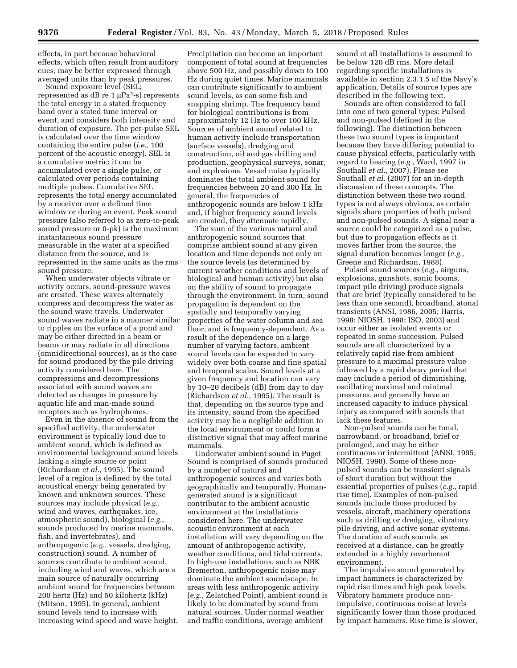effects, in part because behavioral effects, which often result from auditory cues, may be better expressed through averaged units than by peak pressures.

Sound exposure level (SEL; represented as  $dB$  re 1  $\mu Pa^2$ -s) represents the total energy in a stated frequency band over a stated time interval or event, and considers both intensity and duration of exposure. The per-pulse SEL is calculated over the time window containing the entire pulse (*i.e.,* 100 percent of the acoustic energy). SEL is a cumulative metric; it can be accumulated over a single pulse, or calculated over periods containing multiple pulses. Cumulative SEL represents the total energy accumulated by a receiver over a defined time window or during an event. Peak sound pressure (also referred to as zero-to-peak sound pressure or 0-pk) is the maximum instantaneous sound pressure measurable in the water at a specified distance from the source, and is represented in the same units as the rms sound pressure.

When underwater objects vibrate or activity occurs, sound-pressure waves are created. These waves alternately compress and decompress the water as the sound wave travels. Underwater sound waves radiate in a manner similar to ripples on the surface of a pond and may be either directed in a beam or beams or may radiate in all directions (omnidirectional sources), as is the case for sound produced by the pile driving activity considered here. The compressions and decompressions associated with sound waves are detected as changes in pressure by aquatic life and man-made sound receptors such as hydrophones.

Even in the absence of sound from the specified activity, the underwater environment is typically loud due to ambient sound, which is defined as environmental background sound levels lacking a single source or point (Richardson *et al.,* 1995). The sound level of a region is defined by the total acoustical energy being generated by known and unknown sources. These sources may include physical (*e.g.,*  wind and waves, earthquakes, ice, atmospheric sound), biological (*e.g.,*  sounds produced by marine mammals, fish, and invertebrates), and anthropogenic (*e.g.,* vessels, dredging, construction) sound. A number of sources contribute to ambient sound, including wind and waves, which are a main source of naturally occurring ambient sound for frequencies between 200 hertz (Hz) and 50 kilohertz (kHz) (Mitson, 1995). In general, ambient sound levels tend to increase with increasing wind speed and wave height.

Precipitation can become an important component of total sound at frequencies above 500 Hz, and possibly down to 100 Hz during quiet times. Marine mammals can contribute significantly to ambient sound levels, as can some fish and snapping shrimp. The frequency band for biological contributions is from approximately 12 Hz to over 100 kHz. Sources of ambient sound related to human activity include transportation (surface vessels), dredging and construction, oil and gas drilling and production, geophysical surveys, sonar, and explosions. Vessel noise typically dominates the total ambient sound for frequencies between 20 and 300 Hz. In general, the frequencies of anthropogenic sounds are below 1 kHz and, if higher frequency sound levels are created, they attenuate rapidly.

The sum of the various natural and anthropogenic sound sources that comprise ambient sound at any given location and time depends not only on the source levels (as determined by current weather conditions and levels of biological and human activity) but also on the ability of sound to propagate through the environment. In turn, sound propagation is dependent on the spatially and temporally varying properties of the water column and sea floor, and is frequency-dependent. As a result of the dependence on a large number of varying factors, ambient sound levels can be expected to vary widely over both coarse and fine spatial and temporal scales. Sound levels at a given frequency and location can vary by 10–20 decibels (dB) from day to day (Richardson *et al.,* 1995). The result is that, depending on the source type and its intensity, sound from the specified activity may be a negligible addition to the local environment or could form a distinctive signal that may affect marine mammals.

Underwater ambient sound in Puget Sound is comprised of sounds produced by a number of natural and anthropogenic sources and varies both geographically and temporally. Humangenerated sound is a significant contributor to the ambient acoustic environment at the installations considered here. The underwater acoustic environment at each installation will vary depending on the amount of anthropogenic activity, weather conditions, and tidal currents. In high-use installations, such as NBK Bremerton, anthropogenic noise may dominate the ambient soundscape. In areas with less anthropogenic activity (*e.g.,* Zelatched Point), ambient sound is likely to be dominated by sound from natural sources. Under normal weather and traffic conditions, average ambient

sound at all installations is assumed to be below 120 dB rms. More detail regarding specific installations is available in section 2.3.1.5 of the Navy's application. Details of source types are described in the following text.

Sounds are often considered to fall into one of two general types: Pulsed and non-pulsed (defined in the following). The distinction between these two sound types is important because they have differing potential to cause physical effects, particularly with regard to hearing (*e.g.,* Ward, 1997 in Southall *et al.,* 2007). Please see Southall *et al.* (2007) for an in-depth discussion of these concepts. The distinction between these two sound types is not always obvious, as certain signals share properties of both pulsed and non-pulsed sounds. A signal near a source could be categorized as a pulse, but due to propagation effects as it moves farther from the source, the signal duration becomes longer (*e.g.,*  Greene and Richardson, 1988).

Pulsed sound sources (*e.g.,* airguns, explosions, gunshots, sonic booms, impact pile driving) produce signals that are brief (typically considered to be less than one second), broadband, atonal transients (ANSI, 1986, 2005; Harris, 1998; NIOSH, 1998; ISO, 2003) and occur either as isolated events or repeated in some succession. Pulsed sounds are all characterized by a relatively rapid rise from ambient pressure to a maximal pressure value followed by a rapid decay period that may include a period of diminishing, oscillating maximal and minimal pressures, and generally have an increased capacity to induce physical injury as compared with sounds that lack these features.

Non-pulsed sounds can be tonal, narrowband, or broadband, brief or prolonged, and may be either continuous or intermittent (ANSI, 1995; NIOSH, 1998). Some of these nonpulsed sounds can be transient signals of short duration but without the essential properties of pulses (*e.g.,* rapid rise time). Examples of non-pulsed sounds include those produced by vessels, aircraft, machinery operations such as drilling or dredging, vibratory pile driving, and active sonar systems. The duration of such sounds, as received at a distance, can be greatly extended in a highly reverberant environment.

The impulsive sound generated by impact hammers is characterized by rapid rise times and high peak levels. Vibratory hammers produce nonimpulsive, continuous noise at levels significantly lower than those produced by impact hammers. Rise time is slower,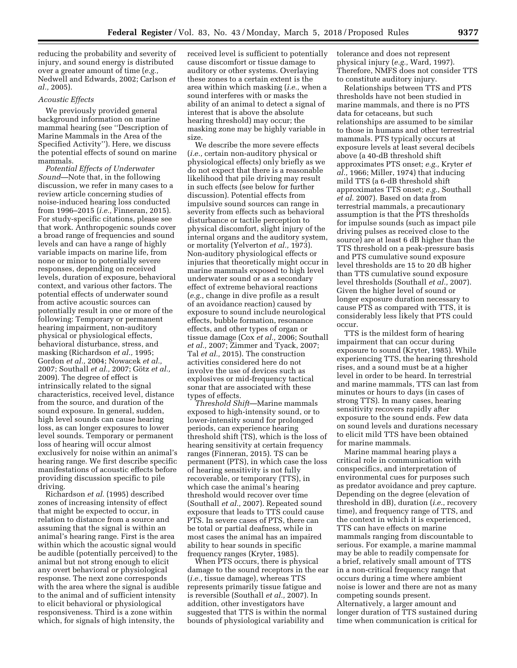reducing the probability and severity of injury, and sound energy is distributed over a greater amount of time (*e.g.,*  Nedwell and Edwards, 2002; Carlson *et al.,* 2005).

# *Acoustic Effects*

We previously provided general background information on marine mammal hearing (see ''Description of Marine Mammals in the Area of the Specified Activity''). Here, we discuss the potential effects of sound on marine mammals.

*Potential Effects of Underwater Sound*—Note that, in the following discussion, we refer in many cases to a review article concerning studies of noise-induced hearing loss conducted from 1996–2015 (*i.e.,* Finneran, 2015). For study-specific citations, please see that work. Anthropogenic sounds cover a broad range of frequencies and sound levels and can have a range of highly variable impacts on marine life, from none or minor to potentially severe responses, depending on received levels, duration of exposure, behavioral context, and various other factors. The potential effects of underwater sound from active acoustic sources can potentially result in one or more of the following: Temporary or permanent hearing impairment, non-auditory physical or physiological effects, behavioral disturbance, stress, and masking (Richardson *et al.,* 1995; Gordon *et al.,* 2004; Nowacek *et al.,*  2007; Southall *et al.*, 2007; Götz *et al.*, 2009). The degree of effect is intrinsically related to the signal characteristics, received level, distance from the source, and duration of the sound exposure. In general, sudden, high level sounds can cause hearing loss, as can longer exposures to lower level sounds. Temporary or permanent loss of hearing will occur almost exclusively for noise within an animal's hearing range. We first describe specific manifestations of acoustic effects before providing discussion specific to pile driving.

Richardson *et al.* (1995) described zones of increasing intensity of effect that might be expected to occur, in relation to distance from a source and assuming that the signal is within an animal's hearing range. First is the area within which the acoustic signal would be audible (potentially perceived) to the animal but not strong enough to elicit any overt behavioral or physiological response. The next zone corresponds with the area where the signal is audible to the animal and of sufficient intensity to elicit behavioral or physiological responsiveness. Third is a zone within which, for signals of high intensity, the

received level is sufficient to potentially cause discomfort or tissue damage to auditory or other systems. Overlaying these zones to a certain extent is the area within which masking (*i.e.,* when a sound interferes with or masks the ability of an animal to detect a signal of interest that is above the absolute hearing threshold) may occur; the masking zone may be highly variable in size.

We describe the more severe effects (*i.e.,* certain non-auditory physical or physiological effects) only briefly as we do not expect that there is a reasonable likelihood that pile driving may result in such effects (see below for further discussion). Potential effects from impulsive sound sources can range in severity from effects such as behavioral disturbance or tactile perception to physical discomfort, slight injury of the internal organs and the auditory system, or mortality (Yelverton *et al.,* 1973). Non-auditory physiological effects or injuries that theoretically might occur in marine mammals exposed to high level underwater sound or as a secondary effect of extreme behavioral reactions (*e.g.,* change in dive profile as a result of an avoidance reaction) caused by exposure to sound include neurological effects, bubble formation, resonance effects, and other types of organ or tissue damage (Cox *et al.,* 2006; Southall *et al.,* 2007; Zimmer and Tyack, 2007; Tal *et al.,* 2015). The construction activities considered here do not involve the use of devices such as explosives or mid-frequency tactical sonar that are associated with these types of effects.

*Threshold Shift*—Marine mammals exposed to high-intensity sound, or to lower-intensity sound for prolonged periods, can experience hearing threshold shift (TS), which is the loss of hearing sensitivity at certain frequency ranges (Finneran, 2015). TS can be permanent (PTS), in which case the loss of hearing sensitivity is not fully recoverable, or temporary (TTS), in which case the animal's hearing threshold would recover over time (Southall *et al.,* 2007). Repeated sound exposure that leads to TTS could cause PTS. In severe cases of PTS, there can be total or partial deafness, while in most cases the animal has an impaired ability to hear sounds in specific frequency ranges (Kryter, 1985).

When PTS occurs, there is physical damage to the sound receptors in the ear (*i.e.,* tissue damage), whereas TTS represents primarily tissue fatigue and is reversible (Southall *et al.,* 2007). In addition, other investigators have suggested that TTS is within the normal bounds of physiological variability and

tolerance and does not represent physical injury (*e.g.,* Ward, 1997). Therefore, NMFS does not consider TTS to constitute auditory injury.

Relationships between TTS and PTS thresholds have not been studied in marine mammals, and there is no PTS data for cetaceans, but such relationships are assumed to be similar to those in humans and other terrestrial mammals. PTS typically occurs at exposure levels at least several decibels above (a 40-dB threshold shift approximates PTS onset; *e.g.,* Kryter *et al.,* 1966; Miller, 1974) that inducing mild TTS (a 6-dB threshold shift approximates TTS onset; *e.g.,* Southall *et al.* 2007). Based on data from terrestrial mammals, a precautionary assumption is that the PTS thresholds for impulse sounds (such as impact pile driving pulses as received close to the source) are at least 6 dB higher than the TTS threshold on a peak-pressure basis and PTS cumulative sound exposure level thresholds are 15 to 20 dB higher than TTS cumulative sound exposure level thresholds (Southall *et al.,* 2007). Given the higher level of sound or longer exposure duration necessary to cause PTS as compared with TTS, it is considerably less likely that PTS could occur.

TTS is the mildest form of hearing impairment that can occur during exposure to sound (Kryter, 1985). While experiencing TTS, the hearing threshold rises, and a sound must be at a higher level in order to be heard. In terrestrial and marine mammals, TTS can last from minutes or hours to days (in cases of strong TTS). In many cases, hearing sensitivity recovers rapidly after exposure to the sound ends. Few data on sound levels and durations necessary to elicit mild TTS have been obtained for marine mammals.

Marine mammal hearing plays a critical role in communication with conspecifics, and interpretation of environmental cues for purposes such as predator avoidance and prey capture. Depending on the degree (elevation of threshold in dB), duration (*i.e.,* recovery time), and frequency range of TTS, and the context in which it is experienced, TTS can have effects on marine mammals ranging from discountable to serious. For example, a marine mammal may be able to readily compensate for a brief, relatively small amount of TTS in a non-critical frequency range that occurs during a time where ambient noise is lower and there are not as many competing sounds present. Alternatively, a larger amount and longer duration of TTS sustained during time when communication is critical for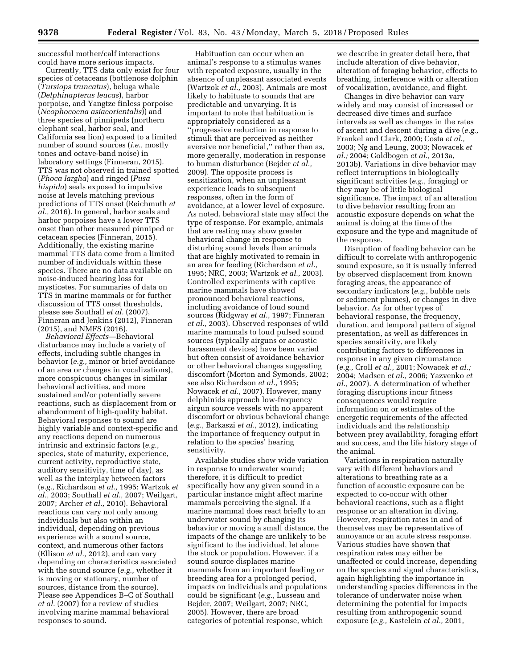successful mother/calf interactions could have more serious impacts.

Currently, TTS data only exist for four species of cetaceans (bottlenose dolphin (*Tursiops truncatus*), beluga whale (*Delphinapterus leucas*), harbor porpoise, and Yangtze finless porpoise (*Neophocoena asiaeorientalis*)) and three species of pinnipeds (northern elephant seal, harbor seal, and California sea lion) exposed to a limited number of sound sources (*i.e.,* mostly tones and octave-band noise) in laboratory settings (Finneran, 2015). TTS was not observed in trained spotted (*Phoca largha*) and ringed (*Pusa hispida*) seals exposed to impulsive noise at levels matching previous predictions of TTS onset (Reichmuth *et al.,* 2016). In general, harbor seals and harbor porpoises have a lower TTS onset than other measured pinniped or cetacean species (Finneran, 2015). Additionally, the existing marine mammal TTS data come from a limited number of individuals within these species. There are no data available on noise-induced hearing loss for mysticetes. For summaries of data on TTS in marine mammals or for further discussion of TTS onset thresholds, please see Southall *et al.* (2007), Finneran and Jenkins (2012), Finneran (2015), and NMFS (2016).

*Behavioral Effects*—Behavioral disturbance may include a variety of effects, including subtle changes in behavior (*e.g.,* minor or brief avoidance of an area or changes in vocalizations), more conspicuous changes in similar behavioral activities, and more sustained and/or potentially severe reactions, such as displacement from or abandonment of high-quality habitat. Behavioral responses to sound are highly variable and context-specific and any reactions depend on numerous intrinsic and extrinsic factors (*e.g.,*  species, state of maturity, experience, current activity, reproductive state, auditory sensitivity, time of day), as well as the interplay between factors (*e.g.,* Richardson *et al.,* 1995; Wartzok *et al.,* 2003; Southall *et al.,* 2007; Weilgart, 2007; Archer *et al.,* 2010). Behavioral reactions can vary not only among individuals but also within an individual, depending on previous experience with a sound source, context, and numerous other factors (Ellison *et al.,* 2012), and can vary depending on characteristics associated with the sound source (*e.g.,* whether it is moving or stationary, number of sources, distance from the source). Please see Appendices B–C of Southall *et al.* (2007) for a review of studies involving marine mammal behavioral responses to sound.

Habituation can occur when an animal's response to a stimulus wanes with repeated exposure, usually in the absence of unpleasant associated events (Wartzok *et al.,* 2003). Animals are most likely to habituate to sounds that are predictable and unvarying. It is important to note that habituation is appropriately considered as a ''progressive reduction in response to stimuli that are perceived as neither aversive nor beneficial,'' rather than as, more generally, moderation in response to human disturbance (Bejder *et al.,*  2009). The opposite process is sensitization, when an unpleasant experience leads to subsequent responses, often in the form of avoidance, at a lower level of exposure. As noted, behavioral state may affect the type of response. For example, animals that are resting may show greater behavioral change in response to disturbing sound levels than animals that are highly motivated to remain in an area for feeding (Richardson *et al.,*  1995; NRC, 2003; Wartzok *et al.,* 2003). Controlled experiments with captive marine mammals have showed pronounced behavioral reactions, including avoidance of loud sound sources (Ridgway *et al.,* 1997; Finneran *et al.,* 2003). Observed responses of wild marine mammals to loud pulsed sound sources (typically airguns or acoustic harassment devices) have been varied but often consist of avoidance behavior or other behavioral changes suggesting discomfort (Morton and Symonds, 2002; see also Richardson *et al.,* 1995; Nowacek *et al.,* 2007). However, many delphinids approach low-frequency airgun source vessels with no apparent discomfort or obvious behavioral change (*e.g.,* Barkaszi *et al.,* 2012), indicating the importance of frequency output in relation to the species' hearing sensitivity.

Available studies show wide variation in response to underwater sound; therefore, it is difficult to predict specifically how any given sound in a particular instance might affect marine mammals perceiving the signal. If a marine mammal does react briefly to an underwater sound by changing its behavior or moving a small distance, the impacts of the change are unlikely to be significant to the individual, let alone the stock or population. However, if a sound source displaces marine mammals from an important feeding or breeding area for a prolonged period, impacts on individuals and populations could be significant (*e.g.,* Lusseau and Bejder, 2007; Weilgart, 2007; NRC, 2005). However, there are broad categories of potential response, which

we describe in greater detail here, that include alteration of dive behavior, alteration of foraging behavior, effects to breathing, interference with or alteration of vocalization, avoidance, and flight.

Changes in dive behavior can vary widely and may consist of increased or decreased dive times and surface intervals as well as changes in the rates of ascent and descent during a dive (*e.g.,*  Frankel and Clark, 2000; Costa *et al.,*  2003; Ng and Leung, 2003; Nowacek *et al.;* 2004; Goldbogen *et al.,* 2013a, 2013b). Variations in dive behavior may reflect interruptions in biologically significant activities (*e.g.,* foraging) or they may be of little biological significance. The impact of an alteration to dive behavior resulting from an acoustic exposure depends on what the animal is doing at the time of the exposure and the type and magnitude of the response.

Disruption of feeding behavior can be difficult to correlate with anthropogenic sound exposure, so it is usually inferred by observed displacement from known foraging areas, the appearance of secondary indicators (*e.g.,* bubble nets or sediment plumes), or changes in dive behavior. As for other types of behavioral response, the frequency, duration, and temporal pattern of signal presentation, as well as differences in species sensitivity, are likely contributing factors to differences in response in any given circumstance (*e.g.,* Croll *et al.,* 2001; Nowacek *et al.;*  2004; Madsen *et al.,* 2006; Yazvenko *et al.,* 2007). A determination of whether foraging disruptions incur fitness consequences would require information on or estimates of the energetic requirements of the affected individuals and the relationship between prey availability, foraging effort and success, and the life history stage of the animal.

Variations in respiration naturally vary with different behaviors and alterations to breathing rate as a function of acoustic exposure can be expected to co-occur with other behavioral reactions, such as a flight response or an alteration in diving. However, respiration rates in and of themselves may be representative of annoyance or an acute stress response. Various studies have shown that respiration rates may either be unaffected or could increase, depending on the species and signal characteristics, again highlighting the importance in understanding species differences in the tolerance of underwater noise when determining the potential for impacts resulting from anthropogenic sound exposure (*e.g.,* Kastelein *et al.,* 2001,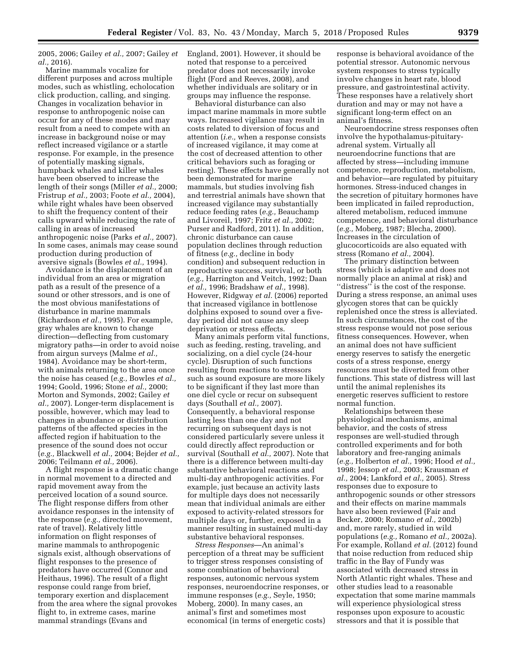2005, 2006; Gailey *et al.,* 2007; Gailey *et al.,* 2016).

Marine mammals vocalize for different purposes and across multiple modes, such as whistling, echolocation click production, calling, and singing. Changes in vocalization behavior in response to anthropogenic noise can occur for any of these modes and may result from a need to compete with an increase in background noise or may reflect increased vigilance or a startle response. For example, in the presence of potentially masking signals, humpback whales and killer whales have been observed to increase the length of their songs (Miller *et al.,* 2000; Fristrup *et al.,* 2003; Foote *et al.,* 2004), while right whales have been observed to shift the frequency content of their calls upward while reducing the rate of calling in areas of increased anthropogenic noise (Parks *et al.,* 2007). In some cases, animals may cease sound production during production of aversive signals (Bowles *et al.,* 1994).

Avoidance is the displacement of an individual from an area or migration path as a result of the presence of a sound or other stressors, and is one of the most obvious manifestations of disturbance in marine mammals (Richardson *et al.,* 1995). For example, gray whales are known to change direction—deflecting from customary migratory paths—in order to avoid noise from airgun surveys (Malme *et al.,*  1984). Avoidance may be short-term, with animals returning to the area once the noise has ceased (*e.g.,* Bowles *et al.,*  1994; Goold, 1996; Stone *et al.,* 2000; Morton and Symonds, 2002; Gailey *et al.,* 2007). Longer-term displacement is possible, however, which may lead to changes in abundance or distribution patterns of the affected species in the affected region if habituation to the presence of the sound does not occur (*e.g.,* Blackwell *et al.,* 2004; Bejder *et al.,*  2006; Teilmann *et al.,* 2006).

A flight response is a dramatic change in normal movement to a directed and rapid movement away from the perceived location of a sound source. The flight response differs from other avoidance responses in the intensity of the response (*e.g.,* directed movement, rate of travel). Relatively little information on flight responses of marine mammals to anthropogenic signals exist, although observations of flight responses to the presence of predators have occurred (Connor and Heithaus, 1996). The result of a flight response could range from brief, temporary exertion and displacement from the area where the signal provokes flight to, in extreme cases, marine mammal strandings (Evans and

England, 2001). However, it should be noted that response to a perceived predator does not necessarily invoke flight (Ford and Reeves, 2008), and whether individuals are solitary or in groups may influence the response.

Behavioral disturbance can also impact marine mammals in more subtle ways. Increased vigilance may result in costs related to diversion of focus and attention (*i.e.,* when a response consists of increased vigilance, it may come at the cost of decreased attention to other critical behaviors such as foraging or resting). These effects have generally not been demonstrated for marine mammals, but studies involving fish and terrestrial animals have shown that increased vigilance may substantially reduce feeding rates (*e.g.,* Beauchamp and Livoreil, 1997; Fritz *et al.,* 2002; Purser and Radford, 2011). In addition, chronic disturbance can cause population declines through reduction of fitness (*e.g.,* decline in body condition) and subsequent reduction in reproductive success, survival, or both (*e.g.,* Harrington and Veitch, 1992; Daan *et al.,* 1996; Bradshaw *et al.,* 1998). However, Ridgway *et al.* (2006) reported that increased vigilance in bottlenose dolphins exposed to sound over a fiveday period did not cause any sleep deprivation or stress effects.

Many animals perform vital functions, such as feeding, resting, traveling, and socializing, on a diel cycle (24-hour cycle). Disruption of such functions resulting from reactions to stressors such as sound exposure are more likely to be significant if they last more than one diel cycle or recur on subsequent days (Southall *et al.,* 2007). Consequently, a behavioral response lasting less than one day and not recurring on subsequent days is not considered particularly severe unless it could directly affect reproduction or survival (Southall *et al.,* 2007). Note that there is a difference between multi-day substantive behavioral reactions and multi-day anthropogenic activities. For example, just because an activity lasts for multiple days does not necessarily mean that individual animals are either exposed to activity-related stressors for multiple days or, further, exposed in a manner resulting in sustained multi-day substantive behavioral responses.

*Stress Responses*—An animal's perception of a threat may be sufficient to trigger stress responses consisting of some combination of behavioral responses, autonomic nervous system responses, neuroendocrine responses, or immune responses (*e.g.,* Seyle, 1950; Moberg, 2000). In many cases, an animal's first and sometimes most economical (in terms of energetic costs)

response is behavioral avoidance of the potential stressor. Autonomic nervous system responses to stress typically involve changes in heart rate, blood pressure, and gastrointestinal activity. These responses have a relatively short duration and may or may not have a significant long-term effect on an animal's fitness.

Neuroendocrine stress responses often involve the hypothalamus-pituitaryadrenal system. Virtually all neuroendocrine functions that are affected by stress—including immune competence, reproduction, metabolism, and behavior—are regulated by pituitary hormones. Stress-induced changes in the secretion of pituitary hormones have been implicated in failed reproduction, altered metabolism, reduced immune competence, and behavioral disturbance (*e.g.,* Moberg, 1987; Blecha, 2000). Increases in the circulation of glucocorticoids are also equated with stress (Romano *et al.,* 2004).

The primary distinction between stress (which is adaptive and does not normally place an animal at risk) and ''distress'' is the cost of the response. During a stress response, an animal uses glycogen stores that can be quickly replenished once the stress is alleviated. In such circumstances, the cost of the stress response would not pose serious fitness consequences. However, when an animal does not have sufficient energy reserves to satisfy the energetic costs of a stress response, energy resources must be diverted from other functions. This state of distress will last until the animal replenishes its energetic reserves sufficient to restore normal function.

Relationships between these physiological mechanisms, animal behavior, and the costs of stress responses are well-studied through controlled experiments and for both laboratory and free-ranging animals (*e.g.,* Holberton *et al.,* 1996; Hood *et al.,*  1998; Jessop *et al.,* 2003; Krausman *et al.,* 2004; Lankford *et al.,* 2005). Stress responses due to exposure to anthropogenic sounds or other stressors and their effects on marine mammals have also been reviewed (Fair and Becker, 2000; Romano *et al.,* 2002b) and, more rarely, studied in wild populations (*e.g.,* Romano *et al.,* 2002a). For example, Rolland *et al.* (2012) found that noise reduction from reduced ship traffic in the Bay of Fundy was associated with decreased stress in North Atlantic right whales. These and other studies lead to a reasonable expectation that some marine mammals will experience physiological stress responses upon exposure to acoustic stressors and that it is possible that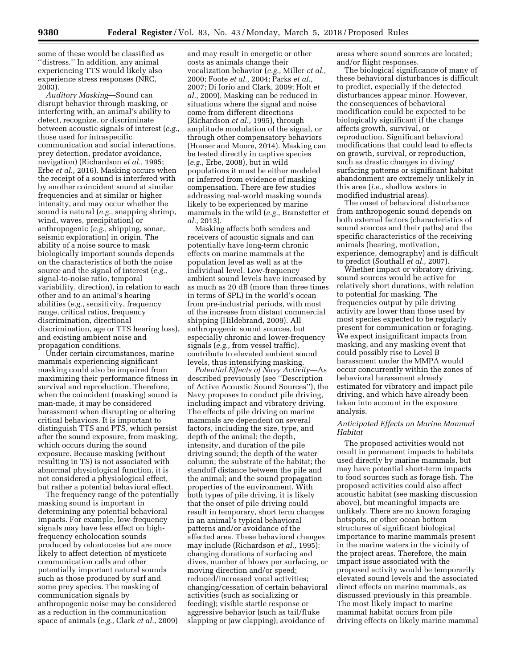some of these would be classified as ''distress.'' In addition, any animal experiencing TTS would likely also experience stress responses (NRC, 2003).

*Auditory Masking*—Sound can disrupt behavior through masking, or interfering with, an animal's ability to detect, recognize, or discriminate between acoustic signals of interest (*e.g.,*  those used for intraspecific communication and social interactions, prey detection, predator avoidance, navigation) (Richardson *et al.,* 1995; Erbe *et al.,* 2016). Masking occurs when the receipt of a sound is interfered with by another coincident sound at similar frequencies and at similar or higher intensity, and may occur whether the sound is natural (*e.g.,* snapping shrimp, wind, waves, precipitation) or anthropogenic (*e.g.,* shipping, sonar, seismic exploration) in origin. The ability of a noise source to mask biologically important sounds depends on the characteristics of both the noise source and the signal of interest (*e.g.,*  signal-to-noise ratio, temporal variability, direction), in relation to each other and to an animal's hearing abilities (*e.g.,* sensitivity, frequency range, critical ratios, frequency discrimination, directional discrimination, age or TTS hearing loss), and existing ambient noise and propagation conditions.

Under certain circumstances, marine mammals experiencing significant masking could also be impaired from maximizing their performance fitness in survival and reproduction. Therefore, when the coincident (masking) sound is man-made, it may be considered harassment when disrupting or altering critical behaviors. It is important to distinguish TTS and PTS, which persist after the sound exposure, from masking, which occurs during the sound exposure. Because masking (without resulting in TS) is not associated with abnormal physiological function, it is not considered a physiological effect, but rather a potential behavioral effect.

The frequency range of the potentially masking sound is important in determining any potential behavioral impacts. For example, low-frequency signals may have less effect on highfrequency echolocation sounds produced by odontocetes but are more likely to affect detection of mysticete communication calls and other potentially important natural sounds such as those produced by surf and some prey species. The masking of communication signals by anthropogenic noise may be considered as a reduction in the communication space of animals (*e.g.,* Clark *et al.,* 2009)

and may result in energetic or other costs as animals change their vocalization behavior (*e.g.,* Miller *et al.,*  2000; Foote *et al.,* 2004; Parks *et al.,*  2007; Di Iorio and Clark, 2009; Holt *et al.,* 2009). Masking can be reduced in situations where the signal and noise come from different directions (Richardson *et al.,* 1995), through amplitude modulation of the signal, or through other compensatory behaviors (Houser and Moore, 2014). Masking can be tested directly in captive species (*e.g.,* Erbe, 2008), but in wild populations it must be either modeled or inferred from evidence of masking compensation. There are few studies addressing real-world masking sounds likely to be experienced by marine mammals in the wild (*e.g.,* Branstetter *et al.,* 2013).

Masking affects both senders and receivers of acoustic signals and can potentially have long-term chronic effects on marine mammals at the population level as well as at the individual level. Low-frequency ambient sound levels have increased by as much as 20 dB (more than three times in terms of SPL) in the world's ocean from pre-industrial periods, with most of the increase from distant commercial shipping (Hildebrand, 2009). All anthropogenic sound sources, but especially chronic and lower-frequency signals (*e.g.,* from vessel traffic), contribute to elevated ambient sound levels, thus intensifying masking.

*Potential Effects of Navy Activity*—As described previously (see ''Description of Active Acoustic Sound Sources''), the Navy proposes to conduct pile driving, including impact and vibratory driving. The effects of pile driving on marine mammals are dependent on several factors, including the size, type, and depth of the animal; the depth, intensity, and duration of the pile driving sound; the depth of the water column; the substrate of the habitat; the standoff distance between the pile and the animal; and the sound propagation properties of the environment. With both types of pile driving, it is likely that the onset of pile driving could result in temporary, short term changes in an animal's typical behavioral patterns and/or avoidance of the affected area. These behavioral changes may include (Richardson *et al.,* 1995): changing durations of surfacing and dives, number of blows per surfacing, or moving direction and/or speed; reduced/increased vocal activities; changing/cessation of certain behavioral activities (such as socializing or feeding); visible startle response or aggressive behavior (such as tail/fluke slapping or jaw clapping); avoidance of

areas where sound sources are located; and/or flight responses.

The biological significance of many of these behavioral disturbances is difficult to predict, especially if the detected disturbances appear minor. However, the consequences of behavioral modification could be expected to be biologically significant if the change affects growth, survival, or reproduction. Significant behavioral modifications that could lead to effects on growth, survival, or reproduction, such as drastic changes in diving/ surfacing patterns or significant habitat abandonment are extremely unlikely in this area (*i.e.,* shallow waters in modified industrial areas).

The onset of behavioral disturbance from anthropogenic sound depends on both external factors (characteristics of sound sources and their paths) and the specific characteristics of the receiving animals (hearing, motivation, experience, demography) and is difficult to predict (Southall *et al.,* 2007).

Whether impact or vibratory driving, sound sources would be active for relatively short durations, with relation to potential for masking. The frequencies output by pile driving activity are lower than those used by most species expected to be regularly present for communication or foraging. We expect insignificant impacts from masking, and any masking event that could possibly rise to Level B harassment under the MMPA would occur concurrently within the zones of behavioral harassment already estimated for vibratory and impact pile driving, and which have already been taken into account in the exposure analysis.

# *Anticipated Effects on Marine Mammal Habitat*

The proposed activities would not result in permanent impacts to habitats used directly by marine mammals, but may have potential short-term impacts to food sources such as forage fish. The proposed activities could also affect acoustic habitat (see masking discussion above), but meaningful impacts are unlikely. There are no known foraging hotspots, or other ocean bottom structures of significant biological importance to marine mammals present in the marine waters in the vicinity of the project areas. Therefore, the main impact issue associated with the proposed activity would be temporarily elevated sound levels and the associated direct effects on marine mammals, as discussed previously in this preamble. The most likely impact to marine mammal habitat occurs from pile driving effects on likely marine mammal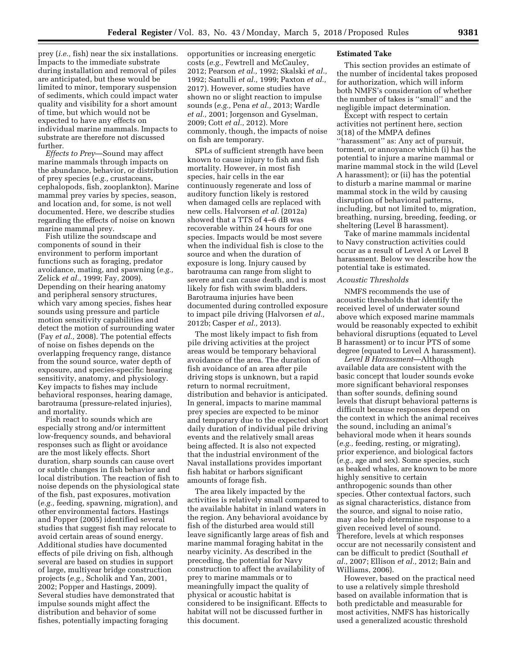prey (*i.e.,* fish) near the six installations. Impacts to the immediate substrate during installation and removal of piles are anticipated, but these would be limited to minor, temporary suspension of sediments, which could impact water quality and visibility for a short amount of time, but which would not be expected to have any effects on individual marine mammals. Impacts to substrate are therefore not discussed further.

*Effects to Prey*—Sound may affect marine mammals through impacts on the abundance, behavior, or distribution of prey species (*e.g.,* crustaceans, cephalopods, fish, zooplankton). Marine mammal prey varies by species, season, and location and, for some, is not well documented. Here, we describe studies regarding the effects of noise on known marine mammal prey.

Fish utilize the soundscape and components of sound in their environment to perform important functions such as foraging, predator avoidance, mating, and spawning (*e.g.,*  Zelick *et al.,* 1999; Fay, 2009). Depending on their hearing anatomy and peripheral sensory structures, which vary among species, fishes hear sounds using pressure and particle motion sensitivity capabilities and detect the motion of surrounding water (Fay *et al.,* 2008). The potential effects of noise on fishes depends on the overlapping frequency range, distance from the sound source, water depth of exposure, and species-specific hearing sensitivity, anatomy, and physiology. Key impacts to fishes may include behavioral responses, hearing damage, barotrauma (pressure-related injuries), and mortality.

Fish react to sounds which are especially strong and/or intermittent low-frequency sounds, and behavioral responses such as flight or avoidance are the most likely effects. Short duration, sharp sounds can cause overt or subtle changes in fish behavior and local distribution. The reaction of fish to noise depends on the physiological state of the fish, past exposures, motivation (*e.g.,* feeding, spawning, migration), and other environmental factors. Hastings and Popper (2005) identified several studies that suggest fish may relocate to avoid certain areas of sound energy. Additional studies have documented effects of pile driving on fish, although several are based on studies in support of large, multiyear bridge construction projects (*e.g.,* Scholik and Yan, 2001, 2002; Popper and Hastings, 2009). Several studies have demonstrated that impulse sounds might affect the distribution and behavior of some fishes, potentially impacting foraging

opportunities or increasing energetic costs (*e.g.,* Fewtrell and McCauley, 2012; Pearson *et al.,* 1992; Skalski *et al.,*  1992; Santulli *et al.,* 1999; Paxton *et al.,*  2017). However, some studies have shown no or slight reaction to impulse sounds (*e.g.,* Pena *et al.,* 2013; Wardle *et al.,* 2001; Jorgenson and Gyselman, 2009; Cott *et al.,* 2012). More commonly, though, the impacts of noise on fish are temporary.

SPLs of sufficient strength have been known to cause injury to fish and fish mortality. However, in most fish species, hair cells in the ear continuously regenerate and loss of auditory function likely is restored when damaged cells are replaced with new cells. Halvorsen *et al.* (2012a) showed that a TTS of 4–6 dB was recoverable within 24 hours for one species. Impacts would be most severe when the individual fish is close to the source and when the duration of exposure is long. Injury caused by barotrauma can range from slight to severe and can cause death, and is most likely for fish with swim bladders. Barotrauma injuries have been documented during controlled exposure to impact pile driving (Halvorsen *et al.,*  2012b; Casper *et al.,* 2013).

The most likely impact to fish from pile driving activities at the project areas would be temporary behavioral avoidance of the area. The duration of fish avoidance of an area after pile driving stops is unknown, but a rapid return to normal recruitment, distribution and behavior is anticipated. In general, impacts to marine mammal prey species are expected to be minor and temporary due to the expected short daily duration of individual pile driving events and the relatively small areas being affected. It is also not expected that the industrial environment of the Naval installations provides important fish habitat or harbors significant amounts of forage fish.

The area likely impacted by the activities is relatively small compared to the available habitat in inland waters in the region. Any behavioral avoidance by fish of the disturbed area would still leave significantly large areas of fish and marine mammal foraging habitat in the nearby vicinity. As described in the preceding, the potential for Navy construction to affect the availability of prey to marine mammals or to meaningfully impact the quality of physical or acoustic habitat is considered to be insignificant. Effects to habitat will not be discussed further in this document.

# **Estimated Take**

This section provides an estimate of the number of incidental takes proposed for authorization, which will inform both NMFS's consideration of whether the number of takes is ''small'' and the negligible impact determination.

Except with respect to certain activities not pertinent here, section 3(18) of the MMPA defines ''harassment'' as: Any act of pursuit, torment, or annoyance which (i) has the potential to injure a marine mammal or marine mammal stock in the wild (Level A harassment); or (ii) has the potential to disturb a marine mammal or marine mammal stock in the wild by causing disruption of behavioral patterns, including, but not limited to, migration, breathing, nursing, breeding, feeding, or sheltering (Level B harassment).

Take of marine mammals incidental to Navy construction activities could occur as a result of Level A or Level B harassment. Below we describe how the potential take is estimated.

## *Acoustic Thresholds*

NMFS recommends the use of acoustic thresholds that identify the received level of underwater sound above which exposed marine mammals would be reasonably expected to exhibit behavioral disruptions (equated to Level B harassment) or to incur PTS of some degree (equated to Level A harassment).

*Level B Harassment*—Although available data are consistent with the basic concept that louder sounds evoke more significant behavioral responses than softer sounds, defining sound levels that disrupt behavioral patterns is difficult because responses depend on the context in which the animal receives the sound, including an animal's behavioral mode when it hears sounds (*e.g.,* feeding, resting, or migrating), prior experience, and biological factors (*e.g.,* age and sex). Some species, such as beaked whales, are known to be more highly sensitive to certain anthropogenic sounds than other species. Other contextual factors, such as signal characteristics, distance from the source, and signal to noise ratio, may also help determine response to a given received level of sound. Therefore, levels at which responses occur are not necessarily consistent and can be difficult to predict (Southall *et al.,* 2007; Ellison *et al.,* 2012; Bain and Williams, 2006).

However, based on the practical need to use a relatively simple threshold based on available information that is both predictable and measurable for most activities, NMFS has historically used a generalized acoustic threshold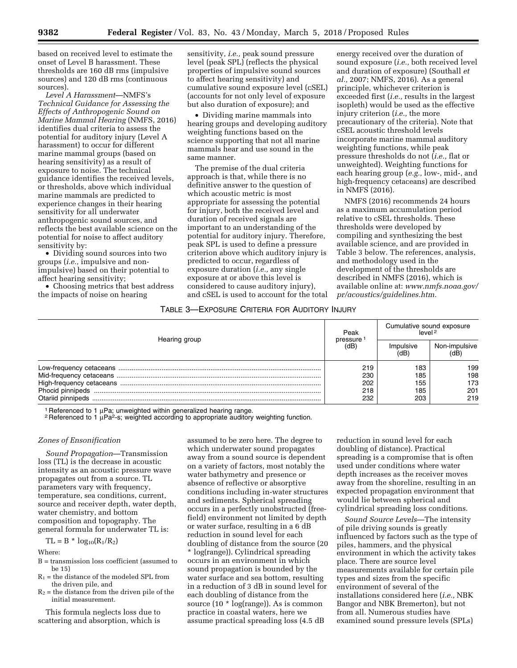based on received level to estimate the onset of Level B harassment. These thresholds are 160 dB rms (impulsive sources) and 120 dB rms (continuous sources).

*Level A Harassment*—NMFS's *Technical Guidance for Assessing the Effects of Anthropogenic Sound on Marine Mammal Hearing* (NMFS, 2016) identifies dual criteria to assess the potential for auditory injury (Level A harassment) to occur for different marine mammal groups (based on hearing sensitivity) as a result of exposure to noise. The technical guidance identifies the received levels, or thresholds, above which individual marine mammals are predicted to experience changes in their hearing sensitivity for all underwater anthropogenic sound sources, and reflects the best available science on the potential for noise to affect auditory sensitivity by:

• Dividing sound sources into two groups (*i.e.,* impulsive and nonimpulsive) based on their potential to affect hearing sensitivity;

• Choosing metrics that best address the impacts of noise on hearing

sensitivity, *i.e.,* peak sound pressure level (peak SPL) (reflects the physical properties of impulsive sound sources to affect hearing sensitivity) and cumulative sound exposure level (cSEL) (accounts for not only level of exposure but also duration of exposure); and

• Dividing marine mammals into hearing groups and developing auditory weighting functions based on the science supporting that not all marine mammals hear and use sound in the same manner.

The premise of the dual criteria approach is that, while there is no definitive answer to the question of which acoustic metric is most appropriate for assessing the potential for injury, both the received level and duration of received signals are important to an understanding of the potential for auditory injury. Therefore, peak SPL is used to define a pressure criterion above which auditory injury is predicted to occur, regardless of exposure duration (*i.e.,* any single exposure at or above this level is considered to cause auditory injury), and cSEL is used to account for the total

energy received over the duration of sound exposure (*i.e.,* both received level and duration of exposure) (Southall *et al.,* 2007; NMFS, 2016). As a general principle, whichever criterion is exceeded first (*i.e.,* results in the largest isopleth) would be used as the effective injury criterion (*i.e.,* the more precautionary of the criteria). Note that cSEL acoustic threshold levels incorporate marine mammal auditory weighting functions, while peak pressure thresholds do not (*i.e.,* flat or unweighted). Weighting functions for each hearing group (*e.g.,* low-, mid-, and high-frequency cetaceans) are described in NMFS (2016).

NMFS (2016) recommends 24 hours as a maximum accumulation period relative to cSEL thresholds. These thresholds were developed by compiling and synthesizing the best available science, and are provided in Table 3 below. The references, analysis, and methodology used in the development of the thresholds are described in NMFS (2016), which is available online at: *[www.nmfs.noaa.gov/](http://www.nmfs.noaa.gov/pr/acoustics/guidelines.htm)  [pr/acoustics/guidelines.htm.](http://www.nmfs.noaa.gov/pr/acoustics/guidelines.htm)* 

# TABLE 3—EXPOSURE CRITERIA FOR AUDITORY INJURY

|               | Peak<br>pressure | Cumulative sound exposure<br>level <sup>2</sup> |               |  |  |
|---------------|------------------|-------------------------------------------------|---------------|--|--|
| Hearing group |                  | Impulsive<br>(dB)                               | Non-impulsive |  |  |
|               | 219              | 183                                             | 199           |  |  |
|               | 230              | 185                                             | 198           |  |  |
|               | 202              | 155                                             | 173           |  |  |
|               | 218              | 185                                             | 201           |  |  |
|               | 232              | 203                                             | 219           |  |  |

<sup>1</sup> Referenced to 1 μPa; unweighted within generalized hearing range.<br><sup>2</sup> Referenced to 1 μPa<sup>2</sup>-s; weighted according to appropriate auditory weighting function.

# *Zones of Ensonification*

*Sound Propagation*—Transmission loss (TL) is the decrease in acoustic intensity as an acoustic pressure wave propagates out from a source. TL parameters vary with frequency, temperature, sea conditions, current, source and receiver depth, water depth, water chemistry, and bottom composition and topography. The general formula for underwater TL is:

 $TL = B * log<sub>10</sub>(R<sub>1</sub>/R<sub>2</sub>)$ 

#### Where:

- B = transmission loss coefficient (assumed to be 15)
- $R_1$  = the distance of the modeled SPL from the driven pile, and
- $R<sub>2</sub>$  = the distance from the driven pile of the initial measurement.

This formula neglects loss due to scattering and absorption, which is

assumed to be zero here. The degree to which underwater sound propagates away from a sound source is dependent on a variety of factors, most notably the water bathymetry and presence or absence of reflective or absorptive conditions including in-water structures and sediments. Spherical spreading occurs in a perfectly unobstructed (freefield) environment not limited by depth or water surface, resulting in a 6 dB reduction in sound level for each doubling of distance from the source (20 \* log(range)). Cylindrical spreading occurs in an environment in which sound propagation is bounded by the water surface and sea bottom, resulting in a reduction of 3 dB in sound level for each doubling of distance from the source (10 \* log(range)). As is common practice in coastal waters, here we assume practical spreading loss (4.5 dB

reduction in sound level for each doubling of distance). Practical spreading is a compromise that is often used under conditions where water depth increases as the receiver moves away from the shoreline, resulting in an expected propagation environment that would lie between spherical and cylindrical spreading loss conditions.

*Sound Source Levels*—The intensity of pile driving sounds is greatly influenced by factors such as the type of piles, hammers, and the physical environment in which the activity takes place. There are source level measurements available for certain pile types and sizes from the specific environment of several of the installations considered here (*i.e.,* NBK Bangor and NBK Bremerton), but not from all. Numerous studies have examined sound pressure levels (SPLs)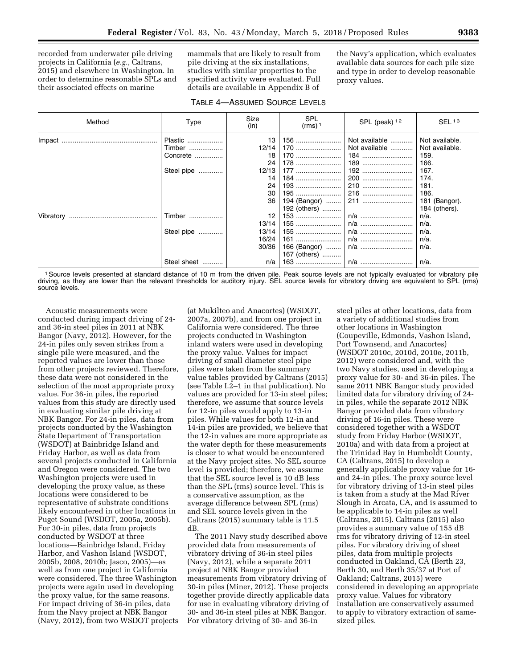recorded from underwater pile driving projects in California (*e.g.,* Caltrans, 2015) and elsewhere in Washington. In order to determine reasonable SPLs and their associated effects on marine

mammals that are likely to result from pile driving at the six installations, studies with similar properties to the specified activity were evaluated. Full details are available in Appendix B of

the Navy's application, which evaluates available data sources for each pile size and type in order to develop reasonable proxy values.

| Method    | Type                          | Size<br>(in)                  | <b>SPL</b><br>$(rms)$ <sup>1</sup> | SPL (peak) $12$                              | SEL <sup>13</sup>                                              |
|-----------|-------------------------------|-------------------------------|------------------------------------|----------------------------------------------|----------------------------------------------------------------|
|           | Plastic<br>Timber<br>Concrete | 13<br>12/14<br>18<br>24       | 178                                | Not available<br>Not available<br>184<br>189 | Not available.<br>Not available.<br>159.<br>166.               |
|           | Steel pipe                    | 12/13<br>14<br>24<br>30<br>36 | 177<br>184   <br>192 (others)      | 192<br>200                                   | 167.<br>174.<br>181.<br>186.<br>181 (Bangor).<br>184 (others). |
| Vibratory | Timber                        | 12<br>13/14                   |                                    |                                              | $n/a$ .<br>n/a.                                                |
|           | Steel pipe                    | 13/14<br>16/24<br>30/36       | 161<br>167 (others)                | n/a                                          | $n/a$ .<br>$n/a$ .<br>$n/a$ .                                  |
|           | Steel sheet                   | n/a                           |                                    |                                              | $n/a$ .                                                        |

1Source levels presented at standard distance of 10 m from the driven pile. Peak source levels are not typically evaluated for vibratory pile driving, as they are lower than the relevant thresholds for auditory injury. SEL source levels for vibratory driving are equivalent to SPL (rms) source levels.

Acoustic measurements were conducted during impact driving of 24 and 36-in steel piles in 2011 at NBK Bangor (Navy, 2012). However, for the 24-in piles only seven strikes from a single pile were measured, and the reported values are lower than those from other projects reviewed. Therefore, these data were not considered in the selection of the most appropriate proxy value. For 36-in piles, the reported values from this study are directly used in evaluating similar pile driving at NBK Bangor. For 24-in piles, data from projects conducted by the Washington State Department of Transportation (WSDOT) at Bainbridge Island and Friday Harbor, as well as data from several projects conducted in California and Oregon were considered. The two Washington projects were used in developing the proxy value, as these locations were considered to be representative of substrate conditions likely encountered in other locations in Puget Sound (WSDOT, 2005a, 2005b). For 30-in piles, data from projects conducted by WSDOT at three locations—Bainbridge Island, Friday Harbor, and Vashon Island (WSDOT, 2005b, 2008, 2010b; Jasco, 2005)—as well as from one project in California were considered. The three Washington projects were again used in developing the proxy value, for the same reasons. For impact driving of 36-in piles, data from the Navy project at NBK Bangor (Navy, 2012), from two WSDOT projects

(at Mukilteo and Anacortes) (WSDOT, 2007a, 2007b), and from one project in California were considered. The three projects conducted in Washington inland waters were used in developing the proxy value. Values for impact driving of small diameter steel pipe piles were taken from the summary value tables provided by Caltrans (2015) (see Table I.2–1 in that publication). No values are provided for 13-in steel piles; therefore, we assume that source levels for 12-in piles would apply to 13-in piles. While values for both 12-in and 14-in piles are provided, we believe that the 12-in values are more appropriate as the water depth for these measurements is closer to what would be encountered at the Navy project sites. No SEL source level is provided; therefore, we assume that the SEL source level is 10 dB less than the SPL (rms) source level. This is a conservative assumption, as the average difference between SPL (rms) and SEL source levels given in the Caltrans (2015) summary table is 11.5 dB.

The 2011 Navy study described above provided data from measurements of vibratory driving of 36-in steel piles (Navy, 2012), while a separate 2011 project at NBK Bangor provided measurements from vibratory driving of 30-in piles (Miner, 2012). These projects together provide directly applicable data for use in evaluating vibratory driving of 30- and 36-in steel piles at NBK Bangor. For vibratory driving of 30- and 36-in

steel piles at other locations, data from a variety of additional studies from other locations in Washington (Coupeville, Edmonds, Vashon Island, Port Townsend, and Anacortes) (WSDOT 2010c, 2010d, 2010e, 2011b, 2012) were considered and, with the two Navy studies, used in developing a proxy value for 30- and 36-in piles. The same 2011 NBK Bangor study provided limited data for vibratory driving of 24 in piles, while the separate 2012 NBK Bangor provided data from vibratory driving of 16-in piles. These were considered together with a WSDOT study from Friday Harbor (WSDOT, 2010a) and with data from a project at the Trinidad Bay in Humboldt County, CA (Caltrans, 2015) to develop a generally applicable proxy value for 16 and 24-in piles. The proxy source level for vibratory driving of 13-in steel piles is taken from a study at the Mad River Slough in Arcata, CA, and is assumed to be applicable to 14-in piles as well (Caltrans, 2015). Caltrans (2015) also provides a summary value of 155 dB rms for vibratory driving of 12-in steel piles. For vibratory driving of sheet piles, data from multiple projects conducted in Oakland, CA (Berth 23, Berth 30, and Berth 35/37 at Port of Oakland; Caltrans, 2015) were considered in developing an appropriate proxy value. Values for vibratory installation are conservatively assumed to apply to vibratory extraction of samesized piles.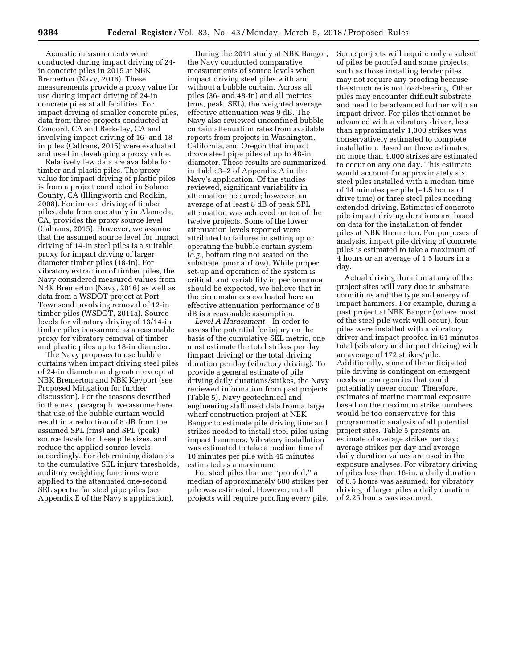Acoustic measurements were conducted during impact driving of 24 in concrete piles in 2015 at NBK Bremerton (Navy, 2016). These measurements provide a proxy value for use during impact driving of 24-in concrete piles at all facilities. For impact driving of smaller concrete piles, data from three projects conducted at Concord, CA and Berkeley, CA and involving impact driving of 16- and 18 in piles (Caltrans, 2015) were evaluated and used in developing a proxy value.

Relatively few data are available for timber and plastic piles. The proxy value for impact driving of plastic piles is from a project conducted in Solano County, CA (Illingworth and Rodkin, 2008). For impact driving of timber piles, data from one study in Alameda, CA, provides the proxy source level (Caltrans, 2015). However, we assume that the assumed source level for impact driving of 14-in steel piles is a suitable proxy for impact driving of larger diameter timber piles (18-in). For vibratory extraction of timber piles, the Navy considered measured values from NBK Bremerton (Navy, 2016) as well as data from a WSDOT project at Port Townsend involving removal of 12-in timber piles (WSDOT, 2011a). Source levels for vibratory driving of 13/14-in timber piles is assumed as a reasonable proxy for vibratory removal of timber and plastic piles up to 18-in diameter.

The Navy proposes to use bubble curtains when impact driving steel piles of 24-in diameter and greater, except at NBK Bremerton and NBK Keyport (see Proposed Mitigation for further discussion). For the reasons described in the next paragraph, we assume here that use of the bubble curtain would result in a reduction of 8 dB from the assumed SPL (rms) and SPL (peak) source levels for these pile sizes, and reduce the applied source levels accordingly. For determining distances to the cumulative SEL injury thresholds, auditory weighting functions were applied to the attenuated one-second SEL spectra for steel pipe piles (see Appendix E of the Navy's application).

During the 2011 study at NBK Bangor, the Navy conducted comparative measurements of source levels when impact driving steel piles with and without a bubble curtain. Across all piles (36- and 48-in) and all metrics (rms, peak, SEL), the weighted average effective attenuation was 9 dB. The Navy also reviewed unconfined bubble curtain attenuation rates from available reports from projects in Washington, California, and Oregon that impact drove steel pipe piles of up to 48-in diameter. These results are summarized in Table 3–2 of Appendix A in the Navy's application. Of the studies reviewed, significant variability in attenuation occurred; however, an average of at least 8 dB of peak SPL attenuation was achieved on ten of the twelve projects. Some of the lower attenuation levels reported were attributed to failures in setting up or operating the bubble curtain system (*e.g.,* bottom ring not seated on the substrate, poor airflow). While proper set-up and operation of the system is critical, and variability in performance should be expected, we believe that in the circumstances evaluated here an effective attenuation performance of 8 dB is a reasonable assumption.

*Level A Harassment*—In order to assess the potential for injury on the basis of the cumulative SEL metric, one must estimate the total strikes per day (impact driving) or the total driving duration per day (vibratory driving). To provide a general estimate of pile driving daily durations/strikes, the Navy reviewed information from past projects (Table 5). Navy geotechnical and engineering staff used data from a large wharf construction project at NBK Bangor to estimate pile driving time and strikes needed to install steel piles using impact hammers. Vibratory installation was estimated to take a median time of 10 minutes per pile with 45 minutes estimated as a maximum.

For steel piles that are ''proofed,'' a median of approximately 600 strikes per pile was estimated. However, not all projects will require proofing every pile.

Some projects will require only a subset of piles be proofed and some projects, such as those installing fender piles, may not require any proofing because the structure is not load-bearing. Other piles may encounter difficult substrate and need to be advanced further with an impact driver. For piles that cannot be advanced with a vibratory driver, less than approximately 1,300 strikes was conservatively estimated to complete installation. Based on these estimates, no more than 4,000 strikes are estimated to occur on any one day. This estimate would account for approximately six steel piles installed with a median time of 14 minutes per pile (∼1.5 hours of drive time) or three steel piles needing extended driving. Estimates of concrete pile impact driving durations are based on data for the installation of fender piles at NBK Bremerton. For purposes of analysis, impact pile driving of concrete piles is estimated to take a maximum of 4 hours or an average of 1.5 hours in a day.

Actual driving duration at any of the project sites will vary due to substrate conditions and the type and energy of impact hammers. For example, during a past project at NBK Bangor (where most of the steel pile work will occur), four piles were installed with a vibratory driver and impact proofed in 61 minutes total (vibratory and impact driving) with an average of 172 strikes/pile. Additionally, some of the anticipated pile driving is contingent on emergent needs or emergencies that could potentially never occur. Therefore, estimates of marine mammal exposure based on the maximum strike numbers would be too conservative for this programmatic analysis of all potential project sites. Table 5 presents an estimate of average strikes per day; average strikes per day and average daily duration values are used in the exposure analyses. For vibratory driving of piles less than 16-in, a daily duration of 0.5 hours was assumed; for vibratory driving of larger piles a daily duration of 2.25 hours was assumed.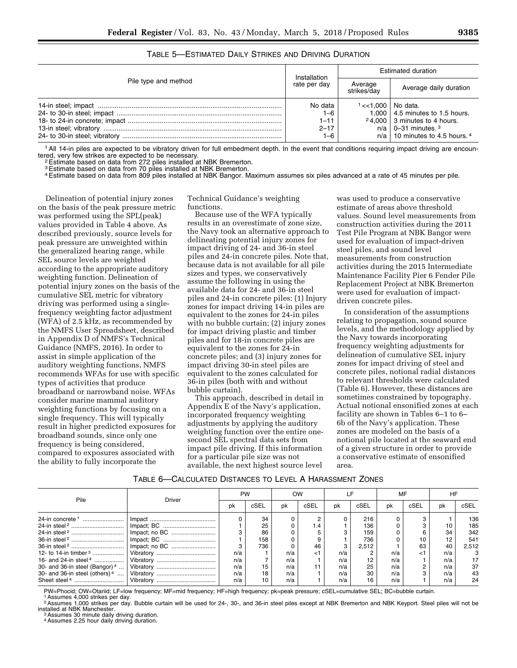|                      | Installation | <b>Estimated duration</b> |                                         |  |  |
|----------------------|--------------|---------------------------|-----------------------------------------|--|--|
| Pile type and method | rate per day | Average<br>strikes/dav    | Average daily duration                  |  |  |
|                      | No data      | $1 < 1.000$   No data.    |                                         |  |  |
|                      | 1–6          |                           | 1,000 $\vert$ 4.5 minutes to 1.5 hours. |  |  |
|                      | $1 - 11$     |                           | $24,000$ 3 minutes to 4 hours.          |  |  |
|                      | $2 - 17$     |                           | $n/a$   0-31 minutes. $3$               |  |  |
|                      | 1–6          |                           | $n/a$   10 minutes to 4.5 hours. 4      |  |  |

TABLE 5—ESTIMATED DAILY STRIKES AND DRIVING DURATION

<sup>1</sup> All 14-in piles are expected to be vibratory driven for full embedment depth. In the event that conditions requiring impact driving are encountered, very few strikes are expected to be necessary.

<sup>2</sup> Estimate based on data from 272 piles installed at NBK Bremerton.

3Estimate based on data from 70 piles installed at NBK Bremerton.

4Estimate based on data from 809 piles installed at NBK Bangor. Maximum assumes six piles advanced at a rate of 45 minutes per pile.

Delineation of potential injury zones on the basis of the peak pressure metric was performed using the SPL(peak) values provided in Table 4 above. As described previously, source levels for peak pressure are unweighted within the generalized hearing range, while SEL source levels are weighted according to the appropriate auditory weighting function. Delineation of potential injury zones on the basis of the cumulative SEL metric for vibratory driving was performed using a singlefrequency weighting factor adjustment (WFA) of 2.5 kHz, as recommended by the NMFS User Spreadsheet, described in Appendix D of NMFS's Technical Guidance (NMFS, 2016). In order to assist in simple application of the auditory weighting functions, NMFS recommends WFAs for use with specific types of activities that produce broadband or narrowband noise. WFAs consider marine mammal auditory weighting functions by focusing on a single frequency. This will typically result in higher predicted exposures for broadband sounds, since only one frequency is being considered, compared to exposures associated with the ability to fully incorporate the

Technical Guidance's weighting functions.

Because use of the WFA typically results in an overestimate of zone size, the Navy took an alternative approach to delineating potential injury zones for impact driving of 24- and 36-in steel piles and 24-in concrete piles. Note that, because data is not available for all pile sizes and types, we conservatively assume the following in using the available data for 24- and 36-in steel piles and 24-in concrete piles: (1) Injury zones for impact driving 14-in piles are equivalent to the zones for 24-in piles with no bubble curtain; (2) injury zones for impact driving plastic and timber piles and for 18-in concrete piles are equivalent to the zones for 24-in concrete piles; and (3) injury zones for impact driving 30-in steel piles are equivalent to the zones calculated for 36-in piles (both with and without bubble curtain).

This approach, described in detail in Appendix E of the Navy's application, incorporated frequency weighting adjustments by applying the auditory weighting function over the entire onesecond SEL spectral data sets from impact pile driving. If this information for a particular pile size was not available, the next highest source level

was used to produce a conservative estimate of areas above threshold values. Sound level measurements from construction activities during the 2011 Test Pile Program at NBK Bangor were used for evaluation of impact-driven steel piles, and sound level measurements from construction activities during the 2015 Intermediate Maintenance Facility Pier 6 Fender Pile Replacement Project at NBK Bremerton were used for evaluation of impactdriven concrete piles.

In consideration of the assumptions relating to propagation, sound source levels, and the methodology applied by the Navy towards incorporating frequency weighting adjustments for delineation of cumulative SEL injury zones for impact driving of steel and concrete piles, notional radial distances to relevant thresholds were calculated (Table 6). However, these distances are sometimes constrained by topography. Actual notional ensonified zones at each facility are shown in Tables 6–1 to 6– 6b of the Navy's application. These zones are modeled on the basis of a notional pile located at the seaward end of a given structure in order to provide a conservative estimate of ensonified area.

#### TABLE 6—CALCULATED DISTANCES TO LEVEL A HARASSMENT ZONES

| Pile                             | Driver | PW  |      | OW  |      |     |       | MF  |      | HF  |       |
|----------------------------------|--------|-----|------|-----|------|-----|-------|-----|------|-----|-------|
|                                  |        | рk  | cSEL | pk  | cSEL | pk  | cSEL  | pk  | cSEL | pk  | cSEL  |
| 24-in concrete <sup>1</sup>      |        |     | 34   |     |      |     | 216   |     |      |     | 136   |
|                                  |        |     | 25   |     | 1.4  |     | 136   |     |      |     | 185   |
|                                  |        |     | 86   |     |      |     | 159   |     |      | 34  | 342   |
|                                  |        |     | 158  |     |      |     | 736   |     |      | 12  | 541   |
|                                  |        | 3   | 736  |     | 46   | з   | 2.512 |     | 63   | 40  | 2.512 |
| 12- to 14-in timber <sup>3</sup> |        | n/a |      | n/a | ا>   | n/a |       | n/a |      | n/a |       |
| 16- and 24-in steel $4$          |        | n/a |      | n/a |      | n/a | 12    | n/a |      | n/a |       |
| 30- and 36-in steel (Bangor) $4$ |        | n/a | 15   | n/a |      | n/a | 25    | n/a |      | n/a | 37    |
| 30- and 36-in steel (others) $4$ |        | n/a | 18   | n/a |      | n/a | 30    | n/a |      | n/a | 43    |
|                                  |        | n/a | 10   | n/a |      | n/a | 16    | n/a |      | n/a | 24    |

PW=Phocid; OW=Otariid; LF=low frequency; MF=mid frequency; HF=high frequency; pk=peak pressure; cSEL=cumulative SEL; BC=bubble curtain.<br>1Assumes 4,000 strikes per day.

<sup>2</sup> Assumes 1,000 strikes per day. Bubble curtain will be used for 24-, 30-, and 36-in steel piles except at NBK Bremerton and NBK Keyport. Steel piles will not be<br>installed at NBK Manchester.<br><sup>3</sup> Assumes 30 minute daily d

4Assumes 2.25 hour daily driving duration.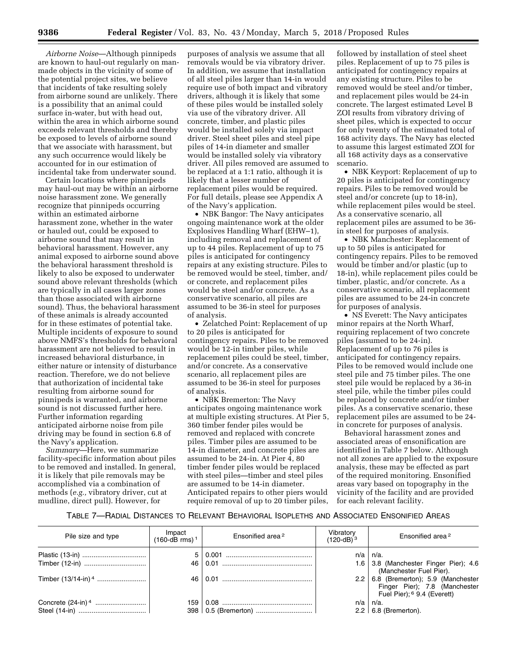*Airborne Noise*—Although pinnipeds are known to haul-out regularly on manmade objects in the vicinity of some of the potential project sites, we believe that incidents of take resulting solely from airborne sound are unlikely. There is a possibility that an animal could surface in-water, but with head out, within the area in which airborne sound exceeds relevant thresholds and thereby be exposed to levels of airborne sound that we associate with harassment, but any such occurrence would likely be accounted for in our estimation of incidental take from underwater sound.

Certain locations where pinnipeds may haul-out may be within an airborne noise harassment zone. We generally recognize that pinnipeds occurring within an estimated airborne harassment zone, whether in the water or hauled out, could be exposed to airborne sound that may result in behavioral harassment. However, any animal exposed to airborne sound above the behavioral harassment threshold is likely to also be exposed to underwater sound above relevant thresholds (which are typically in all cases larger zones than those associated with airborne sound). Thus, the behavioral harassment of these animals is already accounted for in these estimates of potential take. Multiple incidents of exposure to sound above NMFS's thresholds for behavioral harassment are not believed to result in increased behavioral disturbance, in either nature or intensity of disturbance reaction. Therefore, we do not believe that authorization of incidental take resulting from airborne sound for pinnipeds is warranted, and airborne sound is not discussed further here. Further information regarding anticipated airborne noise from pile driving may be found in section 6.8 of the Navy's application.

*Summary*—Here, we summarize facility-specific information about piles to be removed and installed. In general, it is likely that pile removals may be accomplished via a combination of methods (*e.g.,* vibratory driver, cut at mudline, direct pull). However, for

purposes of analysis we assume that all removals would be via vibratory driver. In addition, we assume that installation of all steel piles larger than 14-in would require use of both impact and vibratory drivers, although it is likely that some of these piles would be installed solely via use of the vibratory driver. All concrete, timber, and plastic piles would be installed solely via impact driver. Steel sheet piles and steel pipe piles of 14-in diameter and smaller would be installed solely via vibratory driver. All piles removed are assumed to be replaced at a 1:1 ratio, although it is likely that a lesser number of replacement piles would be required. For full details, please see Appendix A of the Navy's application.

• NBK Bangor: The Navy anticipates ongoing maintenance work at the older Explosives Handling Wharf (EHW–1), including removal and replacement of up to 44 piles. Replacement of up to 75 piles is anticipated for contingency repairs at any existing structure. Piles to be removed would be steel, timber, and/ or concrete, and replacement piles would be steel and/or concrete. As a conservative scenario, all piles are assumed to be 36-in steel for purposes of analysis.

• Zelatched Point: Replacement of up to 20 piles is anticipated for contingency repairs. Piles to be removed would be 12-in timber piles, while replacement piles could be steel, timber, and/or concrete. As a conservative scenario, all replacement piles are assumed to be 36-in steel for purposes of analysis.

• NBK Bremerton: The Navy anticipates ongoing maintenance work at multiple existing structures. At Pier 5, 360 timber fender piles would be removed and replaced with concrete piles. Timber piles are assumed to be 14-in diameter, and concrete piles are assumed to be 24-in. At Pier 4, 80 timber fender piles would be replaced with steel piles—timber and steel piles are assumed to be 14-in diameter. Anticipated repairs to other piers would require removal of up to 20 timber piles,

followed by installation of steel sheet piles. Replacement of up to 75 piles is anticipated for contingency repairs at any existing structure. Piles to be removed would be steel and/or timber, and replacement piles would be 24-in concrete. The largest estimated Level B ZOI results from vibratory driving of sheet piles, which is expected to occur for only twenty of the estimated total of 168 activity days. The Navy has elected to assume this largest estimated ZOI for all 168 activity days as a conservative scenario.

• NBK Keyport: Replacement of up to 20 piles is anticipated for contingency repairs. Piles to be removed would be steel and/or concrete (up to 18-in), while replacement piles would be steel. As a conservative scenario, all replacement piles are assumed to be 36 in steel for purposes of analysis.

• NBK Manchester: Replacement of up to 50 piles is anticipated for contingency repairs. Piles to be removed would be timber and/or plastic (up to 18-in), while replacement piles could be timber, plastic, and/or concrete. As a conservative scenario, all replacement piles are assumed to be 24-in concrete for purposes of analysis.

• NS Everett: The Navy anticipates minor repairs at the North Wharf, requiring replacement of two concrete piles (assumed to be 24-in). Replacement of up to 76 piles is anticipated for contingency repairs. Piles to be removed would include one steel pile and 75 timber piles. The one steel pile would be replaced by a 36-in steel pile, while the timber piles could be replaced by concrete and/or timber piles. As a conservative scenario, these replacement piles are assumed to be 24 in concrete for purposes of analysis.

Behavioral harassment zones and associated areas of ensonification are identified in Table 7 below. Although not all zones are applied to the exposure analysis, these may be effected as part of the required monitoring. Ensonified areas vary based on topography in the vicinity of the facility and are provided for each relevant facility.

## TABLE 7—RADIAL DISTANCES TO RELEVANT BEHAVIORAL ISOPLETHS AND ASSOCIATED ENSONIFIED AREAS

| Pile size and type | Impact<br>(160-dB rms) <sup>1</sup> | Ensonified area <sup>2</sup> | Vibratory<br>$(120-dB)^3$ | Ensonified area <sup>2</sup>                                                                              |
|--------------------|-------------------------------------|------------------------------|---------------------------|-----------------------------------------------------------------------------------------------------------|
|                    |                                     |                              |                           | $n/a \mid n/a$ .                                                                                          |
|                    |                                     |                              |                           | 1.6 3.8 (Manchester Finger Pier); 4.6<br>(Manchester Fuel Pier).                                          |
|                    |                                     |                              |                           | 2.2 $\,$ 6.8 (Bremerton); 5.9 (Manchester<br>Finger Pier); 7.8 (Manchester<br>Fuel Pier): 6 9.4 (Everett) |
|                    |                                     | 159   0.08                   | n/a                       | n/a.                                                                                                      |
|                    |                                     |                              |                           | $2.2 \mid 6.8$ (Bremerton).                                                                               |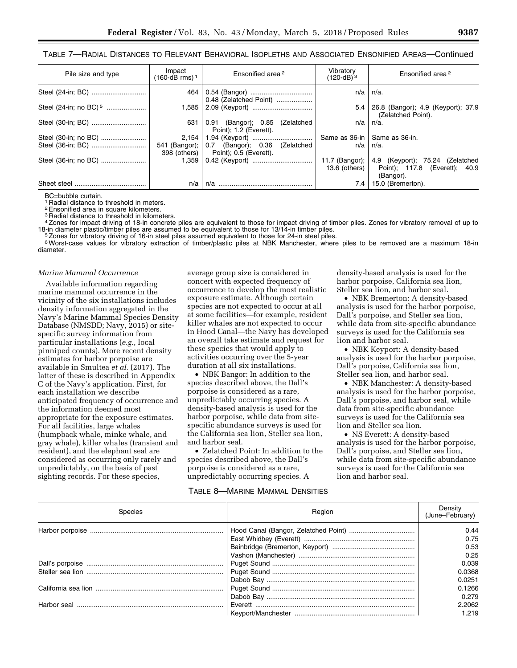TABLE 7—RADIAL DISTANCES TO RELEVANT BEHAVIORAL ISOPLETHS AND ASSOCIATED ENSONIFIED AREAS—Continued

| Pile size and type                | Impact<br>$(160 - dB$ rms) <sup>1</sup> | Ensonified area <sup>2</sup>                                                           | Vibratory<br>$(120-dB)^3$      | Ensonified area <sup>2</sup>                                                                                         |
|-----------------------------------|-----------------------------------------|----------------------------------------------------------------------------------------|--------------------------------|----------------------------------------------------------------------------------------------------------------------|
|                                   | 464                                     | 0.48 (Zelatched Point)                                                                 | n/a                            | n/a.                                                                                                                 |
| Steel (24-in; no BC) <sup>5</sup> |                                         |                                                                                        | 5.4                            | 26.8 (Bangor); 4.9 (Keyport); 37.9<br>(Zelatched Point).                                                             |
| Steel (30-in; BC)                 | 631                                     | 0.91 (Bangor); 0.85 (Zelatched<br>Point); 1.2 (Everett).                               | n/a                            | n/a.                                                                                                                 |
| Steel (30-in; no BC)              |                                         |                                                                                        | Same as 36-in   Same as 36-in. |                                                                                                                      |
|                                   |                                         | 541 (Bangor);   0.7 (Bangor); 0.36 (Zelatched<br>398 (others)   Point); 0.5 (Everett). | $n/a$ l                        | n/a.                                                                                                                 |
| Steel (36-in; no BC)              |                                         |                                                                                        |                                | 11.7 (Bangor); $\vert$ 4.9 (Keyport); 75.24 (Zelatched<br>13.6 (others)   Point); 117.8 (Everett); 40.9<br>(Bangor). |
|                                   | n/a                                     | n/a                                                                                    | 7.4                            | 15.0 (Bremerton).                                                                                                    |

BC=bubble curtain.

1 Radial distance to threshold in meters.

2Ensonified area in square kilometers.

3 Radial distance to threshold in kilometers.

<sup>4</sup>Zones for impact driving of 18-in concrete piles are equivalent to those for impact driving of timber piles. Zones for vibratory removal of up to 18-in diameter plastic/timber piles are assumed to be equivalent to those

Zones for vibratory driving of 16-in steel piles assumed equivalent to those for 24-in steel piles.

6Worst-case values for vibratory extraction of timber/plastic piles at NBK Manchester, where piles to be removed are a maximum 18-in diameter.

#### *Marine Mammal Occurrence*

Available information regarding marine mammal occurrence in the vicinity of the six installations includes density information aggregated in the Navy's Marine Mammal Species Density Database (NMSDD; Navy, 2015) or sitespecific survey information from particular installations (*e.g.,* local pinniped counts). More recent density estimates for harbor porpoise are available in Smultea *et al.* (2017). The latter of these is described in Appendix C of the Navy's application. First, for each installation we describe anticipated frequency of occurrence and the information deemed most appropriate for the exposure estimates. For all facilities, large whales (humpback whale, minke whale, and gray whale), killer whales (transient and resident), and the elephant seal are considered as occurring only rarely and unpredictably, on the basis of past sighting records. For these species,

average group size is considered in concert with expected frequency of occurrence to develop the most realistic exposure estimate. Although certain species are not expected to occur at all at some facilities—for example, resident killer whales are not expected to occur in Hood Canal—the Navy has developed an overall take estimate and request for these species that would apply to activities occurring over the 5-year duration at all six installations.

• NBK Bangor: In addition to the species described above, the Dall's porpoise is considered as a rare, unpredictably occurring species. A density-based analysis is used for the harbor porpoise, while data from sitespecific abundance surveys is used for the California sea lion, Steller sea lion, and harbor seal.

• Zelatched Point: In addition to the species described above, the Dall's porpoise is considered as a rare, unpredictably occurring species. A

TABLE 8—MARINE MAMMAL DENSITIES

density-based analysis is used for the harbor porpoise, California sea lion, Steller sea lion, and harbor seal.

• NBK Bremerton: A density-based analysis is used for the harbor porpoise, Dall's porpoise, and Steller sea lion, while data from site-specific abundance surveys is used for the California sea lion and harbor seal.

• NBK Keyport: A density-based analysis is used for the harbor porpoise, Dall's porpoise, California sea lion, Steller sea lion, and harbor seal.

• NBK Manchester: A density-based analysis is used for the harbor porpoise, Dall's porpoise, and harbor seal, while data from site-specific abundance surveys is used for the California sea lion and Steller sea lion.

• NS Everett: A density-based analysis is used for the harbor porpoise, Dall's porpoise, and Steller sea lion, while data from site-specific abundance surveys is used for the California sea lion and harbor seal.

| Species | Region | Density<br>(June–February) |
|---------|--------|----------------------------|
|         |        | 0.44                       |
|         |        | 0.75                       |
|         |        | 0.53                       |
|         |        | 0.25                       |
|         |        | 0.039                      |
|         |        | 0.0368                     |
|         |        | 0.0251                     |
|         |        | 0.1266                     |
|         |        | 0.279                      |
|         |        | 2.2062                     |
|         |        | 1.219                      |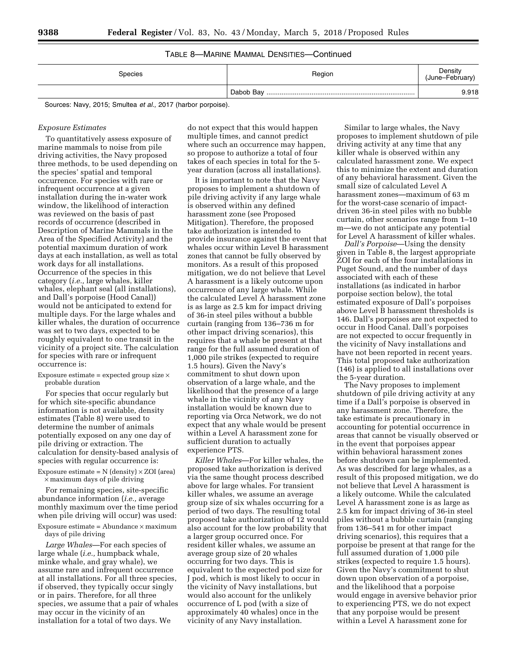# TABLE 8—MARINE MAMMAL DENSITIES—Continued

| Species                                                      | Region | Density<br>(June-February) |
|--------------------------------------------------------------|--------|----------------------------|
|                                                              |        | 9.918                      |
| Sources: Navy, 2015; Smultea et al., 2017 (harbor porpoise). |        |                            |

#### *Exposure Estimates*

To quantitatively assess exposure of marine mammals to noise from pile driving activities, the Navy proposed three methods, to be used depending on the species' spatial and temporal occurrence. For species with rare or infrequent occurrence at a given installation during the in-water work window, the likelihood of interaction was reviewed on the basis of past records of occurrence (described in Description of Marine Mammals in the Area of the Specified Activity) and the potential maximum duration of work days at each installation, as well as total work days for all installations. Occurrence of the species in this category (*i.e.,* large whales, killer whales, elephant seal (all installations), and Dall's porpoise (Hood Canal)) would not be anticipated to extend for multiple days. For the large whales and killer whales, the duration of occurrence was set to two days, expected to be roughly equivalent to one transit in the vicinity of a project site. The calculation for species with rare or infrequent occurrence is:

Exposure estimate = expected group size  $\times$ probable duration

For species that occur regularly but for which site-specific abundance information is not available, density estimates (Table 8) were used to determine the number of animals potentially exposed on any one day of pile driving or extraction. The calculation for density-based analysis of species with regular occurrence is:

Exposure estimate =  $N$  (density)  $\times$  ZOI (area) × maximum days of pile driving

For remaining species, site-specific abundance information (*i.e.,* average monthly maximum over the time period when pile driving will occur) was used:

Exposure estimate =  $\text{Abundance} \times \text{maximum}$ days of pile driving

*Large Whales*—For each species of large whale (*i.e.,* humpback whale, minke whale, and gray whale), we assume rare and infrequent occurrence at all installations. For all three species, if observed, they typically occur singly or in pairs. Therefore, for all three species, we assume that a pair of whales may occur in the vicinity of an installation for a total of two days. We

do not expect that this would happen multiple times, and cannot predict where such an occurrence may happen, so propose to authorize a total of four takes of each species in total for the 5 year duration (across all installations).

It is important to note that the Navy proposes to implement a shutdown of pile driving activity if any large whale is observed within any defined harassment zone (see Proposed Mitigation). Therefore, the proposed take authorization is intended to provide insurance against the event that whales occur within Level B harassment zones that cannot be fully observed by monitors. As a result of this proposed mitigation, we do not believe that Level A harassment is a likely outcome upon occurrence of any large whale. While the calculated Level A harassment zone is as large as 2.5 km for impact driving of 36-in steel piles without a bubble curtain (ranging from 136–736 m for other impact driving scenarios), this requires that a whale be present at that range for the full assumed duration of 1,000 pile strikes (expected to require 1.5 hours). Given the Navy's commitment to shut down upon observation of a large whale, and the likelihood that the presence of a large whale in the vicinity of any Navy installation would be known due to reporting via Orca Network, we do not expect that any whale would be present within a Level A harassment zone for sufficient duration to actually experience PTS.

*Killer Whales*—For killer whales, the proposed take authorization is derived via the same thought process described above for large whales. For transient killer whales, we assume an average group size of six whales occurring for a period of two days. The resulting total proposed take authorization of 12 would also account for the low probability that a larger group occurred once. For resident killer whales, we assume an average group size of 20 whales occurring for two days. This is equivalent to the expected pod size for J pod, which is most likely to occur in the vicinity of Navy installations, but would also account for the unlikely occurrence of L pod (with a size of approximately 40 whales) once in the vicinity of any Navy installation.

Similar to large whales, the Navy proposes to implement shutdown of pile driving activity at any time that any killer whale is observed within any calculated harassment zone. We expect this to minimize the extent and duration of any behavioral harassment. Given the small size of calculated Level A harassment zones—maximum of 63 m for the worst-case scenario of impactdriven 36-in steel piles with no bubble curtain, other scenarios range from 1–10 m—we do not anticipate any potential for Level A harassment of killer whales.

*Dall's Porpoise*—Using the density given in Table 8, the largest appropriate ZOI for each of the four installations in Puget Sound, and the number of days associated with each of these installations (as indicated in harbor porpoise section below), the total estimated exposure of Dall's porpoises above Level B harassment thresholds is 146. Dall's porpoises are not expected to occur in Hood Canal. Dall's porpoises are not expected to occur frequently in the vicinity of Navy installations and have not been reported in recent years. This total proposed take authorization (146) is applied to all installations over the 5-year duration.

The Navy proposes to implement shutdown of pile driving activity at any time if a Dall's porpoise is observed in any harassment zone. Therefore, the take estimate is precautionary in accounting for potential occurrence in areas that cannot be visually observed or in the event that porpoises appear within behavioral harassment zones before shutdown can be implemented. As was described for large whales, as a result of this proposed mitigation, we do not believe that Level A harassment is a likely outcome. While the calculated Level A harassment zone is as large as 2.5 km for impact driving of 36-in steel piles without a bubble curtain (ranging from 136–541 m for other impact driving scenarios), this requires that a porpoise be present at that range for the full assumed duration of 1,000 pile strikes (expected to require 1.5 hours). Given the Navy's commitment to shut down upon observation of a porpoise, and the likelihood that a porpoise would engage in aversive behavior prior to experiencing PTS, we do not expect that any porpoise would be present within a Level A harassment zone for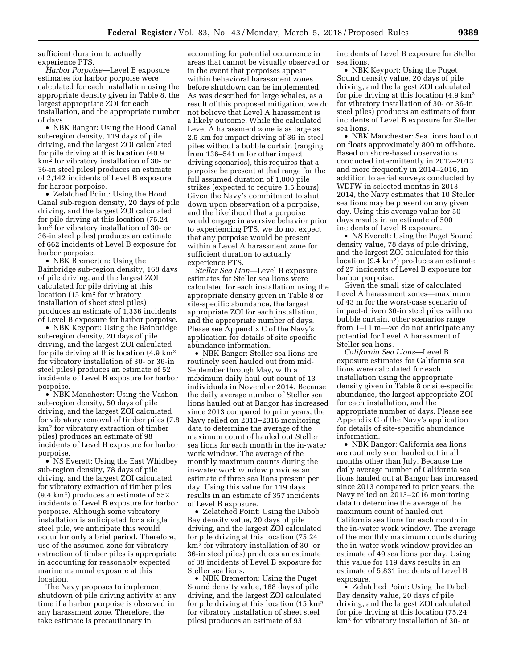sufficient duration to actually experience PTS.

*Harbor Porpoise*—Level B exposure estimates for harbor porpoise were calculated for each installation using the appropriate density given in Table 8, the largest appropriate ZOI for each installation, and the appropriate number of days.

• NBK Bangor: Using the Hood Canal sub-region density, 119 days of pile driving, and the largest ZOI calculated for pile driving at this location (40.9 km2 for vibratory installation of 30- or 36-in steel piles) produces an estimate of 2,142 incidents of Level B exposure for harbor porpoise.

• Zelatched Point: Using the Hood Canal sub-region density, 20 days of pile driving, and the largest ZOI calculated for pile driving at this location (75.24 km2 for vibratory installation of 30- or 36-in steel piles) produces an estimate of 662 incidents of Level B exposure for harbor porpoise.

• NBK Bremerton: Using the Bainbridge sub-region density, 168 days of pile driving, and the largest ZOI calculated for pile driving at this location (15 km2 for vibratory installation of sheet steel piles) produces an estimate of 1,336 incidents of Level B exposure for harbor porpoise.

• NBK Keyport: Using the Bainbridge sub-region density, 20 days of pile driving, and the largest ZOI calculated for pile driving at this location (4.9 km2 for vibratory installation of 30- or 36-in steel piles) produces an estimate of 52 incidents of Level B exposure for harbor porpoise.

• NBK Manchester: Using the Vashon sub-region density, 50 days of pile driving, and the largest ZOI calculated for vibratory removal of timber piles (7.8 km2 for vibratory extraction of timber piles) produces an estimate of 98 incidents of Level B exposure for harbor porpoise.

• NS Everett: Using the East Whidbey sub-region density, 78 days of pile driving, and the largest ZOI calculated for vibratory extraction of timber piles (9.4 km2) produces an estimate of 552 incidents of Level B exposure for harbor porpoise. Although some vibratory installation is anticipated for a single steel pile, we anticipate this would occur for only a brief period. Therefore, use of the assumed zone for vibratory extraction of timber piles is appropriate in accounting for reasonably expected marine mammal exposure at this location.

The Navy proposes to implement shutdown of pile driving activity at any time if a harbor porpoise is observed in any harassment zone. Therefore, the take estimate is precautionary in

accounting for potential occurrence in areas that cannot be visually observed or in the event that porpoises appear within behavioral harassment zones before shutdown can be implemented. As was described for large whales, as a result of this proposed mitigation, we do not believe that Level A harassment is a likely outcome. While the calculated Level A harassment zone is as large as 2.5 km for impact driving of 36-in steel piles without a bubble curtain (ranging from 136–541 m for other impact driving scenarios), this requires that a porpoise be present at that range for the full assumed duration of 1,000 pile strikes (expected to require 1.5 hours). Given the Navy's commitment to shut down upon observation of a porpoise, and the likelihood that a porpoise would engage in aversive behavior prior to experiencing PTS, we do not expect that any porpoise would be present within a Level A harassment zone for sufficient duration to actually experience PTS.

*Steller Sea Lion*—Level B exposure estimates for Steller sea lions were calculated for each installation using the appropriate density given in Table 8 or site-specific abundance, the largest appropriate ZOI for each installation, and the appropriate number of days. Please see Appendix C of the Navy's application for details of site-specific abundance information.

• NBK Bangor: Steller sea lions are routinely seen hauled out from mid-September through May, with a maximum daily haul-out count of 13 individuals in November 2014. Because the daily average number of Steller sea lions hauled out at Bangor has increased since 2013 compared to prior years, the Navy relied on 2013–2016 monitoring data to determine the average of the maximum count of hauled out Steller sea lions for each month in the in-water work window. The average of the monthly maximum counts during the in-water work window provides an estimate of three sea lions present per day. Using this value for 119 days results in an estimate of 357 incidents of Level B exposure.

• Zelatched Point: Using the Dabob Bay density value, 20 days of pile driving, and the largest ZOI calculated for pile driving at this location (75.24 km2 for vibratory installation of 30- or 36-in steel piles) produces an estimate of 38 incidents of Level B exposure for Steller sea lions.

• NBK Bremerton: Using the Puget Sound density value, 168 days of pile driving, and the largest ZOI calculated for pile driving at this location (15 km2 for vibratory installation of sheet steel piles) produces an estimate of 93

incidents of Level B exposure for Steller sea lions.

• NBK Keyport: Using the Puget Sound density value, 20 days of pile driving, and the largest ZOI calculated for pile driving at this location (4.9 km2 for vibratory installation of 30- or 36-in steel piles) produces an estimate of four incidents of Level B exposure for Steller sea lions.

• NBK Manchester: Sea lions haul out on floats approximately 800 m offshore. Based on shore-based observations conducted intermittently in 2012–2013 and more frequently in 2014–2016, in addition to aerial surveys conducted by WDFW in selected months in 2013– 2014, the Navy estimates that 10 Steller sea lions may be present on any given day. Using this average value for 50 days results in an estimate of 500 incidents of Level B exposure.

• NS Everett: Using the Puget Sound density value, 78 days of pile driving, and the largest ZOI calculated for this location (9.4 km2) produces an estimate of 27 incidents of Level B exposure for harbor porpoise.

Given the small size of calculated Level A harassment zones—maximum of 43 m for the worst-case scenario of impact-driven 36-in steel piles with no bubble curtain, other scenarios range from 1–11 m—we do not anticipate any potential for Level A harassment of Steller sea lions.

*California Sea Lions*—Level B exposure estimates for California sea lions were calculated for each installation using the appropriate density given in Table 8 or site-specific abundance, the largest appropriate ZOI for each installation, and the appropriate number of days. Please see Appendix C of the Navy's application for details of site-specific abundance information.

• NBK Bangor: California sea lions are routinely seen hauled out in all months other than July. Because the daily average number of California sea lions hauled out at Bangor has increased since 2013 compared to prior years, the Navy relied on 2013–2016 monitoring data to determine the average of the maximum count of hauled out California sea lions for each month in the in-water work window. The average of the monthly maximum counts during the in-water work window provides an estimate of 49 sea lions per day. Using this value for 119 days results in an estimate of 5,831 incidents of Level B exposure.

• Zelatched Point: Using the Dabob Bay density value, 20 days of pile driving, and the largest ZOI calculated for pile driving at this location (75.24 km2 for vibratory installation of 30- or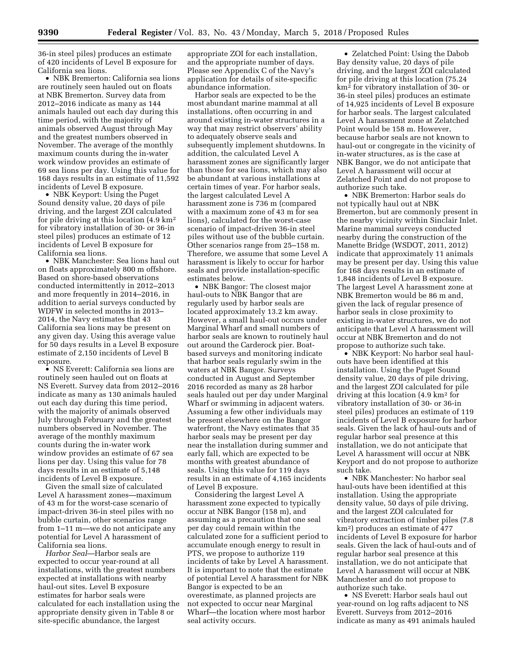36-in steel piles) produces an estimate of 420 incidents of Level B exposure for California sea lions.

• NBK Bremerton: California sea lions are routinely seen hauled out on floats at NBK Bremerton. Survey data from 2012–2016 indicate as many as 144 animals hauled out each day during this time period, with the majority of animals observed August through May and the greatest numbers observed in November. The average of the monthly maximum counts during the in-water work window provides an estimate of 69 sea lions per day. Using this value for 168 days results in an estimate of 11,592 incidents of Level B exposure.

• NBK Keyport: Using the Puget Sound density value, 20 days of pile driving, and the largest ZOI calculated for pile driving at this location (4.9 km2 for vibratory installation of 30- or 36-in steel piles) produces an estimate of 12 incidents of Level B exposure for California sea lions.

• NBK Manchester: Sea lions haul out on floats approximately 800 m offshore. Based on shore-based observations conducted intermittently in 2012–2013 and more frequently in 2014–2016, in addition to aerial surveys conducted by WDFW in selected months in 2013– 2014, the Navy estimates that 43 California sea lions may be present on any given day. Using this average value for 50 days results in a Level B exposure estimate of 2,150 incidents of Level B exposure.

• NS Everett: California sea lions are routinely seen hauled out on floats at NS Everett. Survey data from 2012–2016 indicate as many as 130 animals hauled out each day during this time period, with the majority of animals observed July through February and the greatest numbers observed in November. The average of the monthly maximum counts during the in-water work window provides an estimate of 67 sea lions per day. Using this value for 78 days results in an estimate of 5,148 incidents of Level B exposure.

Given the small size of calculated Level A harassment zones—maximum of 43 m for the worst-case scenario of impact-driven 36-in steel piles with no bubble curtain, other scenarios range from 1–11 m—we do not anticipate any potential for Level A harassment of California sea lions.

*Harbor Seal*—Harbor seals are expected to occur year-round at all installations, with the greatest numbers expected at installations with nearby haul-out sites. Level B exposure estimates for harbor seals were calculated for each installation using the appropriate density given in Table 8 or site-specific abundance, the largest

appropriate ZOI for each installation, and the appropriate number of days. Please see Appendix C of the Navy's application for details of site-specific abundance information.

Harbor seals are expected to be the most abundant marine mammal at all installations, often occurring in and around existing in-water structures in a way that may restrict observers' ability to adequately observe seals and subsequently implement shutdowns. In addition, the calculated Level A harassment zones are significantly larger than those for sea lions, which may also be abundant at various installations at certain times of year. For harbor seals, the largest calculated Level A harassment zone is 736 m (compared with a maximum zone of 43 m for sea lions), calculated for the worst-case scenario of impact-driven 36-in steel piles without use of the bubble curtain. Other scenarios range from 25–158 m. Therefore, we assume that some Level A harassment is likely to occur for harbor seals and provide installation-specific estimates below.

• NBK Bangor: The closest major haul-outs to NBK Bangor that are regularly used by harbor seals are located approximately 13.2 km away. However, a small haul-out occurs under Marginal Wharf and small numbers of harbor seals are known to routinely haul out around the Carderock pier. Boatbased surveys and monitoring indicate that harbor seals regularly swim in the waters at NBK Bangor. Surveys conducted in August and September 2016 recorded as many as 28 harbor seals hauled out per day under Marginal Wharf or swimming in adjacent waters. Assuming a few other individuals may be present elsewhere on the Bangor waterfront, the Navy estimates that 35 harbor seals may be present per day near the installation during summer and early fall, which are expected to be months with greatest abundance of seals. Using this value for 119 days results in an estimate of 4,165 incidents of Level B exposure.

Considering the largest Level A harassment zone expected to typically occur at NBK Bangor (158 m), and assuming as a precaution that one seal per day could remain within the calculated zone for a sufficient period to accumulate enough energy to result in PTS, we propose to authorize 119 incidents of take by Level A harassment. It is important to note that the estimate of potential Level A harassment for NBK Bangor is expected to be an overestimate, as planned projects are not expected to occur near Marginal Wharf—the location where most harbor seal activity occurs.

• Zelatched Point: Using the Dabob Bay density value, 20 days of pile driving, and the largest ZOI calculated for pile driving at this location (75.24 km2 for vibratory installation of 30- or 36-in steel piles) produces an estimate of 14,925 incidents of Level B exposure for harbor seals. The largest calculated Level A harassment zone at Zelatched Point would be 158 m. However, because harbor seals are not known to haul-out or congregate in the vicinity of in-water structures, as is the case at NBK Bangor, we do not anticipate that Level A harassment will occur at Zelatched Point and do not propose to authorize such take.

• NBK Bremerton: Harbor seals do not typically haul out at NBK Bremerton, but are commonly present in the nearby vicinity within Sinclair Inlet. Marine mammal surveys conducted nearby during the construction of the Manette Bridge (WSDOT, 2011, 2012) indicate that approximately 11 animals may be present per day. Using this value for 168 days results in an estimate of 1,848 incidents of Level B exposure. The largest Level A harassment zone at NBK Bremerton would be 86 m and, given the lack of regular presence of harbor seals in close proximity to existing in-water structures, we do not anticipate that Level A harassment will occur at NBK Bremerton and do not propose to authorize such take.

• NBK Keyport: No harbor seal haulouts have been identified at this installation. Using the Puget Sound density value, 20 days of pile driving, and the largest ZOI calculated for pile driving at this location (4.9 km2 for vibratory installation of 30- or 36-in steel piles) produces an estimate of 119 incidents of Level B exposure for harbor seals. Given the lack of haul-outs and of regular harbor seal presence at this installation, we do not anticipate that Level A harassment will occur at NBK Keyport and do not propose to authorize such take.

• NBK Manchester: No harbor seal haul-outs have been identified at this installation. Using the appropriate density value, 50 days of pile driving, and the largest ZOI calculated for vibratory extraction of timber piles (7.8 km2) produces an estimate of 477 incidents of Level B exposure for harbor seals. Given the lack of haul-outs and of regular harbor seal presence at this installation, we do not anticipate that Level A harassment will occur at NBK Manchester and do not propose to authorize such take.

• NS Everett: Harbor seals haul out year-round on log rafts adjacent to NS Everett. Surveys from 2012–2016 indicate as many as 491 animals hauled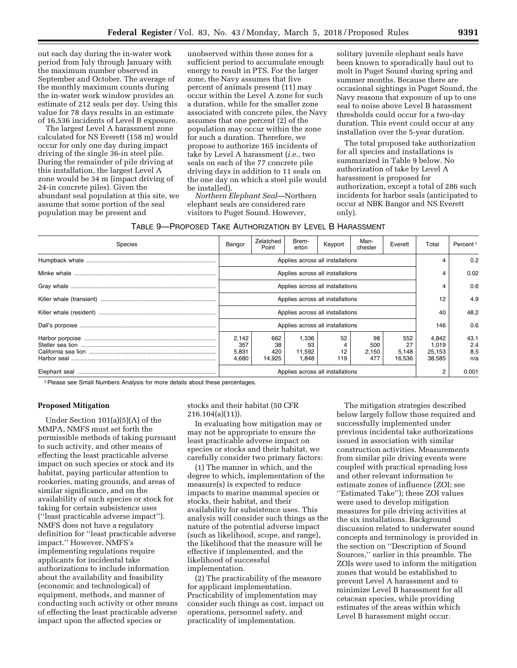out each day during the in-water work period from July through January with the maximum number observed in September and October. The average of the monthly maximum counts during the in-water work window provides an estimate of 212 seals per day. Using this value for 78 days results in an estimate of 16,536 incidents of Level B exposure.

The largest Level A harassment zone calculated for NS Everett (158 m) would occur for only one day during impact driving of the single 36-in steel pile. During the remainder of pile driving at this installation, the largest Level A zone would be 34 m (impact driving of 24-in concrete piles). Given the abundant seal population at this site, we assume that some portion of the seal population may be present and

unobserved within these zones for a sufficient period to accumulate enough energy to result in PTS. For the larger zone, the Navy assumes that five percent of animals present (11) may occur within the Level A zone for such a duration, while for the smaller zone associated with concrete piles, the Navy assumes that one percent (2) of the population may occur within the zone for such a duration. Therefore, we propose to authorize 165 incidents of take by Level A harassment (*i.e.,* two seals on each of the 77 concrete pile driving days in addition to 11 seals on the one day on which a steel pile would be installed).

*Northern Elephant Seal*—Northern elephant seals are considered rare visitors to Puget Sound. However,

solitary juvenile elephant seals have been known to sporadically haul out to molt in Puget Sound during spring and summer months. Because there are occasional sightings in Puget Sound, the Navy reasons that exposure of up to one seal to noise above Level B harassment thresholds could occur for a two-day duration. This event could occur at any installation over the 5-year duration.

The total proposed take authorization for all species and installations is summarized in Table 9 below. No authorization of take by Level A harassment is proposed for authorization, except a total of 286 such incidents for harbor seals (anticipated to occur at NBK Bangor and NS Everett only).

TABLE 9—PROPOSED TAKE AUTHORIZATION BY LEVEL B HARASSMENT

| <b>Species</b> | Bangor                           | Zelatched<br>Point         | Brem-<br>erton                 | Keyport         | Man-<br>chester           | Everett                | Total                              | Percent <sup>1</sup>      |
|----------------|----------------------------------|----------------------------|--------------------------------|-----------------|---------------------------|------------------------|------------------------------------|---------------------------|
|                | Applies across all installations |                            |                                |                 |                           |                        |                                    | 0.2                       |
|                | Applies across all installations |                            |                                |                 |                           |                        | 4                                  | 0.02                      |
|                | Applies across all installations |                            |                                |                 |                           |                        | 4                                  | 0.6                       |
|                | Applies across all installations |                            |                                |                 |                           |                        | 12                                 | 4.9                       |
|                | Applies across all installations |                            |                                |                 |                           |                        | 40                                 | 48.2                      |
|                | Applies across all installations |                            |                                |                 |                           |                        | 146                                | 0.6                       |
|                | 2,142<br>357<br>5,831<br>4,680   | 662<br>38<br>420<br>14.925 | 1.336<br>93<br>11,592<br>1.848 | 52<br>12<br>119 | 98<br>500<br>2,150<br>477 | 552<br>5,148<br>16,536 | 4,842<br>1,019<br>25,153<br>38,585 | 43.1<br>2.4<br>8.5<br>n/a |
|                | Applies across all installations |                            |                                |                 |                           |                        | 2                                  | 0.001                     |

1Please see Small Numbers Analysis for more details about these percentages.

#### **Proposed Mitigation**

Under Section 101(a)(5)(A) of the MMPA, NMFS must set forth the permissible methods of taking pursuant to such activity, and other means of effecting the least practicable adverse impact on such species or stock and its habitat, paying particular attention to rookeries, mating grounds, and areas of similar significance, and on the availability of such species or stock for taking for certain subsistence uses (''least practicable adverse impact''). NMFS does not have a regulatory definition for ''least practicable adverse impact.'' However, NMFS's implementing regulations require applicants for incidental take authorizations to include information about the availability and feasibility (economic and technological) of equipment, methods, and manner of conducting such activity or other means of effecting the least practicable adverse impact upon the affected species or

stocks and their habitat (50 CFR 216.104(a)(11)).

In evaluating how mitigation may or may not be appropriate to ensure the least practicable adverse impact on species or stocks and their habitat, we carefully consider two primary factors:

(1) The manner in which, and the degree to which, implementation of the measure(s) is expected to reduce impacts to marine mammal species or stocks, their habitat, and their availability for subsistence uses. This analysis will consider such things as the nature of the potential adverse impact (such as likelihood, scope, and range), the likelihood that the measure will be effective if implemented, and the likelihood of successful implementation.

(2) The practicability of the measure for applicant implementation. Practicability of implementation may consider such things as cost, impact on operations, personnel safety, and practicality of implementation.

The mitigation strategies described below largely follow those required and successfully implemented under previous incidental take authorizations issued in association with similar construction activities. Measurements from similar pile driving events were coupled with practical spreading loss and other relevant information to estimate zones of influence (ZOI; see ''Estimated Take''); these ZOI values were used to develop mitigation measures for pile driving activities at the six installations. Background discussion related to underwater sound concepts and terminology is provided in the section on ''Description of Sound Sources,'' earlier in this preamble. The ZOIs were used to inform the mitigation zones that would be established to prevent Level A harassment and to minimize Level B harassment for all cetacean species, while providing estimates of the areas within which Level B harassment might occur.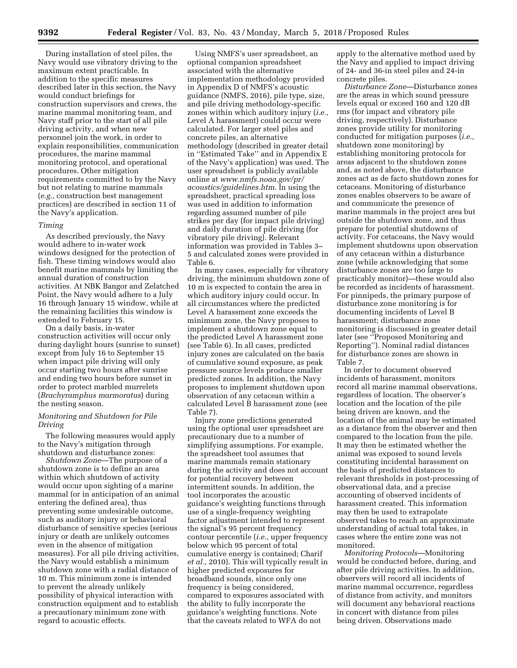During installation of steel piles, the Navy would use vibratory driving to the maximum extent practicable. In addition to the specific measures described later in this section, the Navy would conduct briefings for construction supervisors and crews, the marine mammal monitoring team, and Navy staff prior to the start of all pile driving activity, and when new personnel join the work, in order to explain responsibilities, communication procedures, the marine mammal monitoring protocol, and operational procedures. Other mitigation requirements committed to by the Navy but not relating to marine mammals (*e.g.,* construction best management practices) are described in section 11 of the Navy's application.

## *Timing*

As described previously, the Navy would adhere to in-water work windows designed for the protection of fish. These timing windows would also benefit marine mammals by limiting the annual duration of construction activities. At NBK Bangor and Zelatched Point, the Navy would adhere to a July 16 through January 15 window, while at the remaining facilities this window is extended to February 15.

On a daily basis, in-water construction activities will occur only during daylight hours (sunrise to sunset) except from July 16 to September 15 when impact pile driving will only occur starting two hours after sunrise and ending two hours before sunset in order to protect marbled murrelets (*Brachyramphus marmoratus*) during the nesting season.

## *Monitoring and Shutdown for Pile Driving*

The following measures would apply to the Navy's mitigation through shutdown and disturbance zones:

*Shutdown Zone*—The purpose of a shutdown zone is to define an area within which shutdown of activity would occur upon sighting of a marine mammal (or in anticipation of an animal entering the defined area), thus preventing some undesirable outcome, such as auditory injury or behavioral disturbance of sensitive species (serious injury or death are unlikely outcomes even in the absence of mitigation measures). For all pile driving activities, the Navy would establish a minimum shutdown zone with a radial distance of 10 m. This minimum zone is intended to prevent the already unlikely possibility of physical interaction with construction equipment and to establish a precautionary minimum zone with regard to acoustic effects.

Using NMFS's user spreadsheet, an optional companion spreadsheet associated with the alternative implementation methodology provided in Appendix D of NMFS's acoustic guidance (NMFS, 2016), pile type, size, and pile driving methodology-specific zones within which auditory injury (*i.e.,*  Level A harassment) could occur were calculated. For larger steel piles and concrete piles, an alternative methodology (described in greater detail in ''Estimated Take'' and in Appendix E of the Navy's application) was used. The user spreadsheet is publicly available online at *[www.nmfs.noaa.gov/pr/](http://www.nmfs.noaa.gov/pr/acoustics/guidelines.htm) [acoustics/guidelines.htm.](http://www.nmfs.noaa.gov/pr/acoustics/guidelines.htm)* In using the spreadsheet, practical spreading loss was used in addition to information regarding assumed number of pile strikes per day (for impact pile driving) and daily duration of pile driving (for vibratory pile driving). Relevant information was provided in Tables 3– 5 and calculated zones were provided in Table 6.

In many cases, especially for vibratory driving, the minimum shutdown zone of 10 m is expected to contain the area in which auditory injury could occur. In all circumstances where the predicted Level A harassment zone exceeds the minimum zone, the Navy proposes to implement a shutdown zone equal to the predicted Level A harassment zone (see Table 6). In all cases, predicted injury zones are calculated on the basis of cumulative sound exposure, as peak pressure source levels produce smaller predicted zones. In addition, the Navy proposes to implement shutdown upon observation of any cetacean within a calculated Level B harassment zone (see Table 7).

Injury zone predictions generated using the optional user spreadsheet are precautionary due to a number of simplifying assumptions. For example, the spreadsheet tool assumes that marine mammals remain stationary during the activity and does not account for potential recovery between intermittent sounds. In addition, the tool incorporates the acoustic guidance's weighting functions through use of a single-frequency weighting factor adjustment intended to represent the signal's 95 percent frequency contour percentile (*i.e.,* upper frequency below which 95 percent of total cumulative energy is contained; Charif *et al.,* 2010). This will typically result in higher predicted exposures for broadband sounds, since only one frequency is being considered, compared to exposures associated with the ability to fully incorporate the guidance's weighting functions. Note that the caveats related to WFA do not

apply to the alternative method used by the Navy and applied to impact driving of 24- and 36-in steel piles and 24-in concrete piles.

*Disturbance Zone*—Disturbance zones are the areas in which sound pressure levels equal or exceed 160 and 120 dB rms (for impact and vibratory pile driving, respectively). Disturbance zones provide utility for monitoring conducted for mitigation purposes (*i.e.,*  shutdown zone monitoring) by establishing monitoring protocols for areas adjacent to the shutdown zones and, as noted above, the disturbance zones act as de facto shutdown zones for cetaceans. Monitoring of disturbance zones enables observers to be aware of and communicate the presence of marine mammals in the project area but outside the shutdown zone, and thus prepare for potential shutdowns of activity. For cetaceans, the Navy would implement shutdowns upon observation of any cetacean within a disturbance zone (while acknowledging that some disturbance zones are too large to practicably monitor)—these would also be recorded as incidents of harassment. For pinnipeds, the primary purpose of disturbance zone monitoring is for documenting incidents of Level B harassment; disturbance zone monitoring is discussed in greater detail later (see ''Proposed Monitoring and Reporting''). Nominal radial distances for disturbance zones are shown in Table 7.

In order to document observed incidents of harassment, monitors record all marine mammal observations, regardless of location. The observer's location and the location of the pile being driven are known, and the location of the animal may be estimated as a distance from the observer and then compared to the location from the pile. It may then be estimated whether the animal was exposed to sound levels constituting incidental harassment on the basis of predicted distances to relevant thresholds in post-processing of observational data, and a precise accounting of observed incidents of harassment created. This information may then be used to extrapolate observed takes to reach an approximate understanding of actual total takes, in cases where the entire zone was not monitored.

*Monitoring Protocols*—Monitoring would be conducted before, during, and after pile driving activities. In addition, observers will record all incidents of marine mammal occurrence, regardless of distance from activity, and monitors will document any behavioral reactions in concert with distance from piles being driven. Observations made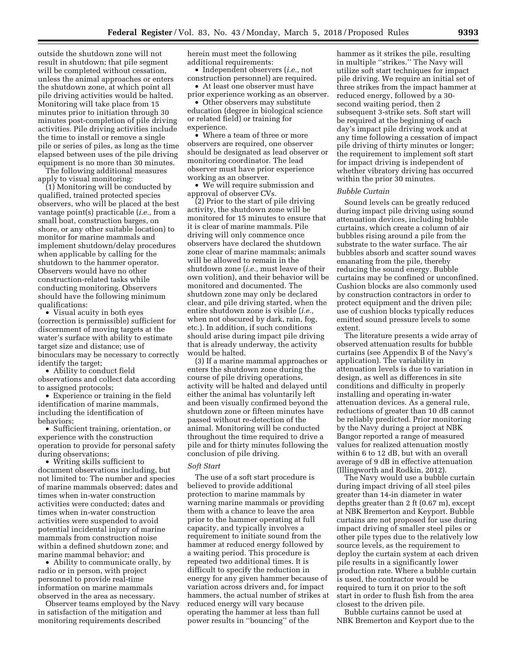outside the shutdown zone will not result in shutdown; that pile segment will be completed without cessation, unless the animal approaches or enters the shutdown zone, at which point all pile driving activities would be halted. Monitoring will take place from 15 minutes prior to initiation through 30 minutes post-completion of pile driving activities. Pile driving activities include the time to install or remove a single pile or series of piles, as long as the time elapsed between uses of the pile driving equipment is no more than 30 minutes.

The following additional measures apply to visual monitoring:

(1) Monitoring will be conducted by qualified, trained protected species observers, who will be placed at the best vantage point(s) practicable (*i.e.,* from a small boat, construction barges, on shore, or any other suitable location) to monitor for marine mammals and implement shutdown/delay procedures when applicable by calling for the shutdown to the hammer operator. Observers would have no other construction-related tasks while conducting monitoring. Observers should have the following minimum qualifications:

• Visual acuity in both eyes (correction is permissible) sufficient for discernment of moving targets at the water's surface with ability to estimate target size and distance; use of binoculars may be necessary to correctly identify the target;

• Ability to conduct field observations and collect data according to assigned protocols;

• Experience or training in the field identification of marine mammals, including the identification of behaviors;

• Sufficient training, orientation, or experience with the construction operation to provide for personal safety during observations;

• Writing skills sufficient to document observations including, but not limited to: The number and species of marine mammals observed; dates and times when in-water construction activities were conducted; dates and times when in-water construction activities were suspended to avoid potential incidental injury of marine mammals from construction noise within a defined shutdown zone; and marine mammal behavior; and

• Ability to communicate orally, by radio or in person, with project personnel to provide real-time information on marine mammals observed in the area as necessary.

Observer teams employed by the Navy in satisfaction of the mitigation and monitoring requirements described

herein must meet the following additional requirements:

• Independent observers (*i.e.,* not construction personnel) are required.

• At least one observer must have prior experience working as an observer.

• Other observers may substitute education (degree in biological science or related field) or training for experience.

• Where a team of three or more observers are required, one observer should be designated as lead observer or monitoring coordinator. The lead observer must have prior experience working as an observer.

• We will require submission and approval of observer CVs.

(2) Prior to the start of pile driving activity, the shutdown zone will be monitored for 15 minutes to ensure that it is clear of marine mammals. Pile driving will only commence once observers have declared the shutdown zone clear of marine mammals; animals will be allowed to remain in the shutdown zone (*i.e.,* must leave of their own volition), and their behavior will be monitored and documented. The shutdown zone may only be declared clear, and pile driving started, when the entire shutdown zone is visible (*i.e.,*  when not obscured by dark, rain, fog, etc.). In addition, if such conditions should arise during impact pile driving that is already underway, the activity would be halted.

(3) If a marine mammal approaches or enters the shutdown zone during the course of pile driving operations, activity will be halted and delayed until either the animal has voluntarily left and been visually confirmed beyond the shutdown zone or fifteen minutes have passed without re-detection of the animal. Monitoring will be conducted throughout the time required to drive a pile and for thirty minutes following the conclusion of pile driving.

#### *Soft Start*

The use of a soft start procedure is believed to provide additional protection to marine mammals by warning marine mammals or providing them with a chance to leave the area prior to the hammer operating at full capacity, and typically involves a requirement to initiate sound from the hammer at reduced energy followed by a waiting period. This procedure is repeated two additional times. It is difficult to specify the reduction in energy for any given hammer because of variation across drivers and, for impact hammers, the actual number of strikes at reduced energy will vary because operating the hammer at less than full power results in ''bouncing'' of the

hammer as it strikes the pile, resulting in multiple ''strikes.'' The Navy will utilize soft start techniques for impact pile driving. We require an initial set of three strikes from the impact hammer at reduced energy, followed by a 30 second waiting period, then 2 subsequent 3-strike sets. Soft start will be required at the beginning of each day's impact pile driving work and at any time following a cessation of impact pile driving of thirty minutes or longer; the requirement to implement soft start for impact driving is independent of whether vibratory driving has occurred within the prior 30 minutes.

#### *Bubble Curtain*

Sound levels can be greatly reduced during impact pile driving using sound attenuation devices, including bubble curtains, which create a column of air bubbles rising around a pile from the substrate to the water surface. The air bubbles absorb and scatter sound waves emanating from the pile, thereby reducing the sound energy. Bubble curtains may be confined or unconfined. Cushion blocks are also commonly used by construction contractors in order to protect equipment and the driven pile; use of cushion blocks typically reduces emitted sound pressure levels to some extent.

The literature presents a wide array of observed attenuation results for bubble curtains (see Appendix B of the Navy's application). The variability in attenuation levels is due to variation in design, as well as differences in site conditions and difficulty in properly installing and operating in-water attenuation devices. As a general rule, reductions of greater than 10 dB cannot be reliably predicted. Prior monitoring by the Navy during a project at NBK Bangor reported a range of measured values for realized attenuation mostly within 6 to 12 dB, but with an overall average of 9 dB in effective attenuation (Illingworth and Rodkin, 2012).

The Navy would use a bubble curtain during impact driving of all steel piles greater than 14-in diameter in water depths greater than 2 ft (0.67 m), except at NBK Bremerton and Keyport. Bubble curtains are not proposed for use during impact driving of smaller steel piles or other pile types due to the relatively low source levels, as the requirement to deploy the curtain system at each driven pile results in a significantly lower production rate. Where a bubble curtain is used, the contractor would be required to turn it on prior to the soft start in order to flush fish from the area closest to the driven pile.

Bubble curtains cannot be used at NBK Bremerton and Keyport due to the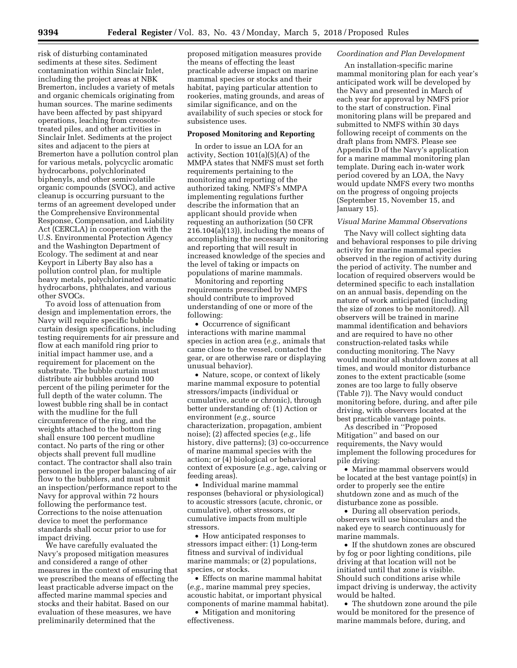risk of disturbing contaminated sediments at these sites. Sediment contamination within Sinclair Inlet, including the project areas at NBK Bremerton, includes a variety of metals and organic chemicals originating from human sources. The marine sediments have been affected by past shipyard operations, leaching from creosotetreated piles, and other activities in Sinclair Inlet. Sediments at the project sites and adjacent to the piers at Bremerton have a pollution control plan for various metals, polycyclic aromatic hydrocarbons, polychlorinated biphenyls, and other semivolatile organic compounds (SVOC), and active cleanup is occurring pursuant to the terms of an agreement developed under the Comprehensive Environmental Response, Compensation, and Liability Act (CERCLA) in cooperation with the U.S. Environmental Protection Agency and the Washington Department of Ecology. The sediment at and near Keyport in Liberty Bay also has a pollution control plan, for multiple heavy metals, polychlorinated aromatic hydrocarbons, phthalates, and various other SVOCs.

To avoid loss of attenuation from design and implementation errors, the Navy will require specific bubble curtain design specifications, including testing requirements for air pressure and flow at each manifold ring prior to initial impact hammer use, and a requirement for placement on the substrate. The bubble curtain must distribute air bubbles around 100 percent of the piling perimeter for the full depth of the water column. The lowest bubble ring shall be in contact with the mudline for the full circumference of the ring, and the weights attached to the bottom ring shall ensure 100 percent mudline contact. No parts of the ring or other objects shall prevent full mudline contact. The contractor shall also train personnel in the proper balancing of air flow to the bubblers, and must submit an inspection/performance report to the Navy for approval within 72 hours following the performance test. Corrections to the noise attenuation device to meet the performance standards shall occur prior to use for impact driving.

We have carefully evaluated the Navy's proposed mitigation measures and considered a range of other measures in the context of ensuring that we prescribed the means of effecting the least practicable adverse impact on the affected marine mammal species and stocks and their habitat. Based on our evaluation of these measures, we have preliminarily determined that the

proposed mitigation measures provide the means of effecting the least practicable adverse impact on marine mammal species or stocks and their habitat, paying particular attention to rookeries, mating grounds, and areas of similar significance, and on the availability of such species or stock for subsistence uses.

# **Proposed Monitoring and Reporting**

In order to issue an LOA for an activity, Section 101(a)(5)(A) of the MMPA states that NMFS must set forth requirements pertaining to the monitoring and reporting of the authorized taking. NMFS's MMPA implementing regulations further describe the information that an applicant should provide when requesting an authorization (50 CFR 216.104(a)(13)), including the means of accomplishing the necessary monitoring and reporting that will result in increased knowledge of the species and the level of taking or impacts on populations of marine mammals.

Monitoring and reporting requirements prescribed by NMFS should contribute to improved understanding of one or more of the following:

• Occurrence of significant interactions with marine mammal species in action area (*e.g.,* animals that came close to the vessel, contacted the gear, or are otherwise rare or displaying unusual behavior).

• Nature, scope, or context of likely marine mammal exposure to potential stressors/impacts (individual or cumulative, acute or chronic), through better understanding of: (1) Action or environment (*e.g.,* source characterization, propagation, ambient noise); (2) affected species (*e.g.,* life history, dive patterns); (3) co-occurrence of marine mammal species with the action; or (4) biological or behavioral context of exposure (*e.g.,* age, calving or feeding areas).

• Individual marine mammal responses (behavioral or physiological) to acoustic stressors (acute, chronic, or cumulative), other stressors, or cumulative impacts from multiple stressors.

• How anticipated responses to stressors impact either: (1) Long-term fitness and survival of individual marine mammals; or (2) populations, species, or stocks.

• Effects on marine mammal habitat (*e.g.,* marine mammal prey species, acoustic habitat, or important physical components of marine mammal habitat).

• Mitigation and monitoring effectiveness.

# *Coordination and Plan Development*

An installation-specific marine mammal monitoring plan for each year's anticipated work will be developed by the Navy and presented in March of each year for approval by NMFS prior to the start of construction. Final monitoring plans will be prepared and submitted to NMFS within 30 days following receipt of comments on the draft plans from NMFS. Please see Appendix D of the Navy's application for a marine mammal monitoring plan template. During each in-water work period covered by an LOA, the Navy would update NMFS every two months on the progress of ongoing projects (September 15, November 15, and January 15).

## *Visual Marine Mammal Observations*

The Navy will collect sighting data and behavioral responses to pile driving activity for marine mammal species observed in the region of activity during the period of activity. The number and location of required observers would be determined specific to each installation on an annual basis, depending on the nature of work anticipated (including the size of zones to be monitored). All observers will be trained in marine mammal identification and behaviors and are required to have no other construction-related tasks while conducting monitoring. The Navy would monitor all shutdown zones at all times, and would monitor disturbance zones to the extent practicable (some zones are too large to fully observe (Table 7)). The Navy would conduct monitoring before, during, and after pile driving, with observers located at the best practicable vantage points.

As described in ''Proposed Mitigation'' and based on our requirements, the Navy would implement the following procedures for pile driving:

• Marine mammal observers would be located at the best vantage point(s) in order to properly see the entire shutdown zone and as much of the disturbance zone as possible.

• During all observation periods, observers will use binoculars and the naked eye to search continuously for marine mammals.

• If the shutdown zones are obscured by fog or poor lighting conditions, pile driving at that location will not be initiated until that zone is visible. Should such conditions arise while impact driving is underway, the activity would be halted.

• The shutdown zone around the pile would be monitored for the presence of marine mammals before, during, and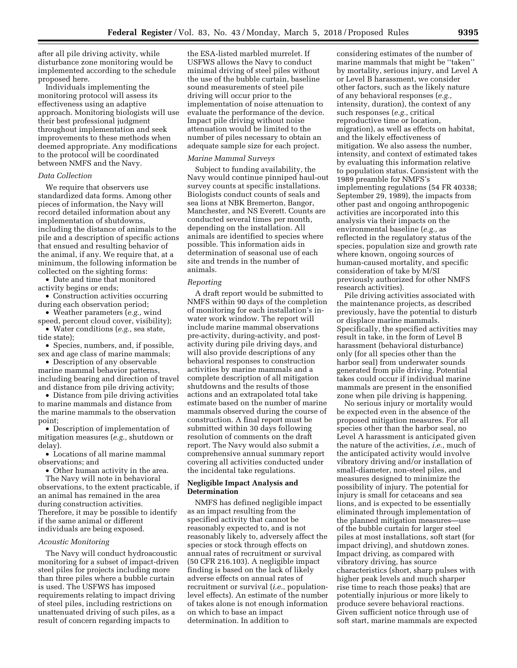after all pile driving activity, while disturbance zone monitoring would be implemented according to the schedule proposed here.

Individuals implementing the monitoring protocol will assess its effectiveness using an adaptive approach. Monitoring biologists will use their best professional judgment throughout implementation and seek improvements to these methods when deemed appropriate. Any modifications to the protocol will be coordinated between NMFS and the Navy.

#### *Data Collection*

We require that observers use standardized data forms. Among other pieces of information, the Navy will record detailed information about any implementation of shutdowns, including the distance of animals to the pile and a description of specific actions that ensued and resulting behavior of the animal, if any. We require that, at a minimum, the following information be collected on the sighting forms:

• Date and time that monitored activity begins or ends;

• Construction activities occurring during each observation period;

• Weather parameters (*e.g.,* wind speed, percent cloud cover, visibility);

• Water conditions (*e.g.,* sea state, tide state);

• Species, numbers, and, if possible, sex and age class of marine mammals;

• Description of any observable marine mammal behavior patterns, including bearing and direction of travel and distance from pile driving activity;

• Distance from pile driving activities to marine mammals and distance from the marine mammals to the observation point;

• Description of implementation of mitigation measures (*e.g.,* shutdown or delay).

• Locations of all marine mammal observations; and

• Other human activity in the area. The Navy will note in behavioral observations, to the extent practicable, if an animal has remained in the area during construction activities. Therefore, it may be possible to identify if the same animal or different individuals are being exposed.

#### *Acoustic Monitoring*

The Navy will conduct hydroacoustic monitoring for a subset of impact-driven steel piles for projects including more than three piles where a bubble curtain is used. The USFWS has imposed requirements relating to impact driving of steel piles, including restrictions on unattenuated driving of such piles, as a result of concern regarding impacts to

the ESA-listed marbled murrelet. If USFWS allows the Navy to conduct minimal driving of steel piles without the use of the bubble curtain, baseline sound measurements of steel pile driving will occur prior to the implementation of noise attenuation to evaluate the performance of the device. Impact pile driving without noise attenuation would be limited to the number of piles necessary to obtain an adequate sample size for each project.

# *Marine Mammal Surveys*

Subject to funding availability, the Navy would continue pinniped haul-out survey counts at specific installations. Biologists conduct counts of seals and sea lions at NBK Bremerton, Bangor, Manchester, and NS Everett. Counts are conducted several times per month, depending on the installation. All animals are identified to species where possible. This information aids in determination of seasonal use of each site and trends in the number of animals.

# *Reporting*

A draft report would be submitted to NMFS within 90 days of the completion of monitoring for each installation's inwater work window. The report will include marine mammal observations pre-activity, during-activity, and postactivity during pile driving days, and will also provide descriptions of any behavioral responses to construction activities by marine mammals and a complete description of all mitigation shutdowns and the results of those actions and an extrapolated total take estimate based on the number of marine mammals observed during the course of construction. A final report must be submitted within 30 days following resolution of comments on the draft report. The Navy would also submit a comprehensive annual summary report covering all activities conducted under the incidental take regulations.

## **Negligible Impact Analysis and Determination**

NMFS has defined negligible impact as an impact resulting from the specified activity that cannot be reasonably expected to, and is not reasonably likely to, adversely affect the species or stock through effects on annual rates of recruitment or survival (50 CFR 216.103). A negligible impact finding is based on the lack of likely adverse effects on annual rates of recruitment or survival (*i.e.,* populationlevel effects). An estimate of the number of takes alone is not enough information on which to base an impact determination. In addition to

considering estimates of the number of marine mammals that might be ''taken'' by mortality, serious injury, and Level A or Level B harassment, we consider other factors, such as the likely nature of any behavioral responses (*e.g.,*  intensity, duration), the context of any such responses (*e.g.,* critical reproductive time or location, migration), as well as effects on habitat, and the likely effectiveness of mitigation. We also assess the number, intensity, and context of estimated takes by evaluating this information relative to population status. Consistent with the 1989 preamble for NMFS's implementing regulations (54 FR 40338; September 29, 1989), the impacts from other past and ongoing anthropogenic activities are incorporated into this analysis via their impacts on the environmental baseline (*e.g.,* as reflected in the regulatory status of the species, population size and growth rate where known, ongoing sources of human-caused mortality, and specific consideration of take by M/SI previously authorized for other NMFS research activities).

Pile driving activities associated with the maintenance projects, as described previously, have the potential to disturb or displace marine mammals. Specifically, the specified activities may result in take, in the form of Level B harassment (behavioral disturbance) only (for all species other than the harbor seal) from underwater sounds generated from pile driving. Potential takes could occur if individual marine mammals are present in the ensonified zone when pile driving is happening.

No serious injury or mortality would be expected even in the absence of the proposed mitigation measures. For all species other than the harbor seal, no Level A harassment is anticipated given the nature of the activities, *i.e.,* much of the anticipated activity would involve vibratory driving and/or installation of small-diameter, non-steel piles, and measures designed to minimize the possibility of injury. The potential for injury is small for cetaceans and sea lions, and is expected to be essentially eliminated through implementation of the planned mitigation measures—use of the bubble curtain for larger steel piles at most installations, soft start (for impact driving), and shutdown zones. Impact driving, as compared with vibratory driving, has source characteristics (short, sharp pulses with higher peak levels and much sharper rise time to reach those peaks) that are potentially injurious or more likely to produce severe behavioral reactions. Given sufficient notice through use of soft start, marine mammals are expected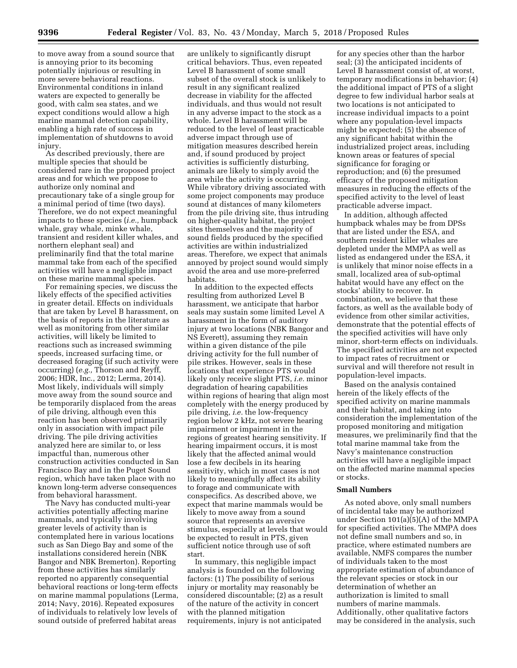to move away from a sound source that is annoying prior to its becoming potentially injurious or resulting in more severe behavioral reactions. Environmental conditions in inland waters are expected to generally be good, with calm sea states, and we expect conditions would allow a high marine mammal detection capability, enabling a high rate of success in implementation of shutdowns to avoid injury.

As described previously, there are multiple species that should be considered rare in the proposed project areas and for which we propose to authorize only nominal and precautionary take of a single group for a minimal period of time (two days). Therefore, we do not expect meaningful impacts to these species (*i.e.,* humpback whale, gray whale, minke whale, transient and resident killer whales, and northern elephant seal) and preliminarily find that the total marine mammal take from each of the specified activities will have a negligible impact on these marine mammal species.

For remaining species, we discuss the likely effects of the specified activities in greater detail. Effects on individuals that are taken by Level B harassment, on the basis of reports in the literature as well as monitoring from other similar activities, will likely be limited to reactions such as increased swimming speeds, increased surfacing time, or decreased foraging (if such activity were occurring) (*e.g.,* Thorson and Reyff, 2006; HDR, Inc., 2012; Lerma, 2014). Most likely, individuals will simply move away from the sound source and be temporarily displaced from the areas of pile driving, although even this reaction has been observed primarily only in association with impact pile driving. The pile driving activities analyzed here are similar to, or less impactful than, numerous other construction activities conducted in San Francisco Bay and in the Puget Sound region, which have taken place with no known long-term adverse consequences from behavioral harassment.

The Navy has conducted multi-year activities potentially affecting marine mammals, and typically involving greater levels of activity than is contemplated here in various locations such as San Diego Bay and some of the installations considered herein (NBK Bangor and NBK Bremerton). Reporting from these activities has similarly reported no apparently consequential behavioral reactions or long-term effects on marine mammal populations (Lerma, 2014; Navy, 2016). Repeated exposures of individuals to relatively low levels of sound outside of preferred habitat areas

are unlikely to significantly disrupt critical behaviors. Thus, even repeated Level B harassment of some small subset of the overall stock is unlikely to result in any significant realized decrease in viability for the affected individuals, and thus would not result in any adverse impact to the stock as a whole. Level B harassment will be reduced to the level of least practicable adverse impact through use of mitigation measures described herein and, if sound produced by project activities is sufficiently disturbing, animals are likely to simply avoid the area while the activity is occurring. While vibratory driving associated with some project components may produce sound at distances of many kilometers from the pile driving site, thus intruding on higher-quality habitat, the project sites themselves and the majority of sound fields produced by the specified activities are within industrialized areas. Therefore, we expect that animals annoyed by project sound would simply avoid the area and use more-preferred habitats.

In addition to the expected effects resulting from authorized Level B harassment, we anticipate that harbor seals may sustain some limited Level A harassment in the form of auditory injury at two locations (NBK Bangor and NS Everett), assuming they remain within a given distance of the pile driving activity for the full number of pile strikes. However, seals in these locations that experience PTS would likely only receive slight PTS, *i.e.* minor degradation of hearing capabilities within regions of hearing that align most completely with the energy produced by pile driving, *i.e.* the low-frequency region below 2 kHz, not severe hearing impairment or impairment in the regions of greatest hearing sensitivity. If hearing impairment occurs, it is most likely that the affected animal would lose a few decibels in its hearing sensitivity, which in most cases is not likely to meaningfully affect its ability to forage and communicate with conspecifics. As described above, we expect that marine mammals would be likely to move away from a sound source that represents an aversive stimulus, especially at levels that would be expected to result in PTS, given sufficient notice through use of soft start.

In summary, this negligible impact analysis is founded on the following factors: (1) The possibility of serious injury or mortality may reasonably be considered discountable; (2) as a result of the nature of the activity in concert with the planned mitigation requirements, injury is not anticipated

for any species other than the harbor seal; (3) the anticipated incidents of Level B harassment consist of, at worst, temporary modifications in behavior; (4) the additional impact of PTS of a slight degree to few individual harbor seals at two locations is not anticipated to increase individual impacts to a point where any population-level impacts might be expected; (5) the absence of any significant habitat within the industrialized project areas, including known areas or features of special significance for foraging or reproduction; and (6) the presumed efficacy of the proposed mitigation measures in reducing the effects of the specified activity to the level of least practicable adverse impact.

In addition, although affected humpback whales may be from DPSs that are listed under the ESA, and southern resident killer whales are depleted under the MMPA as well as listed as endangered under the ESA, it is unlikely that minor noise effects in a small, localized area of sub-optimal habitat would have any effect on the stocks' ability to recover. In combination, we believe that these factors, as well as the available body of evidence from other similar activities, demonstrate that the potential effects of the specified activities will have only minor, short-term effects on individuals. The specified activities are not expected to impact rates of recruitment or survival and will therefore not result in population-level impacts.

Based on the analysis contained herein of the likely effects of the specified activity on marine mammals and their habitat, and taking into consideration the implementation of the proposed monitoring and mitigation measures, we preliminarily find that the total marine mammal take from the Navy's maintenance construction activities will have a negligible impact on the affected marine mammal species or stocks.

## **Small Numbers**

As noted above, only small numbers of incidental take may be authorized under Section 101(a)(5)(A) of the MMPA for specified activities. The MMPA does not define small numbers and so, in practice, where estimated numbers are available, NMFS compares the number of individuals taken to the most appropriate estimation of abundance of the relevant species or stock in our determination of whether an authorization is limited to small numbers of marine mammals. Additionally, other qualitative factors may be considered in the analysis, such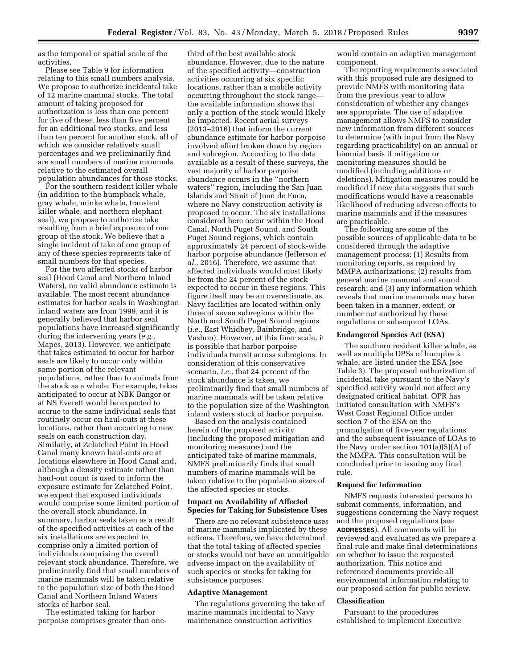as the temporal or spatial scale of the activities.

Please see Table 9 for information relating to this small numbers analysis. We propose to authorize incidental take of 12 marine mammal stocks. The total amount of taking proposed for authorization is less than one percent for five of these, less than five percent for an additional two stocks, and less than ten percent for another stock, all of which we consider relatively small percentages and we preliminarily find are small numbers of marine mammals relative to the estimated overall population abundances for those stocks.

For the southern resident killer whale (in addition to the humpback whale, gray whale, minke whale, transient killer whale, and northern elephant seal), we propose to authorize take resulting from a brief exposure of one group of the stock. We believe that a single incident of take of one group of any of these species represents take of small numbers for that species.

For the two affected stocks of harbor seal (Hood Canal and Northern Inland Waters), no valid abundance estimate is available. The most recent abundance estimates for harbor seals in Washington inland waters are from 1999, and it is generally believed that harbor seal populations have increased significantly during the intervening years (*e.g.,*  Mapes, 2013). However, we anticipate that takes estimated to occur for harbor seals are likely to occur only within some portion of the relevant populations, rather than to animals from the stock as a whole. For example, takes anticipated to occur at NBK Bangor or at NS Everett would be expected to accrue to the same individual seals that routinely occur on haul-outs at these locations, rather than occurring to new seals on each construction day. Similarly, at Zelatched Point in Hood Canal many known haul-outs are at locations elsewhere in Hood Canal and, although a density estimate rather than haul-out count is used to inform the exposure estimate for Zelatched Point, we expect that exposed individuals would comprise some limited portion of the overall stock abundance. In summary, harbor seals taken as a result of the specified activities at each of the six installations are expected to comprise only a limited portion of individuals comprising the overall relevant stock abundance. Therefore, we preliminarily find that small numbers of marine mammals will be taken relative to the population size of both the Hood Canal and Northern Inland Waters stocks of harbor seal.

The estimated taking for harbor porpoise comprises greater than one-

third of the best available stock abundance. However, due to the nature of the specified activity—construction activities occurring at six specific locations, rather than a mobile activity occurring throughout the stock range the available information shows that only a portion of the stock would likely be impacted. Recent aerial surveys (2013–2016) that inform the current abundance estimate for harbor porpoise involved effort broken down by region and subregion. According to the data available as a result of these surveys, the vast majority of harbor porpoise abundance occurs in the ''northern waters'' region, including the San Juan Islands and Strait of Juan de Fuca, where no Navy construction activity is proposed to occur. The six installations considered here occur within the Hood Canal, North Puget Sound, and South Puget Sound regions, which contain approximately 24 percent of stock-wide harbor porpoise abundance (Jefferson *et al.,* 2016). Therefore, we assume that affected individuals would most likely be from the 24 percent of the stock expected to occur in these regions. This figure itself may be an overestimate, as Navy facilities are located within only three of seven subregions within the North and South Puget Sound regions (*i.e.,* East Whidbey, Bainbridge, and Vashon). However, at this finer scale, it is possible that harbor porpoise individuals transit across subregions. In consideration of this conservative scenario, *i.e.,* that 24 percent of the stock abundance is taken, we preliminarily find that small numbers of marine mammals will be taken relative to the population size of the Washington inland waters stock of harbor porpoise.

Based on the analysis contained herein of the proposed activity (including the proposed mitigation and monitoring measures) and the anticipated take of marine mammals, NMFS preliminarily finds that small numbers of marine mammals will be taken relative to the population sizes of the affected species or stocks.

## **Impact on Availability of Affected Species for Taking for Subsistence Uses**

There are no relevant subsistence uses of marine mammals implicated by these actions. Therefore, we have determined that the total taking of affected species or stocks would not have an unmitigable adverse impact on the availability of such species or stocks for taking for subsistence purposes.

## **Adaptive Management**

The regulations governing the take of marine mammals incidental to Navy maintenance construction activities

would contain an adaptive management component.

The reporting requirements associated with this proposed rule are designed to provide NMFS with monitoring data from the previous year to allow consideration of whether any changes are appropriate. The use of adaptive management allows NMFS to consider new information from different sources to determine (with input from the Navy regarding practicability) on an annual or biennial basis if mitigation or monitoring measures should be modified (including additions or deletions). Mitigation measures could be modified if new data suggests that such modifications would have a reasonable likelihood of reducing adverse effects to marine mammals and if the measures are practicable.

The following are some of the possible sources of applicable data to be considered through the adaptive management process: (1) Results from monitoring reports, as required by MMPA authorizations; (2) results from general marine mammal and sound research; and (3) any information which reveals that marine mammals may have been taken in a manner, extent, or number not authorized by these regulations or subsequent LOAs.

#### **Endangered Species Act (ESA)**

The southern resident killer whale, as well as multiple DPSs of humpback whale, are listed under the ESA (see Table 3). The proposed authorization of incidental take pursuant to the Navy's specified activity would not affect any designated critical habitat. OPR has initiated consultation with NMFS's West Coast Regional Office under section 7 of the ESA on the promulgation of five-year regulations and the subsequent issuance of LOAs to the Navy under section 101(a)(5)(A) of the MMPA. This consultation will be concluded prior to issuing any final rule.

#### **Request for Information**

NMFS requests interested persons to submit comments, information, and suggestions concerning the Navy request and the proposed regulations (see **ADDRESSES**). All comments will be reviewed and evaluated as we prepare a final rule and make final determinations on whether to issue the requested authorization. This notice and referenced documents provide all environmental information relating to our proposed action for public review.

# **Classification**

Pursuant to the procedures established to implement Executive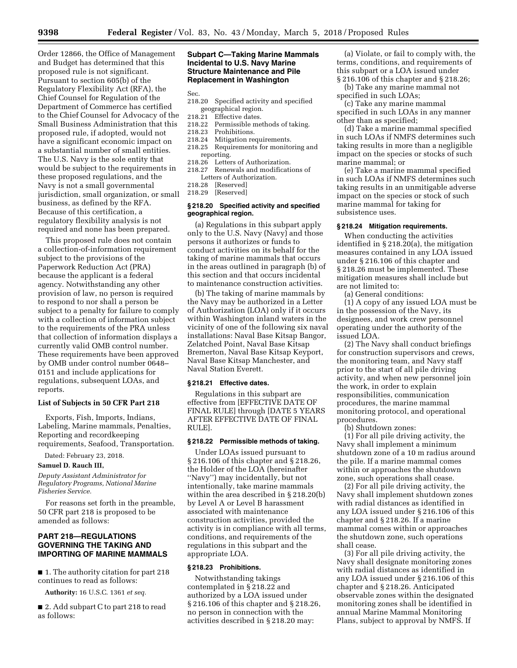Order 12866, the Office of Management and Budget has determined that this proposed rule is not significant. Pursuant to section 605(b) of the Regulatory Flexibility Act (RFA), the Chief Counsel for Regulation of the Department of Commerce has certified to the Chief Counsel for Advocacy of the Small Business Administration that this proposed rule, if adopted, would not have a significant economic impact on a substantial number of small entities. The U.S. Navy is the sole entity that would be subject to the requirements in these proposed regulations, and the Navy is not a small governmental jurisdiction, small organization, or small business, as defined by the RFA. Because of this certification, a regulatory flexibility analysis is not required and none has been prepared.

This proposed rule does not contain a collection-of-information requirement subject to the provisions of the Paperwork Reduction Act (PRA) because the applicant is a federal agency. Notwithstanding any other provision of law, no person is required to respond to nor shall a person be subject to a penalty for failure to comply with a collection of information subject to the requirements of the PRA unless that collection of information displays a currently valid OMB control number. These requirements have been approved by OMB under control number 0648– 0151 and include applications for regulations, subsequent LOAs, and reports.

# **List of Subjects in 50 CFR Part 218**

Exports, Fish, Imports, Indians, Labeling, Marine mammals, Penalties, Reporting and recordkeeping requirements, Seafood, Transportation.

Dated: February 23, 2018.

#### **Samuel D. Rauch III,**

*Deputy Assistant Administrator for Regulatory Programs, National Marine Fisheries Service.* 

For reasons set forth in the preamble, 50 CFR part 218 is proposed to be amended as follows:

# **PART 218—REGULATIONS GOVERNING THE TAKING AND IMPORTING OF MARINE MAMMALS**

■ 1. The authority citation for part 218 continues to read as follows:

**Authority:** 16 U.S.C. 1361 *et seq.* 

■ 2. Add subpart C to part 218 to read as follows:

# **Subpart C—Taking Marine Mammals Incidental to U.S. Navy Marine Structure Maintenance and Pile Replacement in Washington**

Sec.

- 218.20 Specified activity and specified geographical region.<br>218.21 Effective dates.
- 218.21 Effective dates.<br>218.22 Permissible me
- Permissible methods of taking.
- 218.23 Prohibitions.
- 218.24 Mitigation requirements.<br>218.25 Requirements for monito
- Requirements for monitoring and reporting.<br>218.26 Letter
- Letters of Authorization. 218.27 Renewals and modifications of
- Letters of Authorization.<br>218.28 [Reserved] [Reserved]
- 218.29 [Reserved]

#### **§ 218.20 Specified activity and specified geographical region.**

(a) Regulations in this subpart apply only to the U.S. Navy (Navy) and those persons it authorizes or funds to conduct activities on its behalf for the taking of marine mammals that occurs in the areas outlined in paragraph (b) of this section and that occurs incidental to maintenance construction activities.

(b) The taking of marine mammals by the Navy may be authorized in a Letter of Authorization (LOA) only if it occurs within Washington inland waters in the vicinity of one of the following six naval installations: Naval Base Kitsap Bangor, Zelatched Point, Naval Base Kitsap Bremerton, Naval Base Kitsap Keyport, Naval Base Kitsap Manchester, and Naval Station Everett.

#### **§ 218.21 Effective dates.**

Regulations in this subpart are effective from [EFFECTIVE DATE OF FINAL RULE] through [DATE 5 YEARS AFTER EFFECTIVE DATE OF FINAL RULE].

# **§ 218.22 Permissible methods of taking.**

Under LOAs issued pursuant to § 216.106 of this chapter and § 218.26, the Holder of the LOA (hereinafter ''Navy'') may incidentally, but not intentionally, take marine mammals within the area described in § 218.20(b) by Level A or Level B harassment associated with maintenance construction activities, provided the activity is in compliance with all terms, conditions, and requirements of the regulations in this subpart and the appropriate LOA.

## **§ 218.23 Prohibitions.**

Notwithstanding takings contemplated in § 218.22 and authorized by a LOA issued under § 216.106 of this chapter and § 218.26, no person in connection with the activities described in § 218.20 may:

(a) Violate, or fail to comply with, the terms, conditions, and requirements of this subpart or a LOA issued under § 216.106 of this chapter and § 218.26;

(b) Take any marine mammal not specified in such LOAs;

(c) Take any marine mammal specified in such LOAs in any manner other than as specified;

(d) Take a marine mammal specified in such LOAs if NMFS determines such taking results in more than a negligible impact on the species or stocks of such marine mammal; or

(e) Take a marine mammal specified in such LOAs if NMFS determines such taking results in an unmitigable adverse impact on the species or stock of such marine mammal for taking for subsistence uses.

# **§ 218.24 Mitigation requirements.**

When conducting the activities identified in § 218.20(a), the mitigation measures contained in any LOA issued under § 216.106 of this chapter and § 218.26 must be implemented. These mitigation measures shall include but are not limited to:

(a) General conditions:

(1) A copy of any issued LOA must be in the possession of the Navy, its designees, and work crew personnel operating under the authority of the issued LOA.

(2) The Navy shall conduct briefings for construction supervisors and crews, the monitoring team, and Navy staff prior to the start of all pile driving activity, and when new personnel join the work, in order to explain responsibilities, communication procedures, the marine mammal monitoring protocol, and operational procedures.

(b) Shutdown zones:

(1) For all pile driving activity, the Navy shall implement a minimum shutdown zone of a 10 m radius around the pile. If a marine mammal comes within or approaches the shutdown zone, such operations shall cease.

(2) For all pile driving activity, the Navy shall implement shutdown zones with radial distances as identified in any LOA issued under § 216.106 of this chapter and § 218.26. If a marine mammal comes within or approaches the shutdown zone, such operations shall cease.

(3) For all pile driving activity, the Navy shall designate monitoring zones with radial distances as identified in any LOA issued under § 216.106 of this chapter and § 218.26. Anticipated observable zones within the designated monitoring zones shall be identified in annual Marine Mammal Monitoring Plans, subject to approval by NMFS. If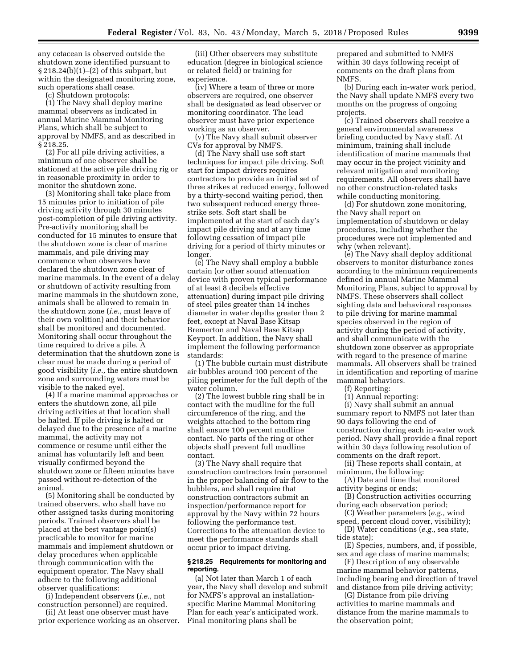any cetacean is observed outside the shutdown zone identified pursuant to § 218.24(b)(1)–(2) of this subpart, but within the designated monitoring zone, such operations shall cease.

(c) Shutdown protocols:

(1) The Navy shall deploy marine mammal observers as indicated in annual Marine Mammal Monitoring Plans, which shall be subject to approval by NMFS, and as described in § 218.25.

(2) For all pile driving activities, a minimum of one observer shall be stationed at the active pile driving rig or in reasonable proximity in order to monitor the shutdown zone.

(3) Monitoring shall take place from 15 minutes prior to initiation of pile driving activity through 30 minutes post-completion of pile driving activity. Pre-activity monitoring shall be conducted for 15 minutes to ensure that the shutdown zone is clear of marine mammals, and pile driving may commence when observers have declared the shutdown zone clear of marine mammals. In the event of a delay or shutdown of activity resulting from marine mammals in the shutdown zone, animals shall be allowed to remain in the shutdown zone (*i.e.,* must leave of their own volition) and their behavior shall be monitored and documented. Monitoring shall occur throughout the time required to drive a pile. A determination that the shutdown zone is clear must be made during a period of good visibility (*i.e.,* the entire shutdown zone and surrounding waters must be visible to the naked eye).

(4) If a marine mammal approaches or enters the shutdown zone, all pile driving activities at that location shall be halted. If pile driving is halted or delayed due to the presence of a marine mammal, the activity may not commence or resume until either the animal has voluntarily left and been visually confirmed beyond the shutdown zone or fifteen minutes have passed without re-detection of the animal.

(5) Monitoring shall be conducted by trained observers, who shall have no other assigned tasks during monitoring periods. Trained observers shall be placed at the best vantage point(s) practicable to monitor for marine mammals and implement shutdown or delay procedures when applicable through communication with the equipment operator. The Navy shall adhere to the following additional observer qualifications:

(i) Independent observers (*i.e.,* not construction personnel) are required.

(ii) At least one observer must have prior experience working as an observer.

(iii) Other observers may substitute education (degree in biological science or related field) or training for experience.

(iv) Where a team of three or more observers are required, one observer shall be designated as lead observer or monitoring coordinator. The lead observer must have prior experience working as an observer.

(v) The Navy shall submit observer CVs for approval by NMFS.

(d) The Navy shall use soft start techniques for impact pile driving. Soft start for impact drivers requires contractors to provide an initial set of three strikes at reduced energy, followed by a thirty-second waiting period, then two subsequent reduced energy threestrike sets. Soft start shall be implemented at the start of each day's impact pile driving and at any time following cessation of impact pile driving for a period of thirty minutes or longer.

(e) The Navy shall employ a bubble curtain (or other sound attenuation device with proven typical performance of at least 8 decibels effective attenuation) during impact pile driving of steel piles greater than 14 inches diameter in water depths greater than 2 feet, except at Naval Base Kitsap Bremerton and Naval Base Kitsap Keyport. In addition, the Navy shall implement the following performance standards:

(1) The bubble curtain must distribute air bubbles around 100 percent of the piling perimeter for the full depth of the water column.

(2) The lowest bubble ring shall be in contact with the mudline for the full circumference of the ring, and the weights attached to the bottom ring shall ensure 100 percent mudline contact. No parts of the ring or other objects shall prevent full mudline contact.

(3) The Navy shall require that construction contractors train personnel in the proper balancing of air flow to the bubblers, and shall require that construction contractors submit an inspection/performance report for approval by the Navy within 72 hours following the performance test. Corrections to the attenuation device to meet the performance standards shall occur prior to impact driving.

# **§ 218.25 Requirements for monitoring and reporting.**

(a) Not later than March 1 of each year, the Navy shall develop and submit for NMFS's approval an installationspecific Marine Mammal Monitoring Plan for each year's anticipated work. Final monitoring plans shall be

prepared and submitted to NMFS within 30 days following receipt of comments on the draft plans from NMFS.

(b) During each in-water work period, the Navy shall update NMFS every two months on the progress of ongoing projects.

(c) Trained observers shall receive a general environmental awareness briefing conducted by Navy staff. At minimum, training shall include identification of marine mammals that may occur in the project vicinity and relevant mitigation and monitoring requirements. All observers shall have no other construction-related tasks while conducting monitoring.

(d) For shutdown zone monitoring, the Navy shall report on implementation of shutdown or delay procedures, including whether the procedures were not implemented and why (when relevant).

(e) The Navy shall deploy additional observers to monitor disturbance zones according to the minimum requirements defined in annual Marine Mammal Monitoring Plans, subject to approval by NMFS. These observers shall collect sighting data and behavioral responses to pile driving for marine mammal species observed in the region of activity during the period of activity, and shall communicate with the shutdown zone observer as appropriate with regard to the presence of marine mammals. All observers shall be trained in identification and reporting of marine mammal behaviors.

(f) Reporting:

(1) Annual reporting:

(i) Navy shall submit an annual summary report to NMFS not later than 90 days following the end of construction during each in-water work period. Navy shall provide a final report within 30 days following resolution of comments on the draft report.

(ii) These reports shall contain, at minimum, the following:

(A) Date and time that monitored activity begins or ends;

(B) Construction activities occurring during each observation period;

(C) Weather parameters (*e.g.,* wind speed, percent cloud cover, visibility);

(D) Water conditions (*e.g.,* sea state, tide state);

(E) Species, numbers, and, if possible, sex and age class of marine mammals;

(F) Description of any observable marine mammal behavior patterns, including bearing and direction of travel and distance from pile driving activity;

(G) Distance from pile driving activities to marine mammals and distance from the marine mammals to the observation point;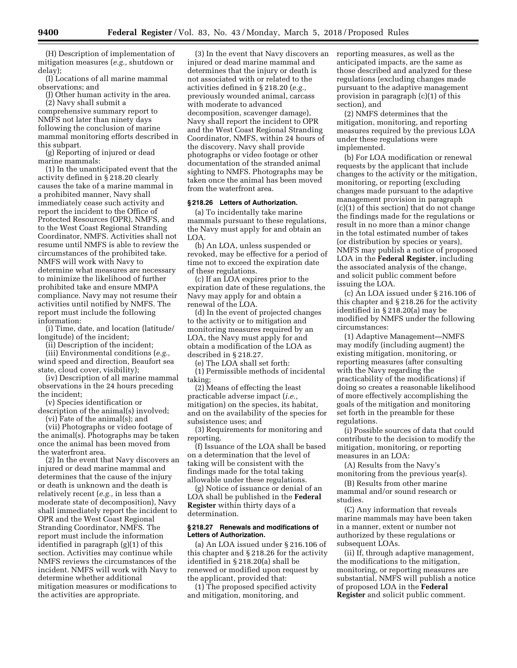(H) Description of implementation of mitigation measures (*e.g.,* shutdown or delay);

(I) Locations of all marine mammal observations; and

(J) Other human activity in the area. (2) Navy shall submit a

comprehensive summary report to NMFS not later than ninety days following the conclusion of marine mammal monitoring efforts described in this subpart.

(g) Reporting of injured or dead marine mammals:

(1) In the unanticipated event that the activity defined in § 218.20 clearly causes the take of a marine mammal in a prohibited manner, Navy shall immediately cease such activity and report the incident to the Office of Protected Resources (OPR), NMFS, and to the West Coast Regional Stranding Coordinator, NMFS. Activities shall not resume until NMFS is able to review the circumstances of the prohibited take. NMFS will work with Navy to determine what measures are necessary to minimize the likelihood of further prohibited take and ensure MMPA compliance. Navy may not resume their activities until notified by NMFS. The report must include the following information:

(i) Time, date, and location (latitude/ longitude) of the incident;

(ii) Description of the incident;

(iii) Environmental conditions (*e.g.,*  wind speed and direction, Beaufort sea state, cloud cover, visibility);

(iv) Description of all marine mammal observations in the 24 hours preceding the incident;

(v) Species identification or

description of the animal(s) involved; (vi) Fate of the animal(s); and

(vii) Photographs or video footage of the animal(s). Photographs may be taken once the animal has been moved from the waterfront area.

(2) In the event that Navy discovers an injured or dead marine mammal and determines that the cause of the injury or death is unknown and the death is relatively recent (*e.g.,* in less than a moderate state of decomposition), Navy shall immediately report the incident to OPR and the West Coast Regional Stranding Coordinator, NMFS. The report must include the information identified in paragraph (g)(1) of this section. Activities may continue while NMFS reviews the circumstances of the incident. NMFS will work with Navy to determine whether additional mitigation measures or modifications to the activities are appropriate.

(3) In the event that Navy discovers an injured or dead marine mammal and determines that the injury or death is not associated with or related to the activities defined in § 218.20 (*e.g.,*  previously wounded animal, carcass with moderate to advanced decomposition, scavenger damage), Navy shall report the incident to OPR and the West Coast Regional Stranding Coordinator, NMFS, within 24 hours of the discovery. Navy shall provide photographs or video footage or other documentation of the stranded animal sighting to NMFS. Photographs may be taken once the animal has been moved from the waterfront area.

# **§ 218.26 Letters of Authorization.**

(a) To incidentally take marine mammals pursuant to these regulations, the Navy must apply for and obtain an LOA.

(b) An LOA, unless suspended or revoked, may be effective for a period of time not to exceed the expiration date of these regulations.

(c) If an LOA expires prior to the expiration date of these regulations, the Navy may apply for and obtain a renewal of the LOA.

(d) In the event of projected changes to the activity or to mitigation and monitoring measures required by an LOA, the Navy must apply for and obtain a modification of the LOA as described in § 218.27.

(e) The LOA shall set forth:

(1) Permissible methods of incidental taking;

(2) Means of effecting the least practicable adverse impact (*i.e.,*  mitigation) on the species, its habitat, and on the availability of the species for subsistence uses; and

(3) Requirements for monitoring and reporting.

(f) Issuance of the LOA shall be based on a determination that the level of taking will be consistent with the findings made for the total taking allowable under these regulations.

(g) Notice of issuance or denial of an LOA shall be published in the **Federal Register** within thirty days of a determination.

#### **§ 218.27 Renewals and modifications of Letters of Authorization.**

(a) An LOA issued under § 216.106 of this chapter and § 218.26 for the activity identified in § 218.20(a) shall be renewed or modified upon request by the applicant, provided that:

(1) The proposed specified activity and mitigation, monitoring, and

reporting measures, as well as the anticipated impacts, are the same as those described and analyzed for these regulations (excluding changes made pursuant to the adaptive management provision in paragraph (c)(1) of this section), and

(2) NMFS determines that the mitigation, monitoring, and reporting measures required by the previous LOA under these regulations were implemented.

(b) For LOA modification or renewal requests by the applicant that include changes to the activity or the mitigation, monitoring, or reporting (excluding changes made pursuant to the adaptive management provision in paragraph (c)(1) of this section) that do not change the findings made for the regulations or result in no more than a minor change in the total estimated number of takes (or distribution by species or years), NMFS may publish a notice of proposed LOA in the **Federal Register**, including the associated analysis of the change, and solicit public comment before issuing the LOA.

(c) An LOA issued under § 216.106 of this chapter and § 218.26 for the activity identified in § 218.20(a) may be modified by NMFS under the following circumstances:

(1) Adaptive Management—NMFS may modify (including augment) the existing mitigation, monitoring, or reporting measures (after consulting with the Navy regarding the practicability of the modifications) if doing so creates a reasonable likelihood of more effectively accomplishing the goals of the mitigation and monitoring set forth in the preamble for these regulations.

(i) Possible sources of data that could contribute to the decision to modify the mitigation, monitoring, or reporting measures in an LOA:

(A) Results from the Navy's monitoring from the previous year(s).

(B) Results from other marine mammal and/or sound research or studies.

(C) Any information that reveals marine mammals may have been taken in a manner, extent or number not authorized by these regulations or subsequent LOAs.

(ii) If, through adaptive management, the modifications to the mitigation, monitoring, or reporting measures are substantial, NMFS will publish a notice of proposed LOA in the **Federal Register** and solicit public comment.